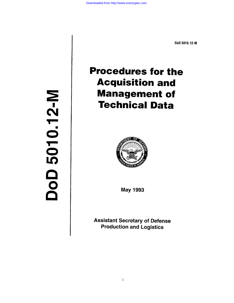DoD 5010.12-M

DoD 5010.12-M

# **Procedures for the Acquisition and Management of Technical Data**



May 1993

**Assistant Secretary of Defense Production and Logistics**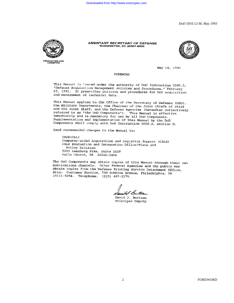*DoD 5010.12-M, May 1993*



ASSISTANT SECRETARY OF DEFENSE **WASHINGTON, DC 20301-8000** 



May 14, 1993

#### **FOREWORD**

This Manual is issued under the authority of DoD Instruction 5000.2, "Defense Acquisition Management Policies and Procedures," February 23, 1991. It prescribes policies and procedures for DoD acquisition and management of technical data.

This Manual applies to the Office of the Secretary of Defense (OSD), the Military Departments; the Chairman of the Joint Chiefs of Staff and the Joint Staff; and the Defense Agencies (hereafter collectively referred to as "the DoD Components"). This Manual is effective immediately and is mandatory for use by all DoD Components. Supplementation and implementation of this Manual by the DoD Components shall comply with DoD Instruction 5000.2, section G.

Send recommended changes to the Manual to:

OASD (P&L) Computer-aided Acquisition and Logistics Support (CALS) CALS Evaluation and Integration Office/Plans and Policy Division 5203 Leesburg Pike, Suite 1609 Falls Church, VA 22041-3466

The DoD Components may obtain copies of this Manual through their own<br>publications channels. Other Federal Agencies and the public may obtain copies from the Defense Printing Service Detachment Office, Attn: Customer Service, 700 Robbins Avenue, Philadelphia, PA 19111-5094. Telephone: (215) 697-2179.

:1d. Butes

David J. Berteau Principal Deputy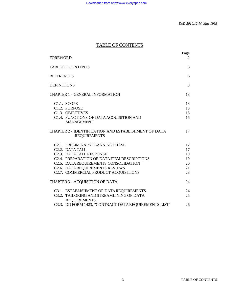# TABLE OF CONTENTS

| <b>FOREWORD</b>                                                                    | Page<br>2 |
|------------------------------------------------------------------------------------|-----------|
| <b>TABLE OF CONTENTS</b>                                                           | 3         |
| <b>REFERENCES</b>                                                                  | 6         |
| <b>DEFINITIONS</b>                                                                 | 8         |
| <b>CHAPTER 1 - GENERAL INFORMATION</b>                                             | 13        |
| C1.1. SCOPE                                                                        | 13        |
| C1.2. PURPOSE                                                                      | 13        |
| C1.3. OBJECTIVES                                                                   | 13        |
| C1.4. FUNCTIONS OF DATA ACQUISITION AND<br><b>MANAGEMENT</b>                       | 15        |
| <b>CHAPTER 2 - IDENTIFICATION AND ESTABLISHMENT OF DATA</b><br><b>REQUIREMENTS</b> | 17        |
| C2.1. PRELIMINARY PLANNING PHASE                                                   | 17        |
| C <sub>2.2</sub> . DATA CALL                                                       | 17        |
| C <sub>2.3</sub> . DATA CALL RESPONSE                                              | 19        |
| C2.4. PREPARATION OF DATAITEM DESCRIPTIONS                                         | 19        |
| C2.5. DATAREQUIREMENTS CONSOLIDATION                                               | 20        |
| C2.6. DATAREQUIREMENTS REVIEWS                                                     | 21        |
| C2.7. COMMERCIAL PRODUCT ACQUISITIONS                                              | 23        |
| <b>CHAPTER 3 - ACQUISITION OF DATA</b>                                             | 24        |
| C3.1. ESTABLISHMENT OF DATA REQUIREMENTS                                           | 24        |
| C3.2. TAILORING AND STREAMLINING OF DATA<br><b>REQUIREMENTS</b>                    | 25        |
| C3.3. DD FORM 1423, "CONTRACT DATA REQUIREMENTS LIST"                              | 26        |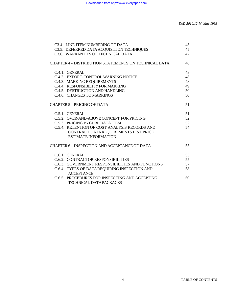| C3.4. LINE-ITEM NUMBERING OF DATA                     | 43 |
|-------------------------------------------------------|----|
| C3.5. DEFERRED DATA ACQUISITION TECHNIQUES            | 45 |
| C3.6. WARRANTIES OF TECHNICAL DATA                    | 47 |
| CHAPTER 4 - DISTRIBUTION STATEMENTS ON TECHNICAL DATA | 48 |
| C.4.1. GENERAL                                        | 48 |
| C.4.2. EXPORT-CONTROL WARNING NOTICE                  | 48 |
| C.4.3. MARKING REQUIREMENTS                           | 48 |
| C.4.4. RESPONSIBILITY FOR MARKING                     | 49 |
| C.4.5. DESTRUCTION AND HANDLING                       | 50 |
| C.4.6. CHANGES TO MARKINGS                            | 50 |
| <b>CHAPTER 5 - PRICING OF DATA</b>                    | 51 |
| C.5.1. GENERAL                                        | 51 |
| C.5.2. OVER-AND-ABOVE CONCEPT FOR PRICING             | 52 |
| C.5.3. PRICING BY CDRL DATA ITEM                      | 52 |
| C.5.4. RETENTION OF COST ANALYSIS RECORDS AND         | 54 |
| CONTRACT DATA REQUIREMENTS LIST PRICE                 |    |
| <b>ESTIMATE INFORMATION</b>                           |    |
| <b>CHAPTER 6 - INSPECTION AND ACCEPTANCE OF DATA</b>  | 55 |
| C.6.1. GENERAL                                        | 55 |
| C.6.2. CONTRACTOR RESPONSIBILITIES                    | 55 |
| C.6.3. GOVERNMENT RESPONSIBILITIES AND FUNCTIONS      | 57 |
| C.6.4. TYPES OF DATA REQUIRING INSPECTION AND         | 58 |
| <b>ACCEPTANCE</b>                                     |    |
| C.6.5. PROCEDURES FOR INSPECTING AND ACCEPTING        | 60 |
| <b>TECHNICAL DATA PACKAGES</b>                        |    |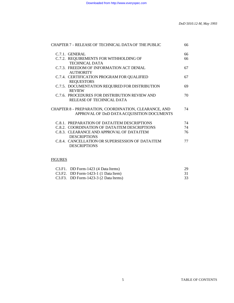| CHAPTER 7 - RELEASE OF TECHNICAL DATA OF THE PUBLIC                                                 | 66       |
|-----------------------------------------------------------------------------------------------------|----------|
| $C.7.1$ GENERAL<br>C.7.2. REQUIREMENTS FOR WITHHOLDING OF<br><b>TECHNICAL DATA</b>                  | 66<br>66 |
| C.7.3. FREEDOM OF INFORMATION ACT DENIAL<br><b>AUTHORITY</b>                                        | 67       |
| C.7.4. CERTIFICATION PROGRAM FOR QUALIFIED<br><b>REQUESTORS</b>                                     | 67       |
| C.7.5. DOCUMENTATION REQUIRED FOR DISTRIBUTION<br><b>REVIEW</b>                                     | 69       |
| C.7.6. PROCEDURES FOR DISTRIBUTION REVIEW AND<br>RELEASE OF TECHNICAL DATA                          | 70       |
| CHAPTER 8 - PREPARATION, COORDINATION, CLEARANCE, AND<br>APPROVAL OF DoD DATA ACQUISITION DOCUMENTS | 74       |
| C.8.1. PREPARATION OF DATA ITEM DESCRIPTIONS                                                        | 74       |
| C.8.2. COORDINATION OF DATA ITEM DESCRIPTIONS                                                       | 74       |
| C.8.3. CLEARANCE AND APPROVAL OF DATA ITEM<br><b>DESCRIPTIONS</b>                                   | 76       |
| C.8.4. CANCELLATION OR SUPERSESSION OF DATAITEM<br><b>DESCRIPTIONS</b>                              | 77       |

#### FIGURES

| C3.F1. DD Form-1423 $(4 \text{ Data items})$   |  |
|------------------------------------------------|--|
| C3.F2. DD Form-1423-1 $(1 \text{ Data Item})$  |  |
| C3.F3. DD Form-1423-3 $(2 \text{ Data items})$ |  |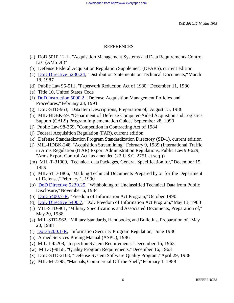## REFERENCES

- (a) DoD 5010.12-L, "Acquisition Management Systems and Data Requirements Control List (AMSDL)"
- (b) Defense Federal Acquisition Regulation Supplement (DFARS), current edition
- (c) DoD Directive 5230.24, "Distribution Statements on Technical Documents," March 18, 1987
- (d) Public Law 96-511, "Paperwork Reduction Act of 1980," December 11, 1980
- (e) Title 10, United States Code
- (f) DoD Instruction 5000.2, "Defense Acquisition Management Policies and Procedures," February 23, 1991
- (g) DoD-STD-963, "Data Item Descriptions, Preparation of," August 15, 1986
- (h) MIL-HDBK-59, "Department of Defense Computer-Aided Acquistion and Logistics Support (CALS) Program Implementation Guide," September 28, 1990
- (i) Public Law 98-369, "Competition in Contracting Act of 1984"
- (j) Federal Acquisition Regulation (FAR), current edition
- (k) Defense Standardization Program Standardization Directory (SD-1), current edition
- (l) MIL-HDBK-248, "Acquisition Streamlining," February 9, 1989 (International Traffic in Arms Regulation (ITAR) Export Administration Regulations, Public Law 90-629, "Arms Export Control Act," as amended (22 U.S.C. 2751 et seq.))
- (m) MIL-T-31000, "Technical data Packages, General Specification for," December 15, 1989
- (n) MIL-STD-1806, "Marking Technical Documents Prepared by or for the Department of Defense," February 1, 1990
- (o) DoD Directive 5230.25, "Withholding of Unclassified Technical Data from Public Disclosure," November 6, 1984
- (p) DoD 5400.7-R, "Freedom of Information Act Program," October 1990
- (q) DoD Directive 5400.7, "DoD Freedom of Information Act Program," May 13, 1988
- (r) MIL-STD-961, "Military Specifications and Associated Documents, Preparation of," May 20, 1988
- (s) MIL-STD-962, "Military Standards, Handbooks, and Bulletins, Preparation of," May 20, 1988
- (t) DoD 5200.1-R, "Information Security Program Regulation," June 1986
- (u) Armed Services Pricing Manual (ASPU), 1986
- (v) MIL-I-45208, "Inspection System Requirements," December 16, 1963
- (w) MIL-Q-9858, "Quality Program Requirements," December 16, 1963
- (x) DoD-STD-2168, "Defense System Software Quality Program," April 29, 1988
- (y) MIL-M-7298, "Manuals, Commercial Off-the-Shelf," February 1, 1988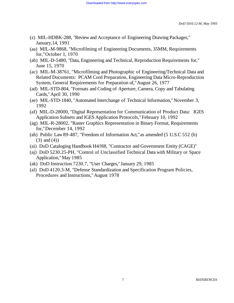- (z) MIL-HDBK-288, "Review and Acceptance of Engineering Drawing Packages," January,14, 1991
- (aa) MIL-M-9868, "Microfilming of Engineering Documents, 35MM, Requirements for," October 1, 1970
- (ab) MIL-D-5480, "Data, Engineering and Technical, Reproduction Requirements for," June 15, 1970
- (ac) MIL-M-38761, "Microfilming and Photographic of Engineering/Technical Data and Related Documents: PCAM Cord Preparation, Engineering Data Micro-Reproduction System, General Requirements for Preparation of," August 26, 1977
- (ad) MIL-STD-804, "Formats and Coding of Aperture, Camera, Copy and Tabulating Cards," April 30, 1990
- (ae) MIL-STD-1840, "Automated Interchange of Technical Information," November 3, 1992
- (af) MIL-D-28000, "Digital Representation for Communication of Product Data: IGES Application Subsets and IGES Application Protocols," February 10, 1992
- (ag) MIL-R-28002, "Raster Graphics Representation in Binary Format, Requirements for," December 14, 1992
- (ah) Public Law 89-487, "Freedom of Information Act," as amended (5 U.S.C 552 (b)  $(3)$  and  $(4)$ )
- (ai) DoD Cataloging Handbook H4/H8, "Contractor and Government Entity (CAGE)"
- (aj) DoD 5230.25-PH, "Control of Unclassified Technical Data with Military or Space Application," May 1985
- (ak) DoD Instruction 7230.7, "User Charges," January 29, 1985
- (al) DoD 4120.3-M, "Defense Standardization and Specification Program Policies, Procedures and Instructions," August 1978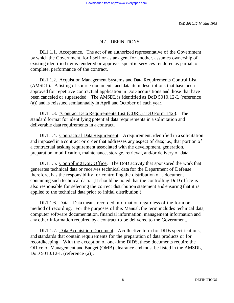*DoD 5010.12-M, May 1993*

### DL1. DEFINITIONS

DL1.1.1. Acceptance. The act of an authorized representative of the Government by which the Government, for itself or as an agent for another, assumes ownership of existing identified items tendered or approves specific services rendered as partial, or complete, performance of the contract.

DL1.1.2. Acquistion Management Systems and Data Requirements Control List (AMSDL). A listing of source documents and data item descriptions that have been approved for repetitive contractual application in DoD acquisitions and those that have been canceled or superseded. The AMSDL is identified as DoD 5010.12-L (reference (a)) and is reissued semiannually in April and October of each year.

DL1.1.3. "Contract Data Requirements List (CDRL)," DD Form 1423. The standard format for identifying potential data requirements in a solicitation and deliverable data requirements in a contract.

DL1.1.4. Contractual Data Requirement. A requirement, identified in a solicitation and imposed in a contract or order that addresses any aspect of data; i.e., that portion of a contractual tasking requirement associated with the development, generation, preparation, modification, maintenance, storage, retrieval, and/or delivery of data.

DL1.1.5. Controlling DoD Office. The DoD activity that sponsored the work that generates technical data or receives technical data for the Department of Defense therefore, has the responsibility for controlling the distribution of a document containing such technical data. (It should be noted that the controlling DoD office is also responsible for selecting the correct distribution statement and ensuring that it is applied to the technical data prior to initial distribution.)

DL1.1.6. Data. Data means recorded information regardless of the form or method of recording. For the purposes of this Manual, the term includes technical data, computer software documentation, financial information, management information and any other information required by a contract to be delivered to the Government.

DL1.1.7. Data Acquisition Document. A collective term for DIDs specifications, and standards that contain requirements for the preparation of data products or for recordkeeping. With the exception of one-time DIDS, these documents require the Office of Management and Budget (OMB) clearance and must be listed in the AMSDL, DoD 5010.12-L (reference (a)).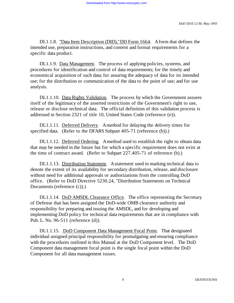DL1.1.8. "Data Item Description (DID)," DD Form 1664. A form that defines the intended use, preparation instructions, and content and format requirements for a specific data product.

DL1.1.9. Data Management. The process of applying policies, systems, and procedures for identification and control of data requirements; for the timely and economical acquisition of such data; for assuring the adequacy of data for its intended use; for the distribution or communication of the data to the point of use; and for use analysis.

DL1.1.10. Data Rights Validation. The process by which the Government assures itself of the legitimacy of the asserted restrictions of the Government's right to use, release or disclose technical data. The official definition of this validation process is addressed in Section 2321 of title 10, United States Code (reference (e)).

DL1.1.11. Deferred Delivery. A method for delaying the delivery times for specified data. (Refer to the DFARS Subpart 405-71 (reference (b)).)

DL1.1.12. Deferred Ordering. A method used to establish the right to obtain data that may be needed in the future but for which a specific requirement does not exist at the time of contract award. (Refer to Subpart 227.405-71 of reference (b).)

DL1.1.13. Distribution Statement. A statement used in marking technical data to denote the extent of its availability for secondary distribution, release, and disclosure without need for additional approvals or authorizations from the controlling DoD office. (Refer to DoD Directive 5230.24, "Distribution Statements on Technical Documents.(reference (c)).)

DL1.1.14. DoD AMSDL Clearance Office. The office representing the Secretary of Defense that has been assigned the DoD-wide OMB clearance authority and responsibility for preparing and issuing the AMSDL, and for developing and implementing DoD policy for technical data requirements that are in compliance with Pub. L. No. 96-511 (reference (d)).

DL1.1.15. DoD Component Data Management Focal Point. That designated individual assigned principal responsibility for promulgating and ensuring compliance with the procedures outlined in this Manual at the DoD Component level. The DoD Component data management focal point is the single focal point within the DoD Component for all data management issues.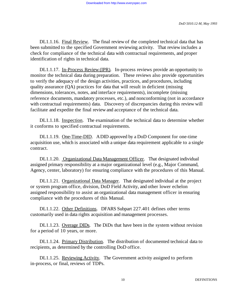DL1.1.16. Final Review. The final review of the completed technical data that has been submitted to the specified Government reviewing activity. That review includes a check for compliance of the technical data with contractual requirements, and proper identification of rights in technical data.

DL1.1.17. In-Process Review (IPR). In-process reviews provide an opportunity to monitor the technical data during preparation. These reviews also provide opportunities to verify the adequacy of the design activities, practices, and procedures, including quality assurance (QA) practices for data that will result in deficient (missing dimensions, tolerances, notes, and interface requirements), incomplete (missing reference documents, mandatory processes, etc.), and nonconforming (not in accordance with contractual requirements) data. Discovery of discrepancies during this review will facilitate and expedite the final review and acceptance of the technical data.

DL1.1.18. Inspection. The examination of the technical data to determine whether it conforms to specified contractual requirements.

DL1.1.19. One-Time-DID. A DID approved by a DoD Component for one-time acquisition use, which is associated with a unique data requirement applicable to a single contract.

DL1.1.20. Organizational Data Management Officer. That designated individual assigned primary responsibility at a major organizational level (e.g., Major Command, Agency, center, laboratory) for ensuring compliance with the procedures of this Manual.

DL1.1.21. Organizational Data Manager. That designated individual at the project or system program office, division, DoD Field Activity, and other lower echelon assigned responsibility to assist an organizational data management officer in ensuring compliance with the procedures of this Manual.

DL1.1.22. Other Definitions. DFARS Subpart 227.401 defines other terms customarily used in data rights acquisition and management processes.

DL1.1.23. Overage DIDs. The DiDs that have been in the system without revision for a period of 10 years, or more.

DL1.1.24. Primary Distribution. The distribution of documented technical data to recipients, as determined by the controlling DoD office.

DL1.1.25. Reviewing Activity. The Government activity assigned to perform in-process, or final, reviews of TDPs.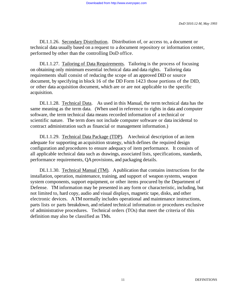DL1.1.26. Secondary Distribution. Distribution of, or access to, a document or technical data usually based on a request to a document repository or information center, performed by other than the controlling DoD office.

DL1.1.27. Tailoring of Data Requirements. Tailoring is the process of focusing on obtaining only minimum essential technical data and data rights. Tailoring data requirements shall consist of reducing the scope of an approved DID or source document, by specifying in block 16 of the DD Form 1423 those portions of the DID, or other data acquisition document, which are or are not applicable to the specific acquisition.

DL1.1.28. Technical Data. As used in this Manual, the term technical data has the same meaning as the term data. (When used in reference to rights in data and computer software, the term technical data means recorded information of a technical or scientific nature. The term does not include computer software or data incidental to contract administration such as financial or management information.)

DL1.1.29. Technical Data Package (TDP). A technical description of an item adequate for supporting an acquisition strategy, which defines the required design configuration and procedures to ensure adequacy of item performance. It consists of all applicable technical data such as drawings, associated lists, specifications, standards, performance requirements, QA provisions, and packaging details.

DL1.1.30. Technical Manual (TM). A publication that contains instructions for the installation, operation, maintenance, training, and support of weapon systems, weapon system components, support equipment, or other items procured by the Department of Defense. TM information may be presented in any form or characteristic, including, but not limited to, hard copy, audio and visual displays, magnetic tape, disks, and other electronic devices. A TM normally includes operational and maintenance instructions, parts lists or parts breakdown, and related technical information or procedures exclusive of administrative procedures. Technical orders (TOs) that meet the criteria of this definition may also be classified as TMs.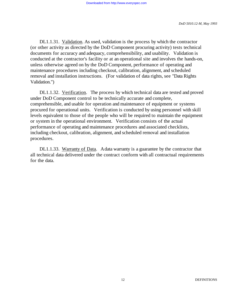DL1.1.31. Validation. As used, validation is the process by which the contractor (or other activity as directed by the DoD Component procuring activity) tests technical documents for accuracy and adequacy, comprehensibility, and usability. Validation is conducted at the contractor's facility or at an operational site and involves the hands-on, unless otherwise agreed on by the DoD Component, performance of operating and maintenance procedures including checkout, calibration, alignment, and scheduled removal and installation instructions. (For validation of data rights, see "Data Rights Validation.")

DL1.1.32. Verification. The process by which technical data are tested and proved under DoD Component control to be technically accurate and complete, comprehensible, and usable for operation and maintenance of equipment or systems procured for operational units. Verification is conducted by using personnel with skill levels equivalent to those of the people who will be required to maintain the equipment or system in the operational environment. Verification consists of the actual performance of operating and maintenance procedures and associated checklists, including checkout, calibration, alignment, and scheduled removal and installation procedures.

DL1.1.33. Warranty of Data. A data warranty is a guarantee by the contractor that all technical data delivered under the contract conform with all contractual requirements for the data.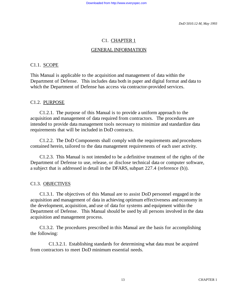*DoD 5010.12-M, May 1993*

## C1. CHAPTER 1

#### GENERAL INFORMATION

#### C1.1. SCOPE

This Manual is applicable to the acquisition and management of data within the Department of Defense. This includes data both in paper and digital format and data to which the Department of Defense has access via contractor-provided services.

### C1.2. PURPOSE

C1.2.1. The purpose of this Manual is to provide a uniform approach to the acquisition and management of data required from contractors. The procedures are intended to provide data management tools necessary to minimize and standardize data requirements that will be included in DoD contracts.

C1.2.2. The DoD Components shall comply with the requirements and procedures contained herein, tailored to the data management requirements of each user activity.

C1.2.3. This Manual is not intended to be a definitive treatment of the rights of the Department of Defense to use, release, or disclose technical data or computer software, a subject that is addressed in detail in the DFARS, subpart 227.4 (reference (b)).

#### C1.3. OBJECTIVES

C1.3.1. The objectives of this Manual are to assist DoD personnel engaged in the acquisition and management of data in achieving optimum effectiveness and economy in the development, acquisition, and use of data for systems and equipment within the Department of Defense. This Manual should be used by all persons involved in the data acquisition and management process.

C1.3.2. The procedures prescribed in this Manual are the basis for accomplishing the following:

C1.3.2.1. Establishing standards for determining what data must be acquired from contractors to meet DoD minimum essential needs.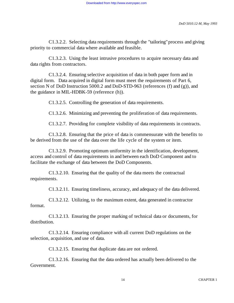C1.3.2.2. Selecting data requirements through the "tailoring" process and giving priority to commercial data where available and feasible.

C1.3.2.3. Using the least intrusive procedures to acquire necessary data and data rights from contractors.

C1.3.2.4. Ensuring selective acquisition of data in both paper form and in digital form. Data acquired in digital form must meet the requirements of Part 6, section N of DoD Instruction 5000.2 and DoD-STD-963 (references (f) and (g)), and the guidance in MIL-HDBK-59 (reference (h)).

C1.3.2.5. Controlling the generation of data requirements.

C1.3.2.6. Minimizing and preventing the proliferation of data requirements.

C1.3.2.7. Providing for complete visibility of data requirements in contracts.

C1.3.2.8. Ensuring that the price of data is commensurate with the benefits to be derived from the use of the data over the life cycle of the system or item.

C1.3.2.9. Promoting optimum uniformity in the identification, development, access and control of data requirements in and between each DoD Component and to facilitate the exchange of data between the DoD Components.

C1.3.2.10. Ensuring that the quality of the data meets the contractual requirements.

C1.3.2.11. Ensuring timeliness, accuracy, and adequacy of the data delivered.

C1.3.2.12. Utilizing, to the maximum extent, data generated in contractor format.

C1.3.2.13. Ensuring the proper marking of technical data or documents, for distribution.

C1.3.2.14. Ensuring compliance with all current DoD regulations on the selection, acquisition, and use of data.

C1.3.2.15. Ensuring that duplicate data are not ordered.

C1.3.2.16. Ensuring that the data ordered has actually been delivered to the Government.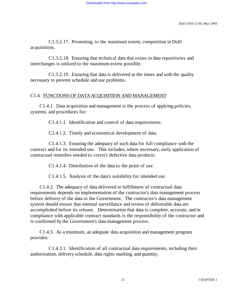C1.3.2.17. Promoting, to the maximum extent, competition in DoD acquisitions.

C1.3.2.18. Ensuring that technical data that exists in data repositories and interchanges is utilized to the maximum extent possible.

C1.3.2.19. Ensuring that data is delivered at the times and with the quality necessary to prevent schedule and use problems.

## C1.4. FUNCTIONS OF DATA ACQUISITION AND MANAGEMENT

C1.4.1. Data acquisition and management is the process of applying policies, systems, and procedures for:

C1.4.1.1. Identification and control of data requirements.

C1.4.1.2. Timely and economical development of data.

C1.4.1.3. Ensuring the adequacy of such data for full compliance with the contract and for its intended use. This includes, where necessary, early application of contractual remedies needed to correct defective data products.

C1.4.1.4. Distribution of the data to the point of use.

C1.4.1.5. Analysis of the data's suitability for intended use.

C1.4.2. The adequacy of data delivered in fulfillment of contractual data requirements depends on implementation of the contractor's data management process before delivery of the data to the Government. The contractor's data management system should ensure that internal surveillance and review of deliverable data are accomplished before its release. Determination that data is complete, accurate, and in compliance with applicable contract standards is the responsibility of the contractor and is confirmed by the Government's data management process.

C1.4.3. As a minimum, an adequate data acquisition and management program provides:

C1.4.3.1. Identification of all contractual data requirements, including their authorization, delivery schedule, data rights marking, and quantity.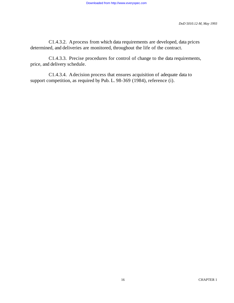C1.4.3.2. A process from which data requirements are developed, data prices determined, and deliveries are monitored, throughout the life of the contract.

C1.4.3.3. Precise procedures for control of change to the data requirements, price, and delivery schedule.

C1.4.3.4. A decision process that ensures acquisition of adequate data to support competition, as required by Pub. L. 98-369 (1984), reference (i).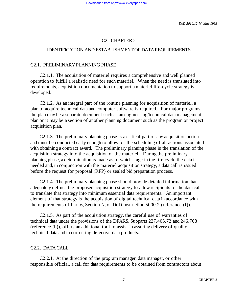*DoD 5010.12-M, May 1993*

## C2. CHAPTER 2

## IDENTIFICATION AND ESTABLISHMENT OF DATA REQUIREMENTS

#### C2.1. PRELIMINARY PLANNING PHASE

C2.1.1. The acquisition of materiel requires a comprehensive and well planned operation to fulfill a realistic need for such materiel. When the need is translated into requirements, acquisition documentation to support a materiel life-cycle strategy is developed.

C2.1.2. As an integral part of the routine planning for acquisition of materiel, a plan to acquire technical data and computer software is required. For major programs, the plan may be a separate document such as an engineering/technical data management plan or it may be a section of another planning document such as the program or project acquisition plan.

C2.1.3. The preliminary planning phase is a critical part of any acquisition action and must be conducted early enough to allow for the scheduling of all actions associated with obtaining a contract award. The preliminary planning phase is the translation of the acquisition strategy into the acquisition of the materiel. During the preliminary planning phase, a determination is made as to which stage in the life cycle the data is needed and, in conjunction with the materiel acquisition strategy, a data call is issued before the request for proposal (RFP) or sealed bid preparation process.

C2.1.4. The preliminary planning phase should provide detailed information that adequately defines the proposed acquisition strategy to allow recipients of the data call to translate that strategy into minimum essential data requirements. An important element of that strategy is the acquisition of digital technical data in accordance with the requirements of Part 6, Section N, of DoD Instruction 5000.2 (reference (f)).

C2.1.5. As part of the acquisition strategy, the careful use of warranties of technical data under the provisions of the DFARS, Subparts 227.405.72 and 246.708 (reference (b)), offers an additional tool to assist in assuring delivery of quality technical data and in correcting defective data products.

#### C2.2. DATA CALL

C2.2.1. At the direction of the program manager, data manager, or other responsible official, a call for data requirements to be obtained from contractors about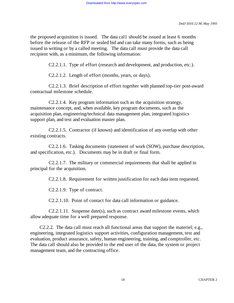the proposed acquisition is issued. The data cal1 should be issued at least 6 months before the release of the RFP or sealed bid and can take many forms, such as being issued in writing or by a called meeting. The data call must provide the data call recipient with, as a minimum, the following information:

C2.2.1.1. Type of effort (research and development, and production, etc.).

C2.2.1.2. Length of effort (months, years, or days).

C2.2.1.3. Brief description of effort together with planned top-tier post-award contractual milestone schedule.

C2.2.1.4. Key program information such as the acquisition strategy, maintenance concept, and, when available, key program documents, such as the acquisition plan, engineering/technical data management plan, integrated logistics support plan, and test and evaluation master plan.

C2.2.1.5. Contractor (if known) and identification of any overlap with other existing contracts.

C2.2.1.6. Tasking documents (statement of work (SOW), purchase description, and specification, etc.). Documents may be in draft or final form.

C2.2.1.7. The military or commercial requirements that shall be applied in principal for the acquisition.

C2.2.1.8. Requirement for written justification for each data item requested.

C2.2.1.9. Type of contract.

C2.2.1.10. Point of contact for data call information or guidance.

C2.2.1.11. Suspense date(s), such as contract award milestone events, which allow adequate time for a well prepared response.

C2.2.2. The data call must reach all functional areas that support the materiel; e.g., engineering, integrated logistics support activities, configuration management, test and evaluation, product assurance, safety, human engineering, training, and comptroller, etc. The data call should also be provided to the end user of the data, the system or project management team, and the contracting office.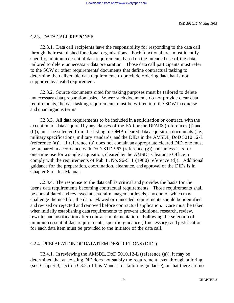#### C2.3. DATA CALL RESPONSE

C2.3.1. Data call recipients have the responsibility for responding to the data call through their established functional organizations. Each functional area must identify specific, minimum essential data requirements based on the intended use of the data, tailored to delete unnecessary data preparation. Those data call participants must refer to the SOW or other requirements' documents that define contractual tasking to determine the deliverable data requirements to preclude ordering data that is not supported by a valid requirement.

C2.3.2. Source documents cited for tasking purposes must be tailored to delete unnecessary data preparation tasks. Where such documents do not provide clear data requirements, the data tasking requirements must be written into the SOW in concise and unambiguous terms.

C2.3.3. All data requirements to be included in a solicitation or contract, with the exception of data acquired by any clauses of the FAR or the DFARS (references (j) and (b)), must be selected from the listing of OMB-cleared data acquisition documents (i.e., military specifications, military standards, and the DIDs in the AMSDL, DoD 5010.12-L (reference (a)). If reference (a) does not contain an appropriate cleared DID, one must be prepared in accordance with DoD-STD-963 (reference (g)) and, unless it is for one-time use for a single acquisition, cleared by the AMSDL Clearance Office to comply with the requirements of Pub. L. No. 96-511 (1980) reference (d)). Additional guidance for the preparation, coordination, clearance, and approval of the DIDs is in Chapter 8 of this Manual.

C2.3.4. The response to the data call is critical and provides the basis for the user's data requirements becoming contractual requirements. Those requirements shall be consolidated and reviewed at several management levels, any one of which may challenge the need for the data. Flawed or unneeded requirements should be identified and revised or rejected and removed before contractual application. Care must be taken when initially establishing data requirements to prevent additional research, review, rewrite, and justification after contract implementation. Following the selection of minimum essential data requirements, specific guidance (if necessary) and justification for each data item must be provided to the initiator of the data call.

#### C2.4. PREPARATION OF DATA ITEM DESCRIPTIONS (DIDs)

C2.4.1. In reviewing the AMSDL, DoD 5010.12-L (reference (a)), it may be determined that an existing DID does not satisfy the requirement, even through tailoring (see Chapter 3, section C3.2, of this Manual for tailoring guidance), or that there are no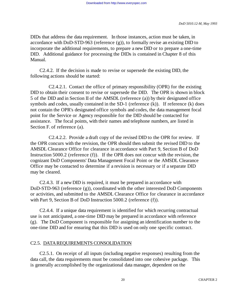DIDs that address the data requirement. In those instances, action must be taken, in accordance with DoD-STD-963 (reference (g)), to formally revise an existing DID to incorporate the additional requirements, to prepare a new DID or to prepare a one-time DID. Additional guidance for processing the DIDs is contained in Chapter 8 of this Manual.

C2.4.2. If the decision is made to revise or supersede the existing DID, the following actions should be started:

C2.4.2.1. Contact the office of primary responsibility (OPR) for the existing DID to obtain their consent to revise or supersede the DID. The OPR is shown in block 5 of the DID and in Section II of the AMSDL (reference (a)) by their designated office symbols and codes, usually contained in the SD-1 (reference (k)). If reference (k) does not contain the OPR's designated office symbols and codes, the data management focal point for the Service or Agency responsible for the DID should be contacted for assistance. The focal points, with their names and telephone numbers, are listed in Section F. of reference (a).

C2.4.2.2. Provide a draft copy of the revised DID to the OPR for review. If the OPR concurs with the revision, the OPR should then submit the revised DID to the AMSDL Clearance Office for clearance in accordance with Part 9, Section B of DoD Instruction 5000.2 (reference (f)). If the OPR does not concur with the revision, the cognizant DoD Components' Data Management Focal Point or the AMSDL Clearance Office may be contacted to determine if a revision is necessary or if a separate DID may be cleared.

C2.4.3. If a new DID is required, it must be prepared in accordance with DoD-STD-963 (reference (g)), coordinated with the other interested DoD Components or activities, and submitted to the AMSDL Clearance Office for clearance in accordance with Part 9, Section B of DoD Instruction 5000.2 (reference (f)).

C2.4.4. If a unique data requirement is identified for which recurring contractual use is not anticipated, a one-time DID may be prepared in accordance with reference (g). The DoD Component is responsible for assigning an identification number to the one-time DID and for ensuring that this DID is used on only one specific contract.

#### C2.5. DATA REQUIREMENTS CONSOLIDATION

C2.5.1. On receipt of all inputs (including negative responses) resulting from the data call, the data requirements must be consolidated into one cohesive package. This is generally accomplished by the organizational data manager, dependent on the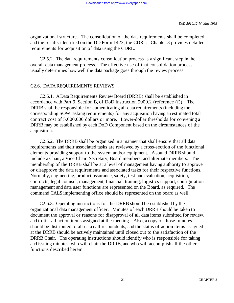organizational structure. The consolidation of the data requirements shall be completed and the results identified on the DD Form 1423, the CDRL. Chapter 3 provides detailed requirements for acquisition of data using the CDRL.

C2.5.2. The data requirements consolidation process is a significant step in the overall data management process. The effective use of that consolidation process usually determines how well the data package goes through the review process.

## C2.6. DATA REQUIREMENTS REVIEWS

C2.6.1. A Data Requirements Review Board (DRRB) shall be established in accordance with Part 9, Section B, of DoD Instruction 5000.2 (reference (f)). The DRRB shall be responsible for authenticating all data requirements (including the corresponding SOW tasking requirements) for any acquisition having an estimated total contract cost of 5,000,000 dollars or more. Lower-dollar thresholds for convening a DRRB may be established by each DoD Component based on the circumstances of the acquisition.

C2.6.2. The DRRB shall be organized in a manner that shall ensure that all data requirements and their associated tasks are reviewed by a cross-section of the functional elements providing support to the system and/or equipment. A sound DRRB should include a Chair, a Vice Chair, Secretary, Board members, and alternate members. The membership of the DRRB shall be at a level of management having authority to approve or disapprove the data requirements and associated tasks for their respective functions. Normally, engineering, product assurance, safety, test and evaluation, acquisition, contracts, legal counsel, management, financial, training, logistics support, configuration management and data user functions are represented on the Board, as required. The command CALS implementing office should be represented on the board as well.

C2.6.3. Operating instructions for the DRRB should be established by the organizational data management officer. Minutes of each DRRB should be taken to document the approval or reasons for disapproval of all data items submitted for review, and to list all action items assigned at the meeting. Also, a copy of those minutes should be distributed to all data call respondents, and the status of action items assigned at the DRRB should be actively maintained until closed out to the satisfaction of the DRRB Chair. The operating instructions should identify who is responsible for taking and issuing minutes, who will chair the DRRB, and who will accomplish all the other functions described herein.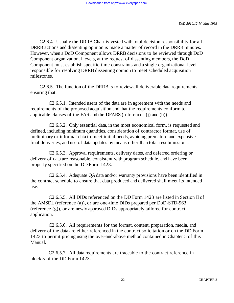C2.6.4. Usually the DRRB Chair is vested with total decision responsibility for all DRRB actions and dissenting opinion is made a matter of record in the DRRB minutes. However, when a DoD Component allows DRRB decisions to be reviewed through DoD Component organizational levels, at the request of dissenting members, the DoD Component must establish specific time constraints and a single organizational level responsible for resolving DRRB dissenting opinion to meet scheduled acquisition milestones.

C2.6.5. The function of the DRRB is to review all deliverable data requirements, ensuring that:

C2.6.5.1. Intended users of the data are in agreement with the needs and requirements of the proposed acquisition and that the requirements conform to applicable clauses of the FAR and the DFARS (references (j) and (b)).

C2.6.5.2. Only essential data, in the most economical form, is requested and defined, including minimum quantities, consideration of contractor format, use of preliminary or informal data to meet initial needs, avoiding premature and expensive final deliveries, and use of data updates by means other than total resubmissions.

C2.6.5.3. Approval requirements, delivery dates, and deferred ordering or delivery of data are reasonable, consistent with program schedule, and have been properly specified on the DD Form 1423.

C2.6.5.4. Adequate QA data and/or warranty provisions have been identified in the contract schedule to ensure that data produced and delivered shall meet its intended use.

C2.6.5.5. All DIDs referenced on the DD Form 1423 are listed in Section II of the AMSDL (reference (a)), or are one-time DIDs prepared per DoD-STD-963 (reference (g)), or are newly approved DIDs appropriately tailored for contract application.

C2.6.5.6. All requirements for the format, content, preparation, media, and delivery of the data are either referenced in the contract solicitation or on the DD Form 1423 to permit pricing using the over-and-above method contained in Chapter 5 of this Manual.

C2.6.5.7. All data requirements are traceable to the contract reference in block 5 of the DD Form 1423.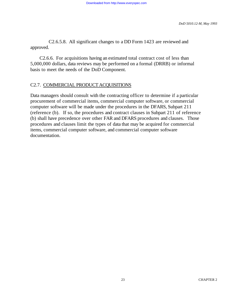C2.6.5.8. All significant changes to a DD Form 1423 are reviewed and approved.

C2.6.6. For acquisitions having an estimated total contract cost of less than 5,000,000 dollars, data reviews may be performed on a formal (DRRB) or informal basis to meet the needs of the DoD Component.

## C2.7. COMMERCIAL PRODUCT ACQUISITIONS

Data managers should consult with the contracting officer to determine if a particular procurement of commercial items, commercial computer software, or commercial computer software will be made under the procedures in the DFARS, Subpart 211 (reference (b). If so, the procedures and contract clauses in Subpart 211 of reference (b) shall have precedence over other FAR and DFARS procedures and clauses. Those procedures and clauses limit the types of data that may be acquired for commercial items, commercial computer software, and commercial computer software documentation.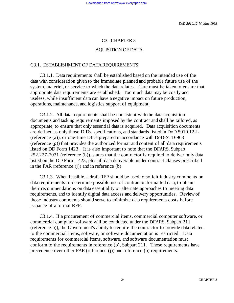*DoD 5010.12-M, May 1993*

## C3. CHAPTER 3

## AQUISITION OF DATA

#### C3.1. ESTABLISHMENT OF DATA REQUIREMENTS

C3.1.1. Data requirements shall be established based on the intended use of the data with consideration given to the immediate planned and probable future use of the system, materiel, or service to which the data relates. Care must be taken to ensure that appropriate data requirements are established. Too much data may be costly and useless, while insufficient data can have a negative impact on future production, operations, maintenance, and logistics support of equipment.

C3.1.2. All data requirements shall be consistent with the data acquisition documents and tasking requirements imposed by the contract and shall be tailored, as appropriate, to ensure that only essential data is acquired. Data acquisition documents are defined as only those DIDs, specifications, and standards listed in DoD 5010.12-L (reference (a)), or one-time DIDs prepared in accordance with DoD-STD-963 (reference (g)) that provides the authorized format and content of all data requirements listed on DD Form 1423. It is also important to note that the DFARS, Subpart 252.227-7031 (reference (b)), states that the contractor is required to deliver only data listed on the DD Form 1423, plus all data deliverable under contract clauses prescribed in the FAR (reference  $(i)$ ) and in reference  $(b)$ .

C3.1.3. When feasible, a draft RFP should be used to solicit industry comments on data requirements to determine possible use of contractor-formatted data, to obtain their recommendations on data essentiality or alternate approaches to meeting data requirements, and to identify digital data access and delivery opportunities. Review of those industry comments should serve to minimize data requirements costs before issuance of a formal RFP.

C3.1.4. If a procurement of commercial items, commercial computer software, or commercial computer software will be conducted under the DFARS, Subpart 211 (reference b)), the Government's ability to require the contractor to provide data related to the commercial items, software, or software documentation is restricted. Data requirements for commercial items, software, and software documentation must conform to the requirements in reference (b), Subpart 211. Those requirements have precedence over other FAR (reference (j)) and reference (b) requirements.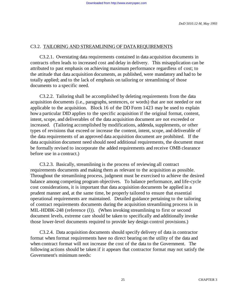#### C3.2. TAILORING AND STREAMLINING OF DATA REQUIREMENTS

C3.2.1. Overstating data requirements contained in data acquisition documents in contracts often leads to increased cost and delay in delivery. This misapplication can be attributed to past emphasis on achieving maximum performance regardless of cost; to the attitude that data acquisition documents, as published, were mandatory and had to be totally applied; and to the lack of emphasis on tailoring or streamlining of those documents to a specific need.

C3.2.2. Tailoring shall be accomplished by deleting requirements from the data acquisition documents (i.e., paragraphs, sentences, or words) that are not needed or not applicable to the acquisition. Block 16 of the DD Form 1423 may be used to explain how a particular DID applies to the specific acquisition if the original format, content, intent, scope, and deliverables of the data acquisition document are not exceeded or increased. (Tailoring accomplished by modifications, addenda, supplements, or other types of revisions that exceed or increase the content, intent, scope, and deliverable of the data requirements of an approved data acquisition document are prohibited. If the data acquisition document need should need additional requirements, the document must be formally revised to incorporate the added requirements and receive OMB clearance before use in a contract.)

C3.2.3. Basically, streamlining is the process of reviewing all contract requirements documents and making them as relevant to the acquisition as possible. Throughout the streamlining process, judgment must be exercised to achieve the desired balance among competing program objectives. To balance performance, and life-cycle cost considerations, it is important that data acquisition documents be applied in a prudent manner and, at the same time, be properly tailored to ensure that essential operational requirements are maintained. Detailed guidance pertaining to the tailoring of contract requirements documents during the acquisition streamlining process is in MIL-HDBK-248 (reference (1)). (When invoking streamlining to first or second document levels, extreme care should be taken to specifically and additionally invoke those lower-level documents required to provide key design control provisions.)

C3.2.4. Data acquisition documents should specify delivery of data in contractor format when format requirements have no direct bearing on the utility of the data and when contract format will not increase the cost of the data to the Government. The following actions should be taken if it appears that contractor format may not satisfy the Government's minimum needs: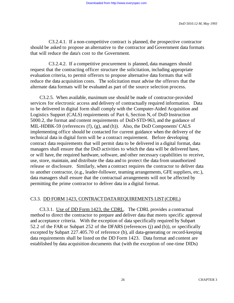C3.2.4.1. If a non-competitive contract is planned, the prospective contractor should be asked to propose an alternative to the contractor and Government data formats that will reduce the data's cost to the Government.

C3.2.4.2. If a competitive procurement is planned, data managers should request that the contracting officer structure the solicitation, including appropriate evaluation criteria, to permit offerors to propose alternative data formats that will reduce the data acquisition costs. The solicitation must advise the offerors that the alternate data formats will be evaluated as part of the source selection process.

C3.2.5. When available, maximum use should be made of contractor-provided services for electronic access and delivery of contractually required information. Data to be delivered in digital form shall comply with the Computer-Aided Acquisition and Logistics Support (CALS) requirements of Part 6, Section N, of DoD Instruction 5000.2, the format and content requirements of DoD-STD-963, and the guidance of MIL-HDBK-59 (references (f), (g), and (h)). Also, the DoD Components' CALS implementing office should be contacted for current guidance when the delivery of the technical data in digital form will be a contract requirement. Before developing contract data requirements that will permit data to be delivered in a digital format, data managers shall ensure that the DoD activities to which the data will be delivered have, or will have, the required hardware, software, and other necessary capabilities to receive, use, store, maintain, and distribute the data and to protect the data from unauthorized release or disclosure. Similarly, when a contract requires the contractor to deliver data to another contractor, (e.g., leader-follower, teaming arrangements, GFE suppliers, etc.), data managers shall ensure that the contractual arrangements will not be affected by permitting the prime contractor to deliver data in a digital format.

## C3.3. DD FORM 1423, CONTRACT DATA REQUIREMENTS LIST (CDRL)

C3.3.1. Use of DD Form 1423, the CDRL. The CDRL provides a contractual method to direct the contractor to prepare and deliver data that meets specific approval and acceptance criteria. With the exception of data specifically required by Subpart 52.2 of the FAR or Subpart 252 of the DFARS (references (j) and (b)), or specifically excepted by Subpart 227.405.70 of reference (b), all data-generating or record-keeping data requirements shall be listed on the DD Form 1423. Data format and content are established by data acquisition documents that (with the exception of one-time DIDs)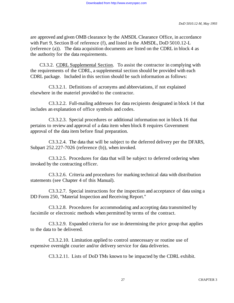are approved and given OMB clearance by the AMSDL Clearance Office, in accordance with Part 9, Section B of reference (f), and listed in the AMSDL, DoD 5010.12-L (reference (a)). The data acquisition documents are listed on the CDRL in block 4 as the authority for the data requirements.

C3.3.2. CDRL Supplemental Section. To assist the contractor in complying with the requirements of the CDRL, a supplemental section should be provided with each CDRL package. Included in this section should be such information as follows:

C3.3.2.1. Definitions of acronyms and abbreviations, if not explained elsewhere in the materiel provided to the contractor.

C3.3.2.2. Full-mailing addresses for data recipients designated in block 14 that includes an explanation of office symbols and codes.

C3.3.2.3. Special procedures or additional information not in block 16 that pertains to review and approval of a data item when block 8 requires Government approval of the data item before final preparation.

C3.3.2.4. The data that will be subject to the deferred delivery per the DFARS, Subpart 252.227-7026 (reference (b)), when invoked.

C3.3.2.5. Procedures for data that will be subject to deferred ordering when invoked by the contracting officer.

C3.3.2.6. Criteria and procedures for marking technical data with distribution statements (see Chapter 4 of this Manual).

C3.3.2.7. Special instructions for the inspection and acceptance of data using a DD Form 250, "Material Inspection and Receiving Report."

C3.3.2.8. Procedures for accommodating and accepting data transmitted by facsimile or electronic methods when permitted by terms of the contract.

C3.3.2.9. Expanded criteria for use in determining the price group that applies to the data to be delivered.

C3.3.2.10. Limitation applied to control unnecessary or routine use of expensive overnight courier and/or delivery service for data deliveries.

C3.3.2.11. Lists of DoD TMs known to be impacted by the CDRL exhibit.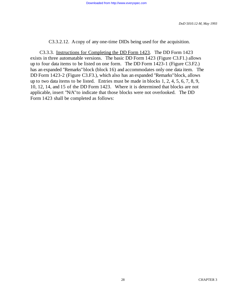C3.3.2.12. A copy of any one-time DIDs being used for the acquisition.

C3.3.3. Instructions for Completing the DD Form 1423. The DD Form 1423 exists in three automatable versions. The basic DD Form 1423 (Figure C3.F1.) allows up to four data items to be listed on one form. The DD Form 1423-1 (Figure C3.F2.) has an expanded "Remarks" block (block 16) and accommodates only one data item. The DD Form 1423-2 (Figure C3.F3.), which also has an expanded "Remarks" block, allows up to two data items to be listed. Entries must be made in blocks 1, 2, 4, 5, 6, 7, 8, 9, 10, 12, 14, and 15 of the DD Form 1423. Where it is determined that blocks are not applicable, insert "N/A" to indicate that those blocks were not overlooked. The DD Form 1423 shall be completed as follows: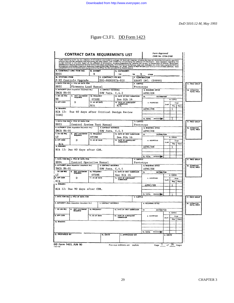# Figure C3.F1. DD Form 1423

| Public reporting burden for this collection of information is retimated to average add hours per requirements including the time for reviewing instructions, searching<br>burden estimate or any other appears of this collection<br>A. CONTRACT LINE ITEM NO.<br><b>B. EXHIBIT</b><br>C. CATEGORY:<br>В<br>TDP<br>X<br>OTHER<br>TM<br>D. SYSTEM/ITEM<br>E. CONTRACT/PR NO.<br><b>F. CONTRACTOR</b><br>F-99 Controls Upgrade<br>D92-8000097A-920<br>XSOFT INC. (D9999)<br>1. DATA ITEM NO. 2. TITLE OF DATA ITEM<br>3. SUBTITLE<br>17. PRICE GROUP<br>Firmware Load Manual<br>Prototype<br>4. AUTHORITY (Data Acquisition Document No.)<br><b>5. CONTRACT REFERENCE</b><br><b>6. REQUIRING OFFICE</b><br>18. ESTIMATED<br>TOTAL PRICE<br>TMCR 86-01<br>SOW Para. C.4.2<br>AFMC/EN<br>DIST STATEMENT<br><b>10. FREQUENCY</b><br><b>12. DATE OF FIRST SUBMISSION</b><br>9.<br>14.<br><b>DISTRIBUTION</b><br>REQUIRED<br>OTIME<br>See Blk 16<br><b>b.</b> COPIES<br>D<br>11. AS OF DATE<br>13. DATE OF SUBSEQUENT<br>a. ADDRESSEE<br>Final<br>Draft<br>N/A<br>Req<br>Repro<br>AFMC/EN<br>1<br>B1k 12:<br>Due 60 days after Critical Design Review<br>(CDR)<br>1<br><b>15. TOTAL</b><br>1. DATA ITEM NO. 2. TITLE OF DATA ITEM<br>3. SUBTITLE<br>17. PRICE GROUP<br>0003<br>Control System Test Manual<br>Prototype<br>4. AUTHORITY (Data Acquisition Document No.)<br><b>S. CONTRACT REFERENCE</b><br><b>6. REQUIRING OFFICE</b><br>18. ESTIMATED<br>TMCR 86-01<br>SOW Para. $C.4.3$<br>AFMC/EN<br>7. DD 250 REQ<br>DIST STATEMENT<br>10 FREQUENCY<br>9.<br>12. DATE OF FIRST SUBMISSION<br>14.<br>DISTRIBUTION<br>LT<br>OTIME<br>See Blk 16<br><b>b</b> coeirs<br>& APP CODE<br>D<br>11. AS OF DATE<br>13. DATE OF SUBSEQUENT<br><b>a. ADDRESSEE</b><br>Final<br>Draft<br>Rea<br>Repro<br>MА<br>16. REMARKS<br>AFMC/EN<br>Blk 12: Due 60 days after CDR.<br>15. TOTAL<br>1. DATA ITEM NO. 2. TITLE OF DATA ITEM<br>3. SUBTITLE<br>Control Operation Manual<br>Prototype<br>4. AUTHORITY (Data Acquisition Document No.)<br><b>S. CONTRACT REFERENCE</b><br><b>6. REQUIRING OFFICE</b><br><b>18. ESTIMATED</b><br>TOTAL PRICE<br>TMCR 86-01<br>SOW Para. C.4.4<br>AFMC/EN<br>DIST STATEMENT<br><b>10. FREQUENCY</b><br>12. DATE OF FIRST SUBMISSION<br>٩.<br>14.<br><b>DISTRIBUTION</b><br><b>OTIME</b><br>See Blk 16<br><b>b. COPIES</b><br><b>11. AS OF DATE</b><br>13. DATE OF SUBSEQUENT<br>D<br>a. ADDRESSEE<br>Final<br>Draft<br>Req<br>Repro<br>AFMC/EN<br>Blk 12: Due 90 days after CDR.<br><b>15. TOTAL</b><br>1. DATA ITEM NO. 2. TITLE OF DATA ITEM<br>3. SUBTITLE<br>17. PRICE GROUP<br>4. AUTHORITY (Data Acquisition Document No.)<br><b>S. CONTRACT REFERENCE</b><br><b>6. REQUIRING OFFICE</b><br>18. ESTIMATED<br>DIST STATEMENT<br>10. FREQUENCY<br>9.<br>12. DATE OF FIRST SUBMISSION<br><b>DISTRIBUTION</b><br>14<br><b>REQUIRED</b><br><b>b. COPIES</b><br>11. AS OF DATE<br>13. DATE OF SUBSEQUENT<br>a. ADDRESSEE<br>Final<br><b>Draft</b><br>Repro<br>Reg<br>16. REMARKS<br>15. TOTAL<br><b>G. PREPARED BY</b><br>H. DATE<br><b>L APPROVED BY</b><br>J. DATE<br>DD Form 1423, JUN 90<br>$Page$ $T$<br><sub>of</sub> 36 <sub>Pages</sub><br>Previous editions are asolete |                    | CONTRACT DATA REQUIREMENTS LIST |  | Form Approved<br>OMB No. 0704-0188 |  |  |  |  |  |                 |                    |
|-----------------------------------------------------------------------------------------------------------------------------------------------------------------------------------------------------------------------------------------------------------------------------------------------------------------------------------------------------------------------------------------------------------------------------------------------------------------------------------------------------------------------------------------------------------------------------------------------------------------------------------------------------------------------------------------------------------------------------------------------------------------------------------------------------------------------------------------------------------------------------------------------------------------------------------------------------------------------------------------------------------------------------------------------------------------------------------------------------------------------------------------------------------------------------------------------------------------------------------------------------------------------------------------------------------------------------------------------------------------------------------------------------------------------------------------------------------------------------------------------------------------------------------------------------------------------------------------------------------------------------------------------------------------------------------------------------------------------------------------------------------------------------------------------------------------------------------------------------------------------------------------------------------------------------------------------------------------------------------------------------------------------------------------------------------------------------------------------------------------------------------------------------------------------------------------------------------------------------------------------------------------------------------------------------------------------------------------------------------------------------------------------------------------------------------------------------------------------------------------------------------------------------------------------------------------------------------------------------------------------------------------------------------------------------------------------------------------------------------------------------------------------------------------------------------------------------------------------------------------------------------------------------------------------------------------------------------------------------------------------------------------------------------------------------------------------------------------------------------------------------------------------------------------------------------------------|--------------------|---------------------------------|--|------------------------------------|--|--|--|--|--|-----------------|--------------------|
|                                                                                                                                                                                                                                                                                                                                                                                                                                                                                                                                                                                                                                                                                                                                                                                                                                                                                                                                                                                                                                                                                                                                                                                                                                                                                                                                                                                                                                                                                                                                                                                                                                                                                                                                                                                                                                                                                                                                                                                                                                                                                                                                                                                                                                                                                                                                                                                                                                                                                                                                                                                                                                                                                                                                                                                                                                                                                                                                                                                                                                                                                                                                                                                               |                    |                                 |  |                                    |  |  |  |  |  |                 |                    |
|                                                                                                                                                                                                                                                                                                                                                                                                                                                                                                                                                                                                                                                                                                                                                                                                                                                                                                                                                                                                                                                                                                                                                                                                                                                                                                                                                                                                                                                                                                                                                                                                                                                                                                                                                                                                                                                                                                                                                                                                                                                                                                                                                                                                                                                                                                                                                                                                                                                                                                                                                                                                                                                                                                                                                                                                                                                                                                                                                                                                                                                                                                                                                                                               |                    |                                 |  |                                    |  |  |  |  |  |                 |                    |
|                                                                                                                                                                                                                                                                                                                                                                                                                                                                                                                                                                                                                                                                                                                                                                                                                                                                                                                                                                                                                                                                                                                                                                                                                                                                                                                                                                                                                                                                                                                                                                                                                                                                                                                                                                                                                                                                                                                                                                                                                                                                                                                                                                                                                                                                                                                                                                                                                                                                                                                                                                                                                                                                                                                                                                                                                                                                                                                                                                                                                                                                                                                                                                                               | 0001               |                                 |  |                                    |  |  |  |  |  |                 |                    |
|                                                                                                                                                                                                                                                                                                                                                                                                                                                                                                                                                                                                                                                                                                                                                                                                                                                                                                                                                                                                                                                                                                                                                                                                                                                                                                                                                                                                                                                                                                                                                                                                                                                                                                                                                                                                                                                                                                                                                                                                                                                                                                                                                                                                                                                                                                                                                                                                                                                                                                                                                                                                                                                                                                                                                                                                                                                                                                                                                                                                                                                                                                                                                                                               |                    |                                 |  |                                    |  |  |  |  |  |                 |                    |
|                                                                                                                                                                                                                                                                                                                                                                                                                                                                                                                                                                                                                                                                                                                                                                                                                                                                                                                                                                                                                                                                                                                                                                                                                                                                                                                                                                                                                                                                                                                                                                                                                                                                                                                                                                                                                                                                                                                                                                                                                                                                                                                                                                                                                                                                                                                                                                                                                                                                                                                                                                                                                                                                                                                                                                                                                                                                                                                                                                                                                                                                                                                                                                                               |                    |                                 |  |                                    |  |  |  |  |  |                 |                    |
|                                                                                                                                                                                                                                                                                                                                                                                                                                                                                                                                                                                                                                                                                                                                                                                                                                                                                                                                                                                                                                                                                                                                                                                                                                                                                                                                                                                                                                                                                                                                                                                                                                                                                                                                                                                                                                                                                                                                                                                                                                                                                                                                                                                                                                                                                                                                                                                                                                                                                                                                                                                                                                                                                                                                                                                                                                                                                                                                                                                                                                                                                                                                                                                               |                    |                                 |  |                                    |  |  |  |  |  |                 |                    |
|                                                                                                                                                                                                                                                                                                                                                                                                                                                                                                                                                                                                                                                                                                                                                                                                                                                                                                                                                                                                                                                                                                                                                                                                                                                                                                                                                                                                                                                                                                                                                                                                                                                                                                                                                                                                                                                                                                                                                                                                                                                                                                                                                                                                                                                                                                                                                                                                                                                                                                                                                                                                                                                                                                                                                                                                                                                                                                                                                                                                                                                                                                                                                                                               | 0002               |                                 |  |                                    |  |  |  |  |  |                 |                    |
|                                                                                                                                                                                                                                                                                                                                                                                                                                                                                                                                                                                                                                                                                                                                                                                                                                                                                                                                                                                                                                                                                                                                                                                                                                                                                                                                                                                                                                                                                                                                                                                                                                                                                                                                                                                                                                                                                                                                                                                                                                                                                                                                                                                                                                                                                                                                                                                                                                                                                                                                                                                                                                                                                                                                                                                                                                                                                                                                                                                                                                                                                                                                                                                               |                    |                                 |  |                                    |  |  |  |  |  |                 |                    |
|                                                                                                                                                                                                                                                                                                                                                                                                                                                                                                                                                                                                                                                                                                                                                                                                                                                                                                                                                                                                                                                                                                                                                                                                                                                                                                                                                                                                                                                                                                                                                                                                                                                                                                                                                                                                                                                                                                                                                                                                                                                                                                                                                                                                                                                                                                                                                                                                                                                                                                                                                                                                                                                                                                                                                                                                                                                                                                                                                                                                                                                                                                                                                                                               |                    |                                 |  |                                    |  |  |  |  |  |                 |                    |
|                                                                                                                                                                                                                                                                                                                                                                                                                                                                                                                                                                                                                                                                                                                                                                                                                                                                                                                                                                                                                                                                                                                                                                                                                                                                                                                                                                                                                                                                                                                                                                                                                                                                                                                                                                                                                                                                                                                                                                                                                                                                                                                                                                                                                                                                                                                                                                                                                                                                                                                                                                                                                                                                                                                                                                                                                                                                                                                                                                                                                                                                                                                                                                                               | 7. DD 250 REQ      |                                 |  |                                    |  |  |  |  |  |                 |                    |
|                                                                                                                                                                                                                                                                                                                                                                                                                                                                                                                                                                                                                                                                                                                                                                                                                                                                                                                                                                                                                                                                                                                                                                                                                                                                                                                                                                                                                                                                                                                                                                                                                                                                                                                                                                                                                                                                                                                                                                                                                                                                                                                                                                                                                                                                                                                                                                                                                                                                                                                                                                                                                                                                                                                                                                                                                                                                                                                                                                                                                                                                                                                                                                                               | DD                 |                                 |  |                                    |  |  |  |  |  |                 |                    |
|                                                                                                                                                                                                                                                                                                                                                                                                                                                                                                                                                                                                                                                                                                                                                                                                                                                                                                                                                                                                                                                                                                                                                                                                                                                                                                                                                                                                                                                                                                                                                                                                                                                                                                                                                                                                                                                                                                                                                                                                                                                                                                                                                                                                                                                                                                                                                                                                                                                                                                                                                                                                                                                                                                                                                                                                                                                                                                                                                                                                                                                                                                                                                                                               | 8. APP CODE        |                                 |  |                                    |  |  |  |  |  |                 |                    |
|                                                                                                                                                                                                                                                                                                                                                                                                                                                                                                                                                                                                                                                                                                                                                                                                                                                                                                                                                                                                                                                                                                                                                                                                                                                                                                                                                                                                                                                                                                                                                                                                                                                                                                                                                                                                                                                                                                                                                                                                                                                                                                                                                                                                                                                                                                                                                                                                                                                                                                                                                                                                                                                                                                                                                                                                                                                                                                                                                                                                                                                                                                                                                                                               |                    |                                 |  |                                    |  |  |  |  |  |                 |                    |
|                                                                                                                                                                                                                                                                                                                                                                                                                                                                                                                                                                                                                                                                                                                                                                                                                                                                                                                                                                                                                                                                                                                                                                                                                                                                                                                                                                                                                                                                                                                                                                                                                                                                                                                                                                                                                                                                                                                                                                                                                                                                                                                                                                                                                                                                                                                                                                                                                                                                                                                                                                                                                                                                                                                                                                                                                                                                                                                                                                                                                                                                                                                                                                                               | 16. REMARKS        |                                 |  |                                    |  |  |  |  |  |                 |                    |
|                                                                                                                                                                                                                                                                                                                                                                                                                                                                                                                                                                                                                                                                                                                                                                                                                                                                                                                                                                                                                                                                                                                                                                                                                                                                                                                                                                                                                                                                                                                                                                                                                                                                                                                                                                                                                                                                                                                                                                                                                                                                                                                                                                                                                                                                                                                                                                                                                                                                                                                                                                                                                                                                                                                                                                                                                                                                                                                                                                                                                                                                                                                                                                                               |                    |                                 |  |                                    |  |  |  |  |  |                 |                    |
|                                                                                                                                                                                                                                                                                                                                                                                                                                                                                                                                                                                                                                                                                                                                                                                                                                                                                                                                                                                                                                                                                                                                                                                                                                                                                                                                                                                                                                                                                                                                                                                                                                                                                                                                                                                                                                                                                                                                                                                                                                                                                                                                                                                                                                                                                                                                                                                                                                                                                                                                                                                                                                                                                                                                                                                                                                                                                                                                                                                                                                                                                                                                                                                               |                    |                                 |  |                                    |  |  |  |  |  |                 |                    |
|                                                                                                                                                                                                                                                                                                                                                                                                                                                                                                                                                                                                                                                                                                                                                                                                                                                                                                                                                                                                                                                                                                                                                                                                                                                                                                                                                                                                                                                                                                                                                                                                                                                                                                                                                                                                                                                                                                                                                                                                                                                                                                                                                                                                                                                                                                                                                                                                                                                                                                                                                                                                                                                                                                                                                                                                                                                                                                                                                                                                                                                                                                                                                                                               |                    |                                 |  |                                    |  |  |  |  |  |                 |                    |
|                                                                                                                                                                                                                                                                                                                                                                                                                                                                                                                                                                                                                                                                                                                                                                                                                                                                                                                                                                                                                                                                                                                                                                                                                                                                                                                                                                                                                                                                                                                                                                                                                                                                                                                                                                                                                                                                                                                                                                                                                                                                                                                                                                                                                                                                                                                                                                                                                                                                                                                                                                                                                                                                                                                                                                                                                                                                                                                                                                                                                                                                                                                                                                                               |                    |                                 |  |                                    |  |  |  |  |  |                 |                    |
|                                                                                                                                                                                                                                                                                                                                                                                                                                                                                                                                                                                                                                                                                                                                                                                                                                                                                                                                                                                                                                                                                                                                                                                                                                                                                                                                                                                                                                                                                                                                                                                                                                                                                                                                                                                                                                                                                                                                                                                                                                                                                                                                                                                                                                                                                                                                                                                                                                                                                                                                                                                                                                                                                                                                                                                                                                                                                                                                                                                                                                                                                                                                                                                               |                    |                                 |  |                                    |  |  |  |  |  |                 |                    |
|                                                                                                                                                                                                                                                                                                                                                                                                                                                                                                                                                                                                                                                                                                                                                                                                                                                                                                                                                                                                                                                                                                                                                                                                                                                                                                                                                                                                                                                                                                                                                                                                                                                                                                                                                                                                                                                                                                                                                                                                                                                                                                                                                                                                                                                                                                                                                                                                                                                                                                                                                                                                                                                                                                                                                                                                                                                                                                                                                                                                                                                                                                                                                                                               |                    |                                 |  |                                    |  |  |  |  |  |                 |                    |
|                                                                                                                                                                                                                                                                                                                                                                                                                                                                                                                                                                                                                                                                                                                                                                                                                                                                                                                                                                                                                                                                                                                                                                                                                                                                                                                                                                                                                                                                                                                                                                                                                                                                                                                                                                                                                                                                                                                                                                                                                                                                                                                                                                                                                                                                                                                                                                                                                                                                                                                                                                                                                                                                                                                                                                                                                                                                                                                                                                                                                                                                                                                                                                                               |                    |                                 |  |                                    |  |  |  |  |  |                 | <b>TOTAL PRICE</b> |
|                                                                                                                                                                                                                                                                                                                                                                                                                                                                                                                                                                                                                                                                                                                                                                                                                                                                                                                                                                                                                                                                                                                                                                                                                                                                                                                                                                                                                                                                                                                                                                                                                                                                                                                                                                                                                                                                                                                                                                                                                                                                                                                                                                                                                                                                                                                                                                                                                                                                                                                                                                                                                                                                                                                                                                                                                                                                                                                                                                                                                                                                                                                                                                                               |                    |                                 |  |                                    |  |  |  |  |  |                 |                    |
|                                                                                                                                                                                                                                                                                                                                                                                                                                                                                                                                                                                                                                                                                                                                                                                                                                                                                                                                                                                                                                                                                                                                                                                                                                                                                                                                                                                                                                                                                                                                                                                                                                                                                                                                                                                                                                                                                                                                                                                                                                                                                                                                                                                                                                                                                                                                                                                                                                                                                                                                                                                                                                                                                                                                                                                                                                                                                                                                                                                                                                                                                                                                                                                               |                    |                                 |  |                                    |  |  |  |  |  |                 |                    |
|                                                                                                                                                                                                                                                                                                                                                                                                                                                                                                                                                                                                                                                                                                                                                                                                                                                                                                                                                                                                                                                                                                                                                                                                                                                                                                                                                                                                                                                                                                                                                                                                                                                                                                                                                                                                                                                                                                                                                                                                                                                                                                                                                                                                                                                                                                                                                                                                                                                                                                                                                                                                                                                                                                                                                                                                                                                                                                                                                                                                                                                                                                                                                                                               |                    |                                 |  |                                    |  |  |  |  |  |                 |                    |
|                                                                                                                                                                                                                                                                                                                                                                                                                                                                                                                                                                                                                                                                                                                                                                                                                                                                                                                                                                                                                                                                                                                                                                                                                                                                                                                                                                                                                                                                                                                                                                                                                                                                                                                                                                                                                                                                                                                                                                                                                                                                                                                                                                                                                                                                                                                                                                                                                                                                                                                                                                                                                                                                                                                                                                                                                                                                                                                                                                                                                                                                                                                                                                                               |                    |                                 |  |                                    |  |  |  |  |  |                 |                    |
|                                                                                                                                                                                                                                                                                                                                                                                                                                                                                                                                                                                                                                                                                                                                                                                                                                                                                                                                                                                                                                                                                                                                                                                                                                                                                                                                                                                                                                                                                                                                                                                                                                                                                                                                                                                                                                                                                                                                                                                                                                                                                                                                                                                                                                                                                                                                                                                                                                                                                                                                                                                                                                                                                                                                                                                                                                                                                                                                                                                                                                                                                                                                                                                               |                    |                                 |  |                                    |  |  |  |  |  |                 |                    |
|                                                                                                                                                                                                                                                                                                                                                                                                                                                                                                                                                                                                                                                                                                                                                                                                                                                                                                                                                                                                                                                                                                                                                                                                                                                                                                                                                                                                                                                                                                                                                                                                                                                                                                                                                                                                                                                                                                                                                                                                                                                                                                                                                                                                                                                                                                                                                                                                                                                                                                                                                                                                                                                                                                                                                                                                                                                                                                                                                                                                                                                                                                                                                                                               |                    |                                 |  |                                    |  |  |  |  |  |                 |                    |
|                                                                                                                                                                                                                                                                                                                                                                                                                                                                                                                                                                                                                                                                                                                                                                                                                                                                                                                                                                                                                                                                                                                                                                                                                                                                                                                                                                                                                                                                                                                                                                                                                                                                                                                                                                                                                                                                                                                                                                                                                                                                                                                                                                                                                                                                                                                                                                                                                                                                                                                                                                                                                                                                                                                                                                                                                                                                                                                                                                                                                                                                                                                                                                                               |                    |                                 |  |                                    |  |  |  |  |  |                 |                    |
|                                                                                                                                                                                                                                                                                                                                                                                                                                                                                                                                                                                                                                                                                                                                                                                                                                                                                                                                                                                                                                                                                                                                                                                                                                                                                                                                                                                                                                                                                                                                                                                                                                                                                                                                                                                                                                                                                                                                                                                                                                                                                                                                                                                                                                                                                                                                                                                                                                                                                                                                                                                                                                                                                                                                                                                                                                                                                                                                                                                                                                                                                                                                                                                               |                    |                                 |  |                                    |  |  |  |  |  |                 |                    |
|                                                                                                                                                                                                                                                                                                                                                                                                                                                                                                                                                                                                                                                                                                                                                                                                                                                                                                                                                                                                                                                                                                                                                                                                                                                                                                                                                                                                                                                                                                                                                                                                                                                                                                                                                                                                                                                                                                                                                                                                                                                                                                                                                                                                                                                                                                                                                                                                                                                                                                                                                                                                                                                                                                                                                                                                                                                                                                                                                                                                                                                                                                                                                                                               |                    |                                 |  |                                    |  |  |  |  |  |                 |                    |
|                                                                                                                                                                                                                                                                                                                                                                                                                                                                                                                                                                                                                                                                                                                                                                                                                                                                                                                                                                                                                                                                                                                                                                                                                                                                                                                                                                                                                                                                                                                                                                                                                                                                                                                                                                                                                                                                                                                                                                                                                                                                                                                                                                                                                                                                                                                                                                                                                                                                                                                                                                                                                                                                                                                                                                                                                                                                                                                                                                                                                                                                                                                                                                                               |                    |                                 |  |                                    |  |  |  |  |  | 17. PRICE GROUP |                    |
|                                                                                                                                                                                                                                                                                                                                                                                                                                                                                                                                                                                                                                                                                                                                                                                                                                                                                                                                                                                                                                                                                                                                                                                                                                                                                                                                                                                                                                                                                                                                                                                                                                                                                                                                                                                                                                                                                                                                                                                                                                                                                                                                                                                                                                                                                                                                                                                                                                                                                                                                                                                                                                                                                                                                                                                                                                                                                                                                                                                                                                                                                                                                                                                               | 0004               |                                 |  |                                    |  |  |  |  |  |                 |                    |
|                                                                                                                                                                                                                                                                                                                                                                                                                                                                                                                                                                                                                                                                                                                                                                                                                                                                                                                                                                                                                                                                                                                                                                                                                                                                                                                                                                                                                                                                                                                                                                                                                                                                                                                                                                                                                                                                                                                                                                                                                                                                                                                                                                                                                                                                                                                                                                                                                                                                                                                                                                                                                                                                                                                                                                                                                                                                                                                                                                                                                                                                                                                                                                                               |                    |                                 |  |                                    |  |  |  |  |  |                 |                    |
|                                                                                                                                                                                                                                                                                                                                                                                                                                                                                                                                                                                                                                                                                                                                                                                                                                                                                                                                                                                                                                                                                                                                                                                                                                                                                                                                                                                                                                                                                                                                                                                                                                                                                                                                                                                                                                                                                                                                                                                                                                                                                                                                                                                                                                                                                                                                                                                                                                                                                                                                                                                                                                                                                                                                                                                                                                                                                                                                                                                                                                                                                                                                                                                               |                    |                                 |  |                                    |  |  |  |  |  |                 |                    |
|                                                                                                                                                                                                                                                                                                                                                                                                                                                                                                                                                                                                                                                                                                                                                                                                                                                                                                                                                                                                                                                                                                                                                                                                                                                                                                                                                                                                                                                                                                                                                                                                                                                                                                                                                                                                                                                                                                                                                                                                                                                                                                                                                                                                                                                                                                                                                                                                                                                                                                                                                                                                                                                                                                                                                                                                                                                                                                                                                                                                                                                                                                                                                                                               | 00 250 MEQ         |                                 |  |                                    |  |  |  |  |  |                 |                    |
|                                                                                                                                                                                                                                                                                                                                                                                                                                                                                                                                                                                                                                                                                                                                                                                                                                                                                                                                                                                                                                                                                                                                                                                                                                                                                                                                                                                                                                                                                                                                                                                                                                                                                                                                                                                                                                                                                                                                                                                                                                                                                                                                                                                                                                                                                                                                                                                                                                                                                                                                                                                                                                                                                                                                                                                                                                                                                                                                                                                                                                                                                                                                                                                               | LT                 |                                 |  |                                    |  |  |  |  |  |                 |                    |
|                                                                                                                                                                                                                                                                                                                                                                                                                                                                                                                                                                                                                                                                                                                                                                                                                                                                                                                                                                                                                                                                                                                                                                                                                                                                                                                                                                                                                                                                                                                                                                                                                                                                                                                                                                                                                                                                                                                                                                                                                                                                                                                                                                                                                                                                                                                                                                                                                                                                                                                                                                                                                                                                                                                                                                                                                                                                                                                                                                                                                                                                                                                                                                                               | <b>I.</b> APP CODE |                                 |  |                                    |  |  |  |  |  |                 |                    |
|                                                                                                                                                                                                                                                                                                                                                                                                                                                                                                                                                                                                                                                                                                                                                                                                                                                                                                                                                                                                                                                                                                                                                                                                                                                                                                                                                                                                                                                                                                                                                                                                                                                                                                                                                                                                                                                                                                                                                                                                                                                                                                                                                                                                                                                                                                                                                                                                                                                                                                                                                                                                                                                                                                                                                                                                                                                                                                                                                                                                                                                                                                                                                                                               | N/A                |                                 |  |                                    |  |  |  |  |  |                 |                    |
|                                                                                                                                                                                                                                                                                                                                                                                                                                                                                                                                                                                                                                                                                                                                                                                                                                                                                                                                                                                                                                                                                                                                                                                                                                                                                                                                                                                                                                                                                                                                                                                                                                                                                                                                                                                                                                                                                                                                                                                                                                                                                                                                                                                                                                                                                                                                                                                                                                                                                                                                                                                                                                                                                                                                                                                                                                                                                                                                                                                                                                                                                                                                                                                               | <b>IS REMARKS</b>  |                                 |  |                                    |  |  |  |  |  |                 |                    |
|                                                                                                                                                                                                                                                                                                                                                                                                                                                                                                                                                                                                                                                                                                                                                                                                                                                                                                                                                                                                                                                                                                                                                                                                                                                                                                                                                                                                                                                                                                                                                                                                                                                                                                                                                                                                                                                                                                                                                                                                                                                                                                                                                                                                                                                                                                                                                                                                                                                                                                                                                                                                                                                                                                                                                                                                                                                                                                                                                                                                                                                                                                                                                                                               |                    |                                 |  |                                    |  |  |  |  |  |                 |                    |
|                                                                                                                                                                                                                                                                                                                                                                                                                                                                                                                                                                                                                                                                                                                                                                                                                                                                                                                                                                                                                                                                                                                                                                                                                                                                                                                                                                                                                                                                                                                                                                                                                                                                                                                                                                                                                                                                                                                                                                                                                                                                                                                                                                                                                                                                                                                                                                                                                                                                                                                                                                                                                                                                                                                                                                                                                                                                                                                                                                                                                                                                                                                                                                                               |                    |                                 |  |                                    |  |  |  |  |  |                 |                    |
|                                                                                                                                                                                                                                                                                                                                                                                                                                                                                                                                                                                                                                                                                                                                                                                                                                                                                                                                                                                                                                                                                                                                                                                                                                                                                                                                                                                                                                                                                                                                                                                                                                                                                                                                                                                                                                                                                                                                                                                                                                                                                                                                                                                                                                                                                                                                                                                                                                                                                                                                                                                                                                                                                                                                                                                                                                                                                                                                                                                                                                                                                                                                                                                               |                    |                                 |  |                                    |  |  |  |  |  |                 |                    |
|                                                                                                                                                                                                                                                                                                                                                                                                                                                                                                                                                                                                                                                                                                                                                                                                                                                                                                                                                                                                                                                                                                                                                                                                                                                                                                                                                                                                                                                                                                                                                                                                                                                                                                                                                                                                                                                                                                                                                                                                                                                                                                                                                                                                                                                                                                                                                                                                                                                                                                                                                                                                                                                                                                                                                                                                                                                                                                                                                                                                                                                                                                                                                                                               |                    |                                 |  |                                    |  |  |  |  |  |                 |                    |
|                                                                                                                                                                                                                                                                                                                                                                                                                                                                                                                                                                                                                                                                                                                                                                                                                                                                                                                                                                                                                                                                                                                                                                                                                                                                                                                                                                                                                                                                                                                                                                                                                                                                                                                                                                                                                                                                                                                                                                                                                                                                                                                                                                                                                                                                                                                                                                                                                                                                                                                                                                                                                                                                                                                                                                                                                                                                                                                                                                                                                                                                                                                                                                                               |                    |                                 |  |                                    |  |  |  |  |  |                 |                    |
|                                                                                                                                                                                                                                                                                                                                                                                                                                                                                                                                                                                                                                                                                                                                                                                                                                                                                                                                                                                                                                                                                                                                                                                                                                                                                                                                                                                                                                                                                                                                                                                                                                                                                                                                                                                                                                                                                                                                                                                                                                                                                                                                                                                                                                                                                                                                                                                                                                                                                                                                                                                                                                                                                                                                                                                                                                                                                                                                                                                                                                                                                                                                                                                               |                    |                                 |  |                                    |  |  |  |  |  |                 | TOTAL PRICE        |
|                                                                                                                                                                                                                                                                                                                                                                                                                                                                                                                                                                                                                                                                                                                                                                                                                                                                                                                                                                                                                                                                                                                                                                                                                                                                                                                                                                                                                                                                                                                                                                                                                                                                                                                                                                                                                                                                                                                                                                                                                                                                                                                                                                                                                                                                                                                                                                                                                                                                                                                                                                                                                                                                                                                                                                                                                                                                                                                                                                                                                                                                                                                                                                                               | 7 00 250 REQ       |                                 |  |                                    |  |  |  |  |  |                 |                    |
|                                                                                                                                                                                                                                                                                                                                                                                                                                                                                                                                                                                                                                                                                                                                                                                                                                                                                                                                                                                                                                                                                                                                                                                                                                                                                                                                                                                                                                                                                                                                                                                                                                                                                                                                                                                                                                                                                                                                                                                                                                                                                                                                                                                                                                                                                                                                                                                                                                                                                                                                                                                                                                                                                                                                                                                                                                                                                                                                                                                                                                                                                                                                                                                               |                    |                                 |  |                                    |  |  |  |  |  |                 |                    |
|                                                                                                                                                                                                                                                                                                                                                                                                                                                                                                                                                                                                                                                                                                                                                                                                                                                                                                                                                                                                                                                                                                                                                                                                                                                                                                                                                                                                                                                                                                                                                                                                                                                                                                                                                                                                                                                                                                                                                                                                                                                                                                                                                                                                                                                                                                                                                                                                                                                                                                                                                                                                                                                                                                                                                                                                                                                                                                                                                                                                                                                                                                                                                                                               | <b>L. APP CODE</b> |                                 |  |                                    |  |  |  |  |  |                 |                    |
|                                                                                                                                                                                                                                                                                                                                                                                                                                                                                                                                                                                                                                                                                                                                                                                                                                                                                                                                                                                                                                                                                                                                                                                                                                                                                                                                                                                                                                                                                                                                                                                                                                                                                                                                                                                                                                                                                                                                                                                                                                                                                                                                                                                                                                                                                                                                                                                                                                                                                                                                                                                                                                                                                                                                                                                                                                                                                                                                                                                                                                                                                                                                                                                               |                    |                                 |  |                                    |  |  |  |  |  |                 |                    |
|                                                                                                                                                                                                                                                                                                                                                                                                                                                                                                                                                                                                                                                                                                                                                                                                                                                                                                                                                                                                                                                                                                                                                                                                                                                                                                                                                                                                                                                                                                                                                                                                                                                                                                                                                                                                                                                                                                                                                                                                                                                                                                                                                                                                                                                                                                                                                                                                                                                                                                                                                                                                                                                                                                                                                                                                                                                                                                                                                                                                                                                                                                                                                                                               |                    |                                 |  |                                    |  |  |  |  |  |                 |                    |
|                                                                                                                                                                                                                                                                                                                                                                                                                                                                                                                                                                                                                                                                                                                                                                                                                                                                                                                                                                                                                                                                                                                                                                                                                                                                                                                                                                                                                                                                                                                                                                                                                                                                                                                                                                                                                                                                                                                                                                                                                                                                                                                                                                                                                                                                                                                                                                                                                                                                                                                                                                                                                                                                                                                                                                                                                                                                                                                                                                                                                                                                                                                                                                                               |                    |                                 |  |                                    |  |  |  |  |  |                 |                    |
|                                                                                                                                                                                                                                                                                                                                                                                                                                                                                                                                                                                                                                                                                                                                                                                                                                                                                                                                                                                                                                                                                                                                                                                                                                                                                                                                                                                                                                                                                                                                                                                                                                                                                                                                                                                                                                                                                                                                                                                                                                                                                                                                                                                                                                                                                                                                                                                                                                                                                                                                                                                                                                                                                                                                                                                                                                                                                                                                                                                                                                                                                                                                                                                               |                    |                                 |  |                                    |  |  |  |  |  |                 |                    |
|                                                                                                                                                                                                                                                                                                                                                                                                                                                                                                                                                                                                                                                                                                                                                                                                                                                                                                                                                                                                                                                                                                                                                                                                                                                                                                                                                                                                                                                                                                                                                                                                                                                                                                                                                                                                                                                                                                                                                                                                                                                                                                                                                                                                                                                                                                                                                                                                                                                                                                                                                                                                                                                                                                                                                                                                                                                                                                                                                                                                                                                                                                                                                                                               |                    |                                 |  |                                    |  |  |  |  |  |                 |                    |
|                                                                                                                                                                                                                                                                                                                                                                                                                                                                                                                                                                                                                                                                                                                                                                                                                                                                                                                                                                                                                                                                                                                                                                                                                                                                                                                                                                                                                                                                                                                                                                                                                                                                                                                                                                                                                                                                                                                                                                                                                                                                                                                                                                                                                                                                                                                                                                                                                                                                                                                                                                                                                                                                                                                                                                                                                                                                                                                                                                                                                                                                                                                                                                                               |                    |                                 |  |                                    |  |  |  |  |  |                 |                    |
|                                                                                                                                                                                                                                                                                                                                                                                                                                                                                                                                                                                                                                                                                                                                                                                                                                                                                                                                                                                                                                                                                                                                                                                                                                                                                                                                                                                                                                                                                                                                                                                                                                                                                                                                                                                                                                                                                                                                                                                                                                                                                                                                                                                                                                                                                                                                                                                                                                                                                                                                                                                                                                                                                                                                                                                                                                                                                                                                                                                                                                                                                                                                                                                               |                    |                                 |  |                                    |  |  |  |  |  |                 |                    |
|                                                                                                                                                                                                                                                                                                                                                                                                                                                                                                                                                                                                                                                                                                                                                                                                                                                                                                                                                                                                                                                                                                                                                                                                                                                                                                                                                                                                                                                                                                                                                                                                                                                                                                                                                                                                                                                                                                                                                                                                                                                                                                                                                                                                                                                                                                                                                                                                                                                                                                                                                                                                                                                                                                                                                                                                                                                                                                                                                                                                                                                                                                                                                                                               |                    |                                 |  |                                    |  |  |  |  |  |                 |                    |
|                                                                                                                                                                                                                                                                                                                                                                                                                                                                                                                                                                                                                                                                                                                                                                                                                                                                                                                                                                                                                                                                                                                                                                                                                                                                                                                                                                                                                                                                                                                                                                                                                                                                                                                                                                                                                                                                                                                                                                                                                                                                                                                                                                                                                                                                                                                                                                                                                                                                                                                                                                                                                                                                                                                                                                                                                                                                                                                                                                                                                                                                                                                                                                                               |                    |                                 |  |                                    |  |  |  |  |  |                 |                    |
|                                                                                                                                                                                                                                                                                                                                                                                                                                                                                                                                                                                                                                                                                                                                                                                                                                                                                                                                                                                                                                                                                                                                                                                                                                                                                                                                                                                                                                                                                                                                                                                                                                                                                                                                                                                                                                                                                                                                                                                                                                                                                                                                                                                                                                                                                                                                                                                                                                                                                                                                                                                                                                                                                                                                                                                                                                                                                                                                                                                                                                                                                                                                                                                               | 1161/183           |                                 |  |                                    |  |  |  |  |  |                 |                    |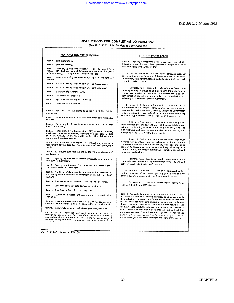#### INSTRUCTIONS FOR COMPLETING DD FORM 1423

(See DoD 5010.12-M for detailed instructions.)

#### FOR GOVERNMENT PERSONNEL

Item A. Self-explanatory.

Item B. Self-explanatory.

# ltem C. Mark (X) appropriate category: TDP - Technical Data<br>Package; TM - Technical Manual; Other - other category of data, such<br>as "Provisioning," "Configuration Management", etc.

Item D. Enter name of system/item being acquired that data will support.

Item E. Self-explanatory (to be filled in after contract award).

item F. Self-explanatory (to be filled in after contract award).

Item G. Signature of preparer of CDRL.

Item H. Date CDRL was prepared.

Item I. Signature of CDRL approval authority.

Item J. Date CDRL was approved.

item 1. See DoD FAR Supplement Subpart 4.71 for proper numbering.

item 2. Enter title as it appears on data acquisition document cited<br>in Item 4.

Item 3. Enter subtitle of data item for further definition of data<br>item (optional entry).

**Item 4.** Enter Data Item Description (DID) number, military<br>specification number, or military standard number listed in DoD<br>5010.12-L (AMSDL), or one-time DID number, that defines data<br>content and format requirements content and format requirements.

Hem 5. Enter reference to tasking in contract that generates<br>requirement for the data item (e.g., Statement of Work paragraph

Enter technical office responsible for ensuring adequacy of the data item.

Item 7. Specify requirement for inspection/acceptance of the data

ttem 8. Specify requirement for approval of a draft before<br>preparation of the final data item.

**Rem 9.** For technical data, specify requirement for contractor to<br>mark the appropriate distribution statement on the data (ref. DoDD  $5230.24$ ).

Item 10. Specify number of times data items are to be delivered.

Item 11. Specify as-of date of data item, when applicable.

Item 12. Specify when first submittal is required.

Item 13. Specify when subsequent submittals are required, when applicable

Item 14. Enter addressees and number of draft/final copies to be delivered to each addressee. Explain reproducible copies in Item 16.

Item 15. Enter total number of draft/final copies to be delivered.

Item 16. Use for additional/clarifying information for Items 1<br>through 15 Examples are: Tailoring of documents cited in Item 4;<br>Clarification of submittal dates in Items 12 and 13; Explanation of<br>reproducible copies in Ite data item.

#### FOR THE CONTRACTOR

Item 17. Specify appropriate price group from one of the following groups of effort in developing estimated prices for each data item listed on the DD Form 1423.

a. Group I. Definition - Data which is not otherwise essential to shop it. Definition - Data writer is not otherwise essential<br>to the contractor's performance of the primary contracted effort<br>(production, development, testing, and administration) but which<br>is contributed by DD Ferm 14 is required by DD Form 1423.

Estimated Price - Costs to be included under Group I are those applicable to preparing and assembling the data item in conformance with Government requirements, and the administration and other expenses related to reproducing and delivering such data items to the Government.

b. Group H. Definition - Data which is essential to the performance of the primary contracted effort but the contractor is required to perform additional work to conform to Government requirements with regard to depth of content, format, frequency of submittal, preparation, control, or quality of the data item.

Estimated Price - Costs to be included under Group II are those incurred over and above the cost of the essential data item without conforming to Government requirements, and the administrative and other expenses related to reproducing and delivering such data item to the Government.

c. Group III. Definition - Data which the contractor must develop for his internal use in performance of the primary contracted effort and does not require any substantial change to conform to Government requirements with regard to depth of content, format, frequency of submittal, preparation, control, and quality of the data item.

Estimated Price - Costs to be included under Group III are the administrative and other expenses related to reproducing and delivering such data item to the Government.

d. Group IV. Definition - Data which is developed by the contractor as part of his normal operating procedures and his effort in supplying these data to the Government is minimal.

Estimated Price - Group IV items should normally be<br>shown on the DD Form 1423 at no cost.

Item 18. For each data item, enter an amount equal to that portion of the total price which is estimated to be attributable to<br>the production or development for the Government of that item of data. These estimated data prices shall be developed only from those costs which will be incurred as a direct result of the<br>requirement to supply the data, over and above those costs which would otherwise be incurred in performance of the contract if no data were required. The estimated data prices shall not include any amount for rights in data. The Government's right to use the data shall be governed by the pertinent provisions of the contract.

DD Form 1423 Reverse, JUN 90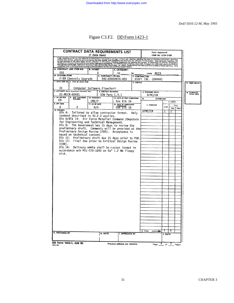# Figure C3.F2. DD Form 1423-1

 $\sim$ 

|                         | <b>CONTRACT DATA REQUIREMENTS LIST</b>                                                                |                      | (1 Data Item)                                               |                                          |            | Form Approved<br>OMB No. 0704-0188                                                                                                                                                                                                |              |                  |       |                              |
|-------------------------|-------------------------------------------------------------------------------------------------------|----------------------|-------------------------------------------------------------|------------------------------------------|------------|-----------------------------------------------------------------------------------------------------------------------------------------------------------------------------------------------------------------------------------|--------------|------------------|-------|------------------------------|
|                         |                                                                                                       |                      |                                                             |                                          |            | Public reporting burden for this collection of information is estimated to average 110 hours per response, including the time for reviewing instructions, searching<br>existing dots ources, gathering and maintaining the data n |              |                  |       |                              |
|                         | A. CONTRACT LINE ITEM NO.                                                                             | <b>B. EXHIBIT</b>    |                                                             | C. CATEGORY:                             |            |                                                                                                                                                                                                                                   |              |                  |       |                              |
| 001                     |                                                                                                       |                      | А                                                           | <b>TDP</b>                               | TM         | OTHER MCCR                                                                                                                                                                                                                        |              |                  |       |                              |
| D. SYSTEM/ITEM          |                                                                                                       |                      | E. CONTRACT/PR NO.                                          |                                          |            | <b>F. CONTRACTOR</b>                                                                                                                                                                                                              |              |                  |       |                              |
|                         | F-99 Controls Upgrade<br>1. DATA ITEM NO. 2. TITLE OF DATA ITEM                                       |                      |                                                             | D92-8000097A-920                         | $3.50B\Pi$ | XSOFT INC. (D9999)                                                                                                                                                                                                                |              |                  |       | 17. PRICE GROUP              |
| 01                      | 4. AUTHORITY (Data Acquisition Document No.)                                                          |                      | Computer Software Flowchart<br><b>5. CONTRACT REFERENCE</b> |                                          |            |                                                                                                                                                                                                                                   |              |                  |       |                              |
|                         | DI-MCCR-80491                                                                                         |                      | SOW Para C.4.1                                              |                                          |            | <b>6. REQUIRING OFFICE</b><br>AFMC/EN                                                                                                                                                                                             |              |                  |       | 18. ESTIMATED<br>FOTAL PRICE |
| 7. DD 250 REQ           | <b>3. DIST STATEMENT</b>                                                                              | <b>10. FREQUENCY</b> |                                                             | 12. DATE OF FIRST SUBMISSION             |            | 14.<br><b>DISTRIBUTION</b>                                                                                                                                                                                                        |              |                  |       |                              |
| DD                      |                                                                                                       | ONE/P                |                                                             | See Blk 16                               |            |                                                                                                                                                                                                                                   |              | <b>b.</b> COPIES |       |                              |
| 8. APP CODE             |                                                                                                       | 11. AS OF DATE       |                                                             | 13. DATE OF SUBSEQUENT                   |            | a. ADDRESSEE                                                                                                                                                                                                                      | <b>Draft</b> |                  | Final |                              |
| А<br><b>16. REMARKS</b> | F                                                                                                     | N/A                  |                                                             |                                          |            |                                                                                                                                                                                                                                   |              | Reg              | Repro |                              |
| B1k 4:                  | Tailored to allow contractor format.                                                                  |                      |                                                             |                                          | Only       | AFMC/EN                                                                                                                                                                                                                           | 1            | Ш                |       |                              |
|                         | content described in 10.2.2 applies.                                                                  |                      |                                                             |                                          |            |                                                                                                                                                                                                                                   |              |                  |       |                              |
|                         | Blk 6/Blk 14: Air Force Materiel Command /Deputate                                                    |                      |                                                             |                                          |            |                                                                                                                                                                                                                                   |              |                  |       |                              |
|                         | for Engineering and Technical Management.                                                             |                      |                                                             |                                          |            |                                                                                                                                                                                                                                   |              |                  |       |                              |
|                         | Blk 8: The Government has 15 days to review the                                                       |                      |                                                             |                                          |            |                                                                                                                                                                                                                                   |              |                  |       |                              |
|                         | preliminary draft. Comments will be provided at the<br>Preliminary Design Review (PDR). Acceptance is |                      |                                                             |                                          |            |                                                                                                                                                                                                                                   |              |                  |       |                              |
|                         | based on technical content.                                                                           |                      |                                                             |                                          |            |                                                                                                                                                                                                                                   |              |                  |       |                              |
|                         | Blk 12: Preliminary draft due 15 days prior to PDR.                                                   |                      |                                                             |                                          |            |                                                                                                                                                                                                                                   |              |                  |       |                              |
|                         | Blk 13: Final due prior to Critical Design Review                                                     |                      |                                                             |                                          |            |                                                                                                                                                                                                                                   |              |                  |       |                              |
| (CDR).                  |                                                                                                       |                      |                                                             |                                          |            |                                                                                                                                                                                                                                   |              |                  |       |                              |
| B1k 14:                 |                                                                                                       |                      |                                                             | Delivery media shall be raster format in |            |                                                                                                                                                                                                                                   |              |                  |       |                              |
|                         | accordance wth MIL-STD-1840 on 51" 1.2 Mb floppy                                                      |                      |                                                             |                                          |            |                                                                                                                                                                                                                                   |              |                  |       |                              |
| disk.                   |                                                                                                       |                      |                                                             |                                          |            |                                                                                                                                                                                                                                   |              |                  |       |                              |
|                         |                                                                                                       |                      |                                                             |                                          |            |                                                                                                                                                                                                                                   |              |                  |       |                              |
|                         |                                                                                                       |                      |                                                             |                                          |            |                                                                                                                                                                                                                                   |              |                  |       |                              |
|                         |                                                                                                       |                      |                                                             |                                          |            |                                                                                                                                                                                                                                   |              |                  |       |                              |
|                         |                                                                                                       |                      |                                                             |                                          |            |                                                                                                                                                                                                                                   |              |                  |       |                              |
|                         |                                                                                                       |                      |                                                             |                                          |            |                                                                                                                                                                                                                                   |              |                  |       |                              |
|                         |                                                                                                       |                      |                                                             |                                          |            |                                                                                                                                                                                                                                   |              |                  |       |                              |
|                         |                                                                                                       |                      |                                                             |                                          |            |                                                                                                                                                                                                                                   |              |                  |       |                              |
|                         |                                                                                                       |                      |                                                             |                                          |            |                                                                                                                                                                                                                                   |              |                  |       |                              |
|                         |                                                                                                       |                      |                                                             |                                          |            |                                                                                                                                                                                                                                   |              |                  |       |                              |
|                         |                                                                                                       |                      |                                                             |                                          |            |                                                                                                                                                                                                                                   |              |                  |       |                              |
|                         |                                                                                                       |                      |                                                             |                                          |            |                                                                                                                                                                                                                                   |              |                  |       |                              |
|                         |                                                                                                       |                      |                                                             |                                          |            |                                                                                                                                                                                                                                   |              |                  |       |                              |
|                         |                                                                                                       |                      |                                                             |                                          |            |                                                                                                                                                                                                                                   |              |                  |       |                              |
|                         |                                                                                                       |                      |                                                             |                                          |            |                                                                                                                                                                                                                                   |              |                  |       |                              |
|                         |                                                                                                       |                      |                                                             |                                          |            |                                                                                                                                                                                                                                   |              |                  |       |                              |
|                         |                                                                                                       |                      |                                                             |                                          |            |                                                                                                                                                                                                                                   |              |                  |       |                              |
|                         |                                                                                                       |                      |                                                             |                                          |            |                                                                                                                                                                                                                                   |              |                  |       |                              |
|                         |                                                                                                       |                      |                                                             |                                          |            |                                                                                                                                                                                                                                   |              |                  |       |                              |
|                         |                                                                                                       |                      |                                                             |                                          |            |                                                                                                                                                                                                                                   |              |                  |       |                              |
|                         |                                                                                                       |                      |                                                             |                                          |            |                                                                                                                                                                                                                                   |              |                  |       |                              |
|                         |                                                                                                       |                      |                                                             |                                          |            |                                                                                                                                                                                                                                   |              |                  |       |                              |
|                         |                                                                                                       |                      |                                                             |                                          |            |                                                                                                                                                                                                                                   |              |                  |       |                              |
| <b>G. PREPARED BY</b>   |                                                                                                       |                      |                                                             |                                          |            | <b>15. TOTAL</b>                                                                                                                                                                                                                  | т            | т                |       |                              |
|                         |                                                                                                       |                      | H. DATE                                                     | <b>I. APPROVED BY</b>                    |            |                                                                                                                                                                                                                                   | J. DATE      |                  |       |                              |
|                         |                                                                                                       |                      |                                                             |                                          |            |                                                                                                                                                                                                                                   |              |                  |       |                              |
|                         | DD Form 1423-1, JUN 90                                                                                |                      |                                                             |                                          |            |                                                                                                                                                                                                                                   |              |                  |       |                              |
|                         |                                                                                                       |                      |                                                             | Previous editions are obsolete.          |            | ł<br>Page                                                                                                                                                                                                                         | of           | 3                | Pages |                              |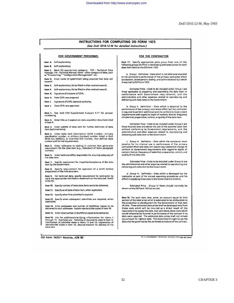#### **INSTRUCTIONS FOR COMPLETING DD FORM 1423** (See DoD 5010.12-M for detailed instructions.)

#### FOR GOVERNMENT PERSONNEL

Item A. Self-explanatory.

Item B. Self-explanatory.

Item C. Mark (X) appropriate category: TDP - Technical Data<br>Package; TM - Technical Manual; Other - other category of data, such<br>as "Provisioning," "Configuration Management", etc.

item D. Enter name of system/item being acquired that data will support.

Item E. Self-explanatory (to be filled in after contract award).

Item F. Self-explanatory (to be filled in after contract award).

Item G. Signature of preparer of CDRL.

Item H. Date CDRL was prepared.

Item 1. Signature of CDRL approval authority.

Item J. Date CDRL was approved.

Item 1. See DoD FAR Supplement Subpart 4.71 for proper numbering.

Item 2. Enter title as it appears on data acquisition document cited<br>in Item 4.

Item 3. Enter subtitle of data item for further definition of data item (optional entry).

Item 4. Enter Data Item Description (DID) number, military specification number, or military standard number listed in DoD<br>5010.12-L (AMSDL), or one-time DID number, that defines data content and format requirements.

Item 5. Enter reference to tasking in contract that generates<br>requirement for the data item (e.g., Statement of Work paragraph<br>number).

Item 6. Enter technical office responsible for ensuring adequacy of the data item.

Item 7. Specify requirement for inspection/acceptance of the data item by the Government.

ttem 8. Specify requirement for approval of a draft before<br>preparation of the final dataitem.

Item 9. For technical data, specify requirement for contractor to<br>mark the appropriate distribution statement on the data (ref. DoDD  $5230.24$ ).

Item 10. Specify number of times data items are to be delivered.

Item 11. Specify as-of date of data item, when applicable.

Item 12. Specify when first submittal is required.

Item 13. Specify when subsequent submittals are required, when applicable.

Item 14. Enter addressees and number of draft/final copies to be delivered to each addressee. Explain reproducible copies in Item 16.

Item 15. Enter total number of draft/final copies to be delivered.

**Item 16.** Use for additional/clarifying information for Items 1 through 15. Examples are: Tailoring of documents cited in Item 4;<br>Clarification of submittal dates in Items 12 and 13; Explanation of<br>reproducible copies in data item

DD Form 1423-1 Reverse, JUN 90

#### FOR THE CONTRACTOR

Item 17. Specify appropriate price group from one of the following groups of effort in developing estimated prices for each data item listed on the DD Form 1423

a. Group I. Definition - Data which is not otherwise essential to the contractor's performance of the primary contracted effort (production, development, testing, and administration) but which is required by DD Form 1423.

Estimated Price - Costs to be included under Group I are those applicable to preparing and assembling the data item in conformance with Government requirements, and the administration and other expenses related to reproducing and delivering such data items to the Government.

b. Group II. Definition - Data which is essential to the performance of the primary contracted effort but the contractor is required to perform additional work to conform to Government requirements with regard to depth of content, format, frequency of submittal, preparation, control, or quality of the data item.

Estimated Price - Costs to be included under Group II are those incurred over and above the cost of the essential data item without conforming to Government requirements, and the administrative and other expenses related to reproducing and delivering such data item to the Government.

c. Group III. Definition - Data which the contractor must develop for his internal use in performance of the primary<br>contracted effort and does not require any substantial change to conform to Government requirements with regard to depth of content, format, frequency of submittal, preparation, control, and quality of the data item.

Estimated Price - Costs to be included under Group III are the administrative and other expenses related to reproducing and delivering such data item to the Government.

d. Group IV. Definition - Data which is developed by the contractor as part of his normal operating procedures and his effort in supplying these data to the Government is minimal.

Estimated Price - Group IV items should normally be shown on the DD Form 1423 at no cost.

Item 18. For each data item, enter an amount equal to that portion of the total price which is estimated to be attributable to the production or development for the Government of that item of data. These estimated data prices shall be developed only from those costs which will be incurred as a direct result of the requirement to supply the data, over and above those costs which would otherwise be incurred in performance of the contract if no data were required. The estimated data prices shall not include any amount for rights in data. The Government's right to use the data shall be governed by the pertinent provisions of the contract.

\*U.S.GOVERNMENT PRINTING OFFICE: 1990-260-987: 84437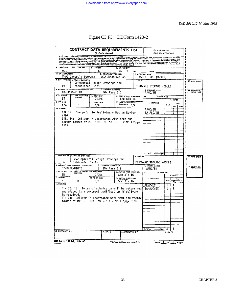# Figure C3.F3. DD Form 1423-2

|                                                                                                                                                                                                                                  | CONTRACT DATA REQUIREMENTS LIST                                | Form Approved<br>OMB No. 0704-0188 |                                              |                                            |                      |                                       |         |                  |                |  |                              |  |
|----------------------------------------------------------------------------------------------------------------------------------------------------------------------------------------------------------------------------------|----------------------------------------------------------------|------------------------------------|----------------------------------------------|--------------------------------------------|----------------------|---------------------------------------|---------|------------------|----------------|--|------------------------------|--|
| Public reporting burden for this collection of information is estimated to average 220 hours per response, including the time for reviewing instructions, searching<br>existing data sources, gathering and maintaining the data |                                                                |                                    |                                              |                                            |                      |                                       |         |                  |                |  |                              |  |
|                                                                                                                                                                                                                                  | A. CONTRACT LINE ITEM NO.                                      | <b>B. EXHIBIT</b>                  |                                              | <b>C. CATEGORY:</b>                        |                      |                                       |         |                  |                |  |                              |  |
| 001<br><b>D. SYSTEM/ITEM</b>                                                                                                                                                                                                     |                                                                | с                                  |                                              | TDP<br><u>_x</u>                           | TM                   | <b>OTHER</b>                          |         |                  |                |  |                              |  |
|                                                                                                                                                                                                                                  | F-99 Controls Upgrade                                          |                                    | E. CONTRACT/PR NO.<br>D92-8000097A-920       |                                            | <b>F. CONTRACTOR</b> | XSOFT INC. (D9999)                    |         |                  |                |  |                              |  |
|                                                                                                                                                                                                                                  | 1. DATA ITEM NO. 2. TITLE OF DATA ITEM<br>3. SUBTITLE          |                                    |                                              |                                            |                      |                                       |         |                  |                |  |                              |  |
| Conceptual Design Drawings and<br>05<br>Associated Lists<br>FIRMWARE STORAGE MODULE<br>4. AUTHORITY (Data Acquisition Document No.)                                                                                              |                                                                |                                    |                                              |                                            |                      |                                       |         |                  |                |  |                              |  |
|                                                                                                                                                                                                                                  | DI-DRPR-81001                                                  |                                    | <b>S. CONTRACT REFERENCE</b><br>SOW Para 5.1 |                                            |                      | <b>6. REQUIRING OFFICE</b><br>AFMC/EN |         |                  |                |  | 18. ESTIMATED<br>TOTAL PRICE |  |
| 7. DD 250 REQ<br>LT                                                                                                                                                                                                              | Τ,<br><b>DIST STATEMENT</b>                                    | <b>10. FREQUENCY</b>               |                                              | 12. DATE OF FIRST SUBMISSION               |                      | 14<br><b>DISTRIBUTION</b>             |         |                  |                |  |                              |  |
| 8. APP CODE                                                                                                                                                                                                                      |                                                                | <b>OTIME</b><br>11. AS OF DATE     |                                              | See Blk 16<br>13.                          |                      |                                       |         | <b>b.</b> COPIES |                |  |                              |  |
| N/A                                                                                                                                                                                                                              | B                                                              | N/A                                |                                              | DATE OF SUBSEQUENT<br>N/A                  |                      | a. ADDRESSEE                          | Draft   | Req              | Fínaf<br>Repro |  |                              |  |
| 16. REMARKS                                                                                                                                                                                                                      |                                                                |                                    |                                              |                                            |                      | AFMC/EN                               |         | J.               |                |  |                              |  |
| Blk 12:                                                                                                                                                                                                                          |                                                                |                                    |                                              | Due prior to Preliminary Design Review     |                      | SA-ALC/EN                             |         | 1                |                |  |                              |  |
| (PDR)<br>Blk. 14:                                                                                                                                                                                                                |                                                                |                                    |                                              | Deliver in accordance with text and        |                      |                                       |         |                  |                |  |                              |  |
|                                                                                                                                                                                                                                  | vector format of MIL-STD-1840 on 5 <sup>1</sup> 1.2 Mb floppy  |                                    |                                              |                                            |                      |                                       |         |                  |                |  |                              |  |
| disk.                                                                                                                                                                                                                            |                                                                |                                    |                                              |                                            |                      |                                       |         |                  |                |  |                              |  |
|                                                                                                                                                                                                                                  |                                                                |                                    |                                              |                                            |                      |                                       |         |                  |                |  |                              |  |
|                                                                                                                                                                                                                                  |                                                                |                                    |                                              |                                            |                      |                                       |         |                  |                |  |                              |  |
|                                                                                                                                                                                                                                  |                                                                |                                    |                                              |                                            |                      |                                       |         |                  |                |  |                              |  |
|                                                                                                                                                                                                                                  |                                                                |                                    |                                              |                                            |                      |                                       |         |                  |                |  |                              |  |
|                                                                                                                                                                                                                                  |                                                                |                                    |                                              |                                            |                      |                                       |         |                  |                |  |                              |  |
|                                                                                                                                                                                                                                  |                                                                |                                    |                                              |                                            |                      |                                       |         |                  |                |  |                              |  |
|                                                                                                                                                                                                                                  |                                                                |                                    |                                              |                                            |                      |                                       |         |                  |                |  |                              |  |
|                                                                                                                                                                                                                                  | 1. DATA ITEM NO. 2. TITLE OF DATA ITEM                         |                                    |                                              |                                            | 3. SUBTITLE          | 15. TOTAL                             |         | 2                |                |  |                              |  |
| 06                                                                                                                                                                                                                               | Developmental Design Drawings and<br>Associated Lists          |                                    |                                              |                                            |                      | FIRMWARE STORAGE MODULE               |         |                  |                |  | 17. PRICE GROUP              |  |
|                                                                                                                                                                                                                                  | 4. AUTHORITY (Data Acquisition Document No.)                   |                                    | <b>5. CONTRACT REFERENCE</b>                 |                                            |                      | <b>6. REQUIRING OFFICE</b>            |         |                  |                |  | 18. ESTIMATED                |  |
| 7. DD 250 RED                                                                                                                                                                                                                    | DT-DRPR-81002                                                  |                                    | SOW Para 5.2                                 |                                            |                      | AFMC/EN                               |         |                  |                |  |                              |  |
| SD                                                                                                                                                                                                                               | 9. DIST STATEMENT                                              | <b>10. FREQUENCY</b><br>DFDEL      |                                              | 12. DATE OF FIRST SUBMISSION<br>See Blk 16 |                      | 14,<br><b>DISTRIBUTION</b>            |         |                  |                |  |                              |  |
| <b>8. APP CODE</b>                                                                                                                                                                                                               |                                                                | 11. AS OF DATE                     |                                              |                                            |                      | a. ADDRESSEE                          |         | <b>b. COPIES</b> |                |  |                              |  |
| А                                                                                                                                                                                                                                | В                                                              | N/A                                |                                              | 13. DATE OF SUBSEQUENT                     |                      |                                       | Draft   | Reg              | Final<br>Repro |  |                              |  |
| <b>16. REMARKS</b>                                                                                                                                                                                                               |                                                                |                                    |                                              |                                            |                      | AFMC/EN                               |         |                  |                |  |                              |  |
|                                                                                                                                                                                                                                  | Blk 12, 13:                                                    |                                    |                                              | Dates of submission will be determined     |                      | SA-ALC/EN                             |         | 1                |                |  |                              |  |
|                                                                                                                                                                                                                                  | and placed in a contract modification if delivery              |                                    |                                              |                                            |                      |                                       |         |                  |                |  |                              |  |
|                                                                                                                                                                                                                                  | is required.                                                   |                                    |                                              |                                            |                      |                                       |         |                  |                |  |                              |  |
|                                                                                                                                                                                                                                  | Blk 14: Deliver in accordance with text and vector             |                                    |                                              |                                            |                      |                                       |         |                  |                |  |                              |  |
|                                                                                                                                                                                                                                  | format of MIL-STD-1840 on $5\frac{1}{2}$ " 1.2 Mb floppy disk. |                                    |                                              |                                            |                      |                                       |         |                  |                |  |                              |  |
|                                                                                                                                                                                                                                  |                                                                |                                    |                                              |                                            |                      |                                       |         |                  |                |  |                              |  |
|                                                                                                                                                                                                                                  |                                                                |                                    |                                              |                                            |                      |                                       |         |                  |                |  |                              |  |
|                                                                                                                                                                                                                                  |                                                                |                                    |                                              |                                            |                      |                                       |         |                  |                |  |                              |  |
|                                                                                                                                                                                                                                  |                                                                |                                    |                                              |                                            |                      |                                       |         |                  |                |  |                              |  |
|                                                                                                                                                                                                                                  |                                                                |                                    |                                              |                                            |                      |                                       |         |                  |                |  |                              |  |
|                                                                                                                                                                                                                                  |                                                                |                                    |                                              |                                            |                      |                                       |         |                  |                |  |                              |  |
|                                                                                                                                                                                                                                  |                                                                |                                    |                                              |                                            |                      | <b>15. TOTAL</b>                      | z       | z                |                |  |                              |  |
| <b>G. PREPARED BY</b>                                                                                                                                                                                                            |                                                                |                                    | H. DATE                                      | <b>I. APPROVED BY</b>                      |                      |                                       | J. DATE |                  |                |  |                              |  |
|                                                                                                                                                                                                                                  |                                                                |                                    |                                              |                                            |                      |                                       |         |                  |                |  |                              |  |
| DD Form 1423-2, JUN 90                                                                                                                                                                                                           |                                                                |                                    |                                              |                                            |                      |                                       |         |                  |                |  |                              |  |
| 1059/183                                                                                                                                                                                                                         |                                                                |                                    |                                              | Previous editions are obsolete.            |                      | Page $3$ of $3$ Pages                 |         |                  |                |  |                              |  |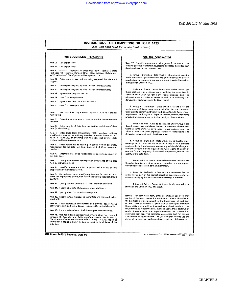#### INSTRUCTIONS FOR COMPLETING DD FORM 1423 (See DoD 5010.12-M for detailed instructions.)

#### FOR GOVERNMENT PERSONNEL

Item A. Self-explanatory.

Item B. Self-explanatory.

Item C. Mark (X) appropriate category: TDP - Technical Data<br>Package; TM - Technical Manual; Other - other category of data, such<br>as "Provisioning," "Configuration Management", etc. Item D. Enter name of system/item being acquired that data will

support

Item E. Self-explanatory (to be filled in after contract award).

- Item F. Self-explanatory (to be filled in after contract award).
- Item G. Signature of preparer of CDRL.
- Item H. Date CDRL was prepared.
- Item I. Signature of CDRL approval authority.
- Item J. Date CDRL was approved.

Item 1. See DoD FAR Supplement Subpart 4,71 for proper numbering

hem 2. Enter title as it appears on data acquisition document cited<br>in Item 4.

Item 3. Enter subtitle of data item for further definition of data<br>item (optional entry).

ltem 4. Enter Data Item Description (DID) number, military<br>specification number, or military standard number listed in DoD<br>5010.12-L (AMSDL), or one-time DID number, that defines data content and format requirements.

**Item 5.** Enter reference to tasking in contract that generates<br>requirement for the data item (e.g., Statement of Work paragraph number).

Enter technical office responsible for ensuring adequacy of Item 6. the data item

Item 7. Specify requirement for inspection/acceptance of the data item by the Government.

Item 8. Specify requirement for approval of a draft before<br>preparation of the final data item.

Item 9. For technical data, specify requirement for contractor to<br>mark the appropriate distribution statement on the data (ref. DoDD  $5230.24$ ).

Item 10. Specify number of times data items are to be delivered.

Item 11. Specify as-of date of data item, when applicable.

Item 12. Specify when first submittal is required.

item 13. Specify when subsequent submittals are required, when<br>applicable.

Item 14. Enter addressees and number of draft/final copies to be delivered to each addressee. Explain reproducible copies in Item 16.

Item 15. Enter total number of draft/final copies to be delivered.

Item 16. Use for additional/clarifying information for items 1<br>through 15. Examples are: Tailoring of documents cited in Item 4;<br>Clarification of submittal dates in Items 12 and 13; Explanation of<br>reproducible copies in It data item

DD Form 1423-2 Reverse, JUN 90

#### FOR THE CONTRACTOR

Item 17. Specify appropriate price group from one of the following groups of effort in developing estimated prices for each data item listed on the DD Form 1423.

a. Group I. Definition - Data which is not otherwise essential to the contractor's performance of the primary contracted effort (production, development, testing, and administration) but which is required by DD Form 1423.

Estimated Price - Costs to be included under Group I are those applicable to preparing and assembling the data item in conformance with Government requirements, and the administration and other expenses related to reproducing and delivering such data items to the Government.

b. Group II. Definition - Data which is essential to the performance of the primary contracted effort but the contractor is required to perform additional work to conform to Government requirements with regard to depth of content, format, frequency of submittal, preparation, control, or quality of the data item.

Estimated Price - Costs to be included under Group II are those incurred over and above the cost of the essential data item without conforming to Government requirements, and the administrative and other expenses related to reproducing and delivering such data item to the Government.

c. Group III. Definition - Data which the contractor must develop for his internal use in performance of the primary contracted effort and does not require any substantial change to<br>conform to Government requirements with regard to depth of content, format, frequency of submittal, preparation, control, and quality of the data item.

Estimated Price - Costs to be included under Group III are the administrative and other expenses related to reproducing and delivering such data item to the Government.

d. Group IV. Definition - Data which is developed by the contractor as part of his normal operating procedures and his effort in supplying these data to the Government is minimal.

Estimated Price - Group IV items should normally be shown on the DD Form 1423 at no cost.

Item 18. For each data item, enter an amount equal to that portion of the total price which is estimated to be attributable to the production or development for the Government of that item of data. These estimated data prices shall be developed only from those costs which will be incurred as a direct result of the requirement to supply the data, over and above those costs which<br>would otherwise be incurred in performance of the contract if no data were required. The estimated data prices shall not include any amount for rights in data. The Government's right to use the data shall be governed by the pertinent provisions of the contract.

PU.S.COVERNMENT PRINTING OFFICE: 1990-260-987:84440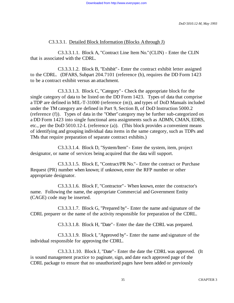## C3.3.3.1. Detailed Block Information (Blocks A through J)

C3.3.3.1.1. Block A, "Contract Line Item No." (CLIN) - Enter the CLIN that is associated with the CDRL.

C3.3.3.1.2. Block B, "Exhibit" - Enter the contract exhibit letter assigned to the CDRL. (DFARS, Subpart 204.7101 (reference (b), requires the DD Form 1423 to be a contract exhibit versus an attachment.

C3.3.3.1.3. Block C, "Category" - Check the appropriate block for the single category of data to be listed on the DD Form 1423. Types of data that comprise a TDP are defined in MIL-T-31000 (reference (m)), and types of DoD Manuals included under the TM category are defined in Part 9, Section B, of DoD Instruction 5000.2 (reference (f)). Types of data in the "Other" category may be further sub-categorized on a DD Form 1423 into single functional area assignments such as ADMN, CMAN, EDRS, etc., per the DoD 5010.12-L (reference (a)). (This block provides a convenient means of identifying and grouping individual data items in the same category, such as TDPs and TMs that require preparation of separate contract exhibits.)

C3.3.3.1.4. Block D, "System/Item" - Enter the system, item, project designator, or name of services being acquired that the data will support.

C3.3.3.1.5. Block E, "Contract/PR No." - Enter the contract or Purchase Request (PR) number when known; if unknown, enter the RFP number or other appropriate designator.

C3.3.3.1.6. Block F, "Contractor" - When known, enter the contractor's name. Following the name, the appropriate Commercial and Government Entity (CAGE) code may be inserted.

C3.3.3.1.7. Block G, "Prepared by" - Enter the name and signature of the CDRL preparer or the name of the activity responsible for preparation of the CDRL.

C3.3.3.1.8. Block H, "Date" - Enter the date the CDRL was prepared.

C3.3.3.1.9. Block I, "Approved by" - Enter the name and signature of the individual responsible for approving the CDRL.

C3.3.3.1.10. Block J, "Date" - Enter the date the CDRL was approved. (It is sound management practice to paginate, sign, and date each approved page of the CDRL package to ensure that no unauthorized pages have been added or previously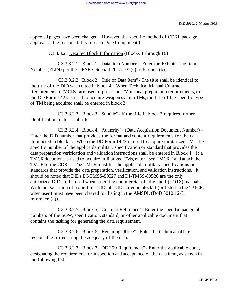approved pages have been changed. However, the specific method of CDRL package approval is the responsibility of each DoD Component.)

C3.3.3.2. Detailed Block Information (Blocks 1 through 16)

C3.3.3.2.1. Block 1, "Data Item Number" - Enter the Exhibit Line Item Number (ELIN) per the DFARS, Subpart 204.7105(c), reference (b)).

C3.3.3.2.2. Block 2, "Title of Data Item" - The title shall be identical to the title of the DID when cited in block 4. When Technical Manual Contract Requirements (TMCRs) are used to prescribe TM manual preparation requirements, or the DD Form 1423 is used to acquire weapon system TMs, the title of the specific type of TM being acquired shall be entered in block 2.

C3.3.3.2.3. Block 3, "Subtitle" - If the title in block 2 requires further identification, enter a subtitle.

C3.3.3.2.4. Block 4, "Authority" - (Data Acquisition Document Number) - Enter the DID number that provides the format and content requirements for the data item listed in block 2. When the DD Form 1423 is used to acquire militarized TMs, the specific number of the applicable military specification or standard that provides the data preparation verification and validation instructions shall be entered in Block 4. If a TMCR document is used to acquire militarized TMs, enter "See TMCR\_" and attach the TMCR to the CDRL. The TMCR must list the applicable military specifications or standards that provide the data preparation, verification, and validation instructions. It should be noted that DIDs DI-TMSS-80527 and DI-TMSS-80528 are the only authorized DIDs to be used when procuring commercial off-the-shelf (COTS) manuals. With the exception of a one-time DID, all DIDs cited in block 4 (or listed in the TMCR, when used) must have been cleared for listing in the AMSDL (DoD 5010.12-L, reference (a)).

C3.3.3.2.5. Block 5, "Contract Reference" - Enter the specific paragraph numbers of the SOW, specification, standard, or other applicable document that contains the tasking for generating the data requirement.

C3.3.3.2.6. Block 6, "Requiring Office" - Enter the technical office responsible for ensuring the adequacy of the data.

C3.3.3.2.7. Block 7, "DD 250 Requirement" - Enter the applicable code, designating the requirement for inspection and acceptance of the data item, as shown in the following list: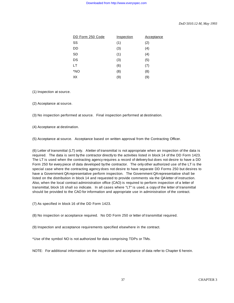| DD Form 250 Code | Inspection | <b>Acceptance</b> |
|------------------|------------|-------------------|
| SS               | (1)        | (2)               |
| DD               | (3)        | (4)               |
| SD               | (1)        | (4)               |
| DS               | (3)        | (5)               |
| LT.              | (6)        | (7)               |
| *NO              | (8)        | (8)               |
| XX               | (9)        | (9)               |

(1) Inspection at source.

(2) Acceptance at source.

(3) No inspection performed at source. Final inspection performed at destination.

(4) Acceptance at destination.

(5) Acceptance at source. Acceptance based on written approval from the Contracting Officer.

(6) Letter of transmittal (LT) only. A letter of transmittal is not appropriate when an inspection of the data is required. The data is sent by the contractor directly to the activities listed in block 14 of the DD Form 1423. The LT is used when the contracting agency requires a record of delivery but does not desire to have a DD Form 250 for every piece of data developed by the contractor. The only other authorized use of the LT is the special case where the contracting agency does not desire to have separate DD Forms 250 but desires to have a Government QA representative perform inspection. The Government QA representative shall be listed on the distribution in block 14 and requested to provide comments via the QA letter of instruction. Also, when the local contract administration office (CAO) is required to perform inspection of a letter of transmittal, block 16 shall so indicate. In all cases where "LT" is used, a copy of the letter of transmittal should be provided to the CAO for information and appropriate use in administration of the contract.

(7) As specified in block 16 of the DD Form 1423.

(8) No inspection or acceptance required. No DD Form 250 or letter of transmittal required.

(9) Inspection and acceptance requirements specified elsewhere in the contract.

\*Use of the symbol NO is not authorized for data comprising TDPs or TMs.

NOTE: For additional information on the inspection and acceptance of data refer to Chapter 6 herein.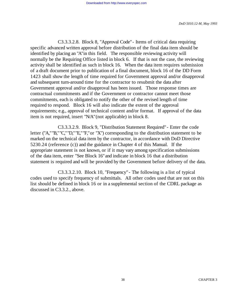C3.3.3.2.8. Block 8, "Approval Code" - Items of critical data requiring specific advanced written approval before distribution of the final data item should be identified by placing an "A" in this field. The responsible reviewing activity will normally be the Requiring Office listed in block 6. If that is not the case, the reviewing activity shall be identified as such in block 16. When the data item requires submission of a draft document prior to publication of a final document, block 16 of the DD Form 1423 shall show the length of time required for Government approval and/or disapproval and subsequent turn-around time for the contractor to resubmit the data after Government approval and/or disapproval has been issued. Those response times are contractual commitments and if the Government or contractor cannot meet those commitments, each is obligated to notify the other of the revised length of time required to respond. Block 16 will also indicate the extent of the approval requirements; e.g., approval of technical content and/or format. If approval of the data item is not required, insert "N/A" (not applicable) in block 8.

C3.3.3.2.9. Block 9, "Distribution Statement Required" - Enter the code letter ("A," "B," "C," "D," "E," "F," or "X") corresponding to the distribution statement to be marked on the technical data item by the contractor, in accordance with DoD Directive 5230.24 (reference (c)) and the guidance in Chapter 4 of this Manual. If the appropriate statement is not known, or if it may vary among specification submissions of the data item, enter "See Block 16" and indicate in block 16 that a distribution statement is required and will be provided by the Government before delivery of the data.

C3.3.3.2.10. Block 10, "Frequency" - The following is a list of typical codes used to specify frequency of submittals. All other codes used that are not on this list should be defined in block 16 or in a supplemental section of the CDRL package as discussed in C3.3.2., above.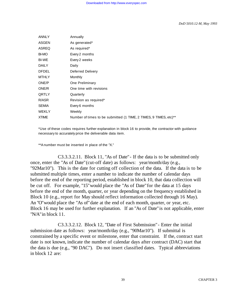| <b>ANNLY</b> | Annually                                                          |
|--------------|-------------------------------------------------------------------|
| <b>ASGEN</b> | As generated*                                                     |
| <b>ASREQ</b> | As required*                                                      |
| BI-MO        | Every 2 months                                                    |
| <b>BI-WE</b> | Every 2 weeks                                                     |
| <b>DAILY</b> | Daily                                                             |
| <b>DFDEL</b> | Deferred Delivery                                                 |
| <b>MTHLY</b> | Monthly                                                           |
| ONE/P        | One Preliminary                                                   |
| ONE/R        | One time with revisions                                           |
| QRTLY        | Quarterly                                                         |
| R/ASR        | Revision as required*                                             |
| <b>SEMIA</b> | Every 6 months                                                    |
| <b>WEKLY</b> | Weekly                                                            |
| <b>XTIME</b> | Number of times to be submitted (1 TIME, 2 TIMES, 9 TIMES, etc)** |

\*Use of these codes requires further explanation in block 16 to provide, the contractor with guidance necessary to accurately price the deliverable data item.

\*\*A number must be inserted in place of the "X."

C3.3.3.2.11. Block 11, "As of Date" - If the data is to be submitted only once, enter the "As of Date" (cut-off date) as follows: year/month/day (e.g., "92Mar10"). This is the date for cutting off collection of the data. If the data is to be submitted multiple times, enter a number to indicate the number of calendar days before the end of the reporting period, established in block 10, that data collection will be cut off. For example, "15" would place the "As of Date" for the data at 15 days before the end of the month, quarter, or year depending on the frequency established in Block 10 (e.g., report for May should reflect information collected through 16 May). An "O" would place the "As of" date at the end of each month, quarter, or year, etc. Block 16 may be used for further explanation. If an "As of Date" is not applicable, enter "N/A" in block 11.

C3.3.3.2.12. Block 12, "Date of First Submission" - Enter the initial submission date as follows: year/month/day (e.g., "90Mar10"). If submittal is constrained by a specific event or milestone, enter that constraint. If the, contract start date is not known, indicate the number of calendar days after contract (DAC) start that the data is due (e.g., "90 DAC"). Do not insert classified dates. Typical abbreviations in block 12 are: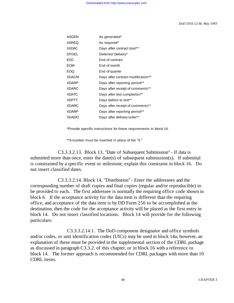| <b>ASGEN</b> | As generated*                      |
|--------------|------------------------------------|
| <b>ASREQ</b> | As required*                       |
| <b>XXDAC</b> | Days after contract start**        |
| <b>DFDEL</b> | Deferred Delivery*                 |
| <b>EOC</b>   | End of contract                    |
| <b>EOM</b>   | End of month                       |
| EOQ          | End of quarter                     |
| <b>XDACM</b> | Days after contract modification** |
| <b>XDARP</b> | Days after reporting period**      |
| <b>XDARC</b> | Days after receipt of comments**   |
| <b>XDATC</b> | Days after test completion**       |
| <b>XDPTT</b> | Days before to test**              |
| <b>XDARC</b> | Days after receipt of comments**   |
| <b>XDARP</b> | Days after reporting period**      |
| <b>XDADO</b> | Days after delivery order**        |

\*Provide specific instructions for these requirements in block 16.

\*\*A number must be inserted in place of the "X."

C3.3.3.2.13. Block 13, "Date of Subsequent Submission" - If data is submitted more than once, enter the date(s) of subsequent submission(s). If submittal is constrained by a specific event or milestone, explain this constraint in block 16. Do not insert classified dates.

C3.3.3.2.14. Block 14, "Distribution" - Enter the addressees and the corresponding number of draft copies and final copies (regular and/or reproducible) to be provided to each. The first addressee is normally the requiring office code shown in block 6. If the acceptance activity for the data item is different than the requiring office, and acceptance of the data item is by DD Form 250 to be accomplished at the destination, then the code for the acceptance activity will be placed as the first entry in block 14. Do not insert classified locations. Block 14 will provide for the following particulars:

C3.3.3.2.14.1. The DoD component designator and office symbols and/or codes, or unit identification codes (UICs) may be used in block 14a; however, an explanation of these must be provided in the supplemental section of the CDRL package as discussed in paragraph C3.3.2. of this chapter, or in block 16 with a reference to block 14. The former approach is recommended for CDRL packages with more than 10 CDRL items.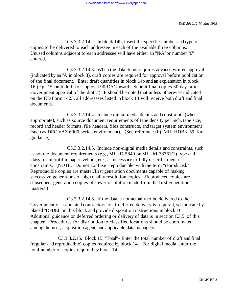C3.3.3.2.14.2. In block 14b, insert the specific number and type of copies to be delivered to each addressee in each of the available three columns. Unused columns adjacent to each addressee will have either an "N/A" or number "0" entered.

C3.3.3.2.14.3. When the data items requires advance written approval (indicated by an "A" in block 8), draft copies are required for approval before publication of the final document. Enter draft quantities in block 14b and an explanation in block 16 (e.g., "Submit draft for approval 90 DAC award. Submit final copies 30 days after Government approval of the draft.") It should be noted that unless otherwise indicated on the DD Form 1423, all addressees listed in block 14 will receive both draft and final documents.

C3.3.3.2.14.4. Include digital media details and constraints (when appropriate), such as source document requirements of tape density per inch, tape size, record and header formats, file headers, files constructs, and target system environment (such as DEC VAX 6000 series environment). (See reference (h), MIL-HDBK-59, for guidance).

C3.3.3.2.14.5. Include non-digital media details and constraints, such as source document requirements (e.g., MIL-D-5840 or MIL-M-38761/1) type and class of microfilm, paper, vellum, etc., as necessary to fully describe media constraints. (NOTE: Do not confuse "reproducible" with the term "reproduced." Reproducible copies are master/first generation documents capable of making successive generations of high quality resolution copies. Reproduced copies are subsequent generation copies of lower resolution made from the first generation masters.)

C3.3.3.2.14.6. If the data is not actually to be delivered to the Government or associated contractors, or if deferred delivery is required, so indicate by placed "DFDEL" in this block and provide disposition instructions in block 16. Additional guidance on deferred ordering or delivery of data is in section C3.5. of this chapter. Procedures for distribution to classified locations should be coordinated among the user, acquisition agent, and applicable data managers.

C3.3.3.2.15. Block 15, "Total" - Enter the total number of draft and final (regular and reproducible) copies required by block 14. For digital media, enter the total number of copies required by block 14.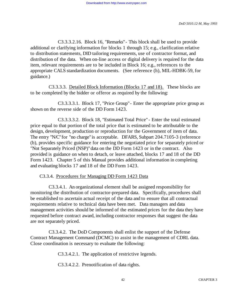C3.3.3.2.16. Block 16, "Remarks" - This block shall be used to provide additional or clarifying information for blocks 1 through 15; e.g., clarification relative to distribution statements, DID tailoring requirements, use of contractor format, and distribution of the data. When on-line access or digital delivery is required for the data item, relevant requirements are to be included in Block 16; e.g., references to the appropriate CALS standardization documents. (See reference (h), MIL-HDBK-59, for guidance.)

C3.3.3.3. Detailed Block Information (Blocks 17 and 18). These blocks are to be completed by the bidder or offeror as required by the following:

C3.3.3.3.1. Block 17, "Price Group" - Enter the appropriate price group as shown on the reverse side of the DD Form 1423.

C3.3.3.3.2. Block 18, "Estimated Total Price" - Enter the total estimated price equal to that portion of the total price that is estimated to be attributable to the design, development, production or reproduction for the Government of item of data. The entry "N/C" for "no charge" is acceptable. DFARS, Subpart 204.7105-3 (reference (b), provides specific guidance for entering the negotiated price for separately priced or "Not Separately Priced (NSP)" data on the DD Form 1423 or in the contract. Also provided is guidance on when to detach, or leave attached, blocks 17 and 18 of the DD Form 1423. Chapter 5 of this Manual provides additional information in completing and evaluating blocks 17 and 18 of the DD Form 1423.

#### C3.3.4. Procedures for Managing DD Form 1423 Data

C3.3.4.1. An organizational element shall be assigned responsibility for monitoring the distribution of contractor-prepared data. Specifically, procedures shall be established to ascertain actual receipt of the data and to ensure that all contractual requirements relative to technical data have been met. Data managers and data management activities should be informed of the estimated prices for the data they have requested before contract award, including contractor responses that suggest the data are not separately priced.

C3.3.4.2. The DoD Components shall enlist the support of the Defense Contract Management Command (DCMC) to assist in the management of CDRL data. Close coordination is necessary to evaluate the following:

C3.3.4.2.1. The application of restrictive legends.

C3.3.4.2.2. Prenotification of data rights.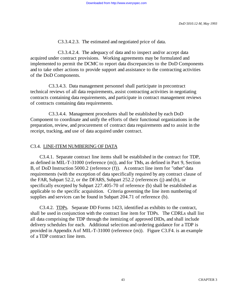C3.3.4.2.3. The estimated and negotiated price of data.

C3.3.4.2.4. The adequacy of data and to inspect and/or accept data acquired under contract provisions. Working agreements may be formulated and implemented to permit the DCMC to report data discrepancies to the DoD Components and to take other actions to provide support and assistance to the contracting activities of the DoD Components.

C3.3.4.3. Data management personnel shall participate in precontract technical reviews of all data requirements, assist contracting activities in negotiating contracts containing data requirements, and participate in contract management reviews of contracts containing data requirements.

C3.3.4.4. Management procedures shall be established by each DoD Component to coordinate and unify the efforts of their functional organizations in the preparation, review, and procurement of contract data requirements and to assist in the receipt, tracking, and use of data acquired under contract.

## C3.4. LINE-ITEM NUMBERING OF DATA

C3.4.1. Separate contract line items shall be established in the contract for TDP, as defined in MIL-T-31000 (reference (m)), and for TMs, as defined in Part 9, Section B, of DoD Instruction 5000.2 (reference (f)). A contract line item for "other" data requirements (with the exception of data specifically required by any contract clause of the FAR, Subpart 52.2, or the DFARS, Subpart 252.2 (references (j) and (b), or specifically excepted by Subpart 227.405-70 of reference (b) shall be established as applicable to the specific acquisition. Criteria governing the line item numbering of supplies and services can be found in Subpart 204.71 of reference (b).

C3.4.2. TDPs. Separate DD Forms 1423, identified as exhibits to the contract, shall be used in conjunction with the contract line item for TDPs. The CDRLs shall list all data comprising the TDP through the itemizing of approved DIDs, and shall include delivery schedules for each. Additional selection and ordering guidance for a TDP is provided in Appendix A of MIL-T-31000 (reference (m)). Figure C3.F4. is an example of a TDP contract line item.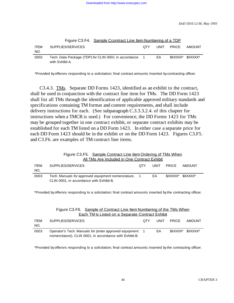|             | Figure C3.F4. Sample Ccontract Line Item Numbering of a TDP               |      |    |                   |        |
|-------------|---------------------------------------------------------------------------|------|----|-------------------|--------|
| ITEM<br>NO. | SUPPLIES/SERVICES                                                         | OTY. |    | UNIT PRICE        | AMOUNT |
| 0002        | Tech. Data Package (TDP) for CLIN 0001 in accordance 1<br>with Exhibit A. |      | EA | \$XXXXX* \$XXXXX* |        |

Figure C3.F4. Sample Ccontract Line Item Numbering of a TDP

\*Provided by offerors responding to a solicitation; final contract amounts inserted by contracting officer.

C3.4.3. TMs. Separate DD Forms 1423, identified as an exhibit to the contract, shall be used in conjunction with the contract line item for TMs. The DD Form 1423 shall list all TMs through the identification of applicable approved military standards and specifications containing TM format and content requirements, and shall include delivery instructions for each. (See subparagraph C.3.3.3.2.4. of this chapter for instructions when a TMCR is used.) For convenience, the DD Forms 1423 for TMs may be grouped together in one contract exhibit, or separate contract exhibits may be established for each TM listed on a DD Form 1423. In either case a separate price for each DD Form 1423 should be in the exhibit or on the DD Form 1423. Figures C3.F5. and C3.F6. are examples of TM contract line items.

Figure C3.F5. Sample Contract Line Item Ordering of TMs When All TMs Are Included in One Contract Exhibit

| <b>ITEM</b><br>NO. | SUPPLIES/SERVICES                                                                                | OTY | UNIT | <b>PRICE</b>      | <b>AMOUNT</b> |
|--------------------|--------------------------------------------------------------------------------------------------|-----|------|-------------------|---------------|
| 0003               | Tech. Manuals for approved equipment nomenclature, 1<br>CLIN 0001, in accordance with Exhibit B. |     | EA   | \$XXXXX* \$XXXXX* |               |

\*Provided by offerors responding to a solicitation; final contract amounts inserted by the contracting officer.

| Figure C3.F6. Sample of Contract Line Item Numbering of the TMs When |
|----------------------------------------------------------------------|
| Each TM Is Listed on a Separate Contract Exhibit                     |

| ITEM<br>NO. | SUPPLIES/SERVICES                                                                                                   | OTY | UNIT | <b>PRICE</b>      | <b>AMOUNT</b> |
|-------------|---------------------------------------------------------------------------------------------------------------------|-----|------|-------------------|---------------|
| 0003        | Operator's Tech. Manuals for (enter approved equipment 1<br>nomenclature), CLIN 0001, in accordance with Exhibit B. |     | EA   | \$XXXXX* \$XXXXX* |               |

\*Provided by offerors responding to a solicitation; final contract amounts inserted by the contracting officer.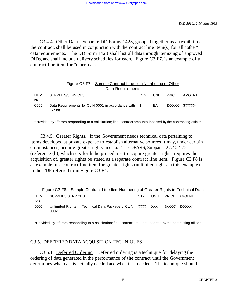C3.4.4. Other Data. Separate DD Forms 1423, grouped together as an exhibit to the contract, shall be used in conjunction with the contract line item(s) for all "other" data requirements. The DD Form 1423 shall list all data through itemizing of approved DIDs, and shall include delivery schedules for each. Figure C3.F7. is an example of a contract line item for "other" data.

|                    | Figure C3.F7. Sample Contract Line Item Numbering of Other<br>Data Requirements |      |    |            |                   |
|--------------------|---------------------------------------------------------------------------------|------|----|------------|-------------------|
| <b>ITEM</b><br>NO. | SUPPLIES/SERVICES                                                               | OTY. |    | UNIT PRICE | AMOUNT            |
| 0005               | Data Requirements for CLIN 0001 in accordance with 1<br>Exhibit D.              |      | EA |            | \$XXXXX* \$XXXXX* |

\*Provided by offerors responding to a solicitation; final contract amounts inserted by the contracting officer.

C3.4.5. Greater Rights. If the Government needs technical data pertaining to items developed at private expense to establish alternative sources it may, under certain circumstances, acquire greater rights in data. The DFARS, Subpart 227.402-72 (reference (b), which sets forth the procedures to acquire greater rights, requires the acquisition of, greater rights be stated as a separate contract line item. Figure C3.F8 is an example of a contract line item for greater rights (unlimited rights in this example) in the TDP referred to in Figure C3.F4.

Figure C3.F8. Sample Contract Line Item Numbering of Greater Rights in Technical Data ITEM NO SUPPLIES/SERVICES QTY UNIT PRICE AMOUNT

0006 Unlimited Rights in Technical Data Package of CLIN XXXX 0002 XXXX XXX \$XXXX\* \$XXXXX\*

\*Provided, by offerors responding to a solicitation; final contact amounts inserted by the contracting officer.

#### C3.5. DEFERRED DATA ACQUISITION TECHNIQUES

C3.5.1. Deferred Ordering. Deferred ordering is a technique for delaying the ordering of data generated in the performance of the contract until the Government determines what data is actually needed and when it is needed. The technique should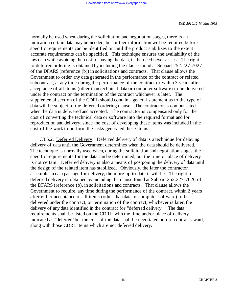normally be used when, during the solicitation and negotiation stages, there is an indication certain data may be needed, but further information will be required before specific requirements can be identified or until the product stabilizes to the extent accurate requirements can be specified. This technique ensures the availability of the raw data while avoiding the cost of buying the data, if the need never arises. The right to deferred ordering is obtained by including the clause found at Subpart 252.227-7027 of the DFARS (reference (b)) in solicitations and contracts. That clause allows the Government to order any data generated in the performance of the contract or related subcontract, at any time during the performance of the contract or within 3 years after acceptance of all items (other than technical data or computer software) to be delivered under the contract or the termination of the contract whichever is later. The supplemental section of the CDRL should contain a general statement as to the type of data will be subject to the deferred ordering clause. The contractor is compensated when the data is delivered and accepted. The contractor is compensated only for the cost of converting the technical data or software into the required format and for reproduction and delivery, since the cost of developing these items was included in the cost of the work to perform the tasks generated these items.

C3.5.2. Deferred Delivery. Deferred delivery of data is a technique for delaying delivery of data until the Government determines when the data should be delivered. The technique is normally used when, during the solicitation and negotiation stages, the specific requirements for the data can be determined, but the time or place of delivery is not certain. Deferred delivery is also a means of postponing the delivery of data until the design of the related item has stabilized. Obviously, the later the contractor assembles a data package for delivery, the more up-to-date it will be. The right to deferred delivery is obtained by including the clause found at Subpart 252.227-7026 of the DFARS (reference (b), in solicitations and contracts. That clause allows the Government to require, any time during the performance of the contract, within 2 years after either acceptance of all items (other than data or computer software) to be delivered under the contract, or termination of the contract, whichever is later, the delivery of any data identified in the contract for "deferred delivery." The data requirements shall be listed on the CDRL, with the time and/or place of delivery indicated as "deferred" but the cost of the data shall be negotiated before contract award, along with those CDRL items which are not deferred delivery.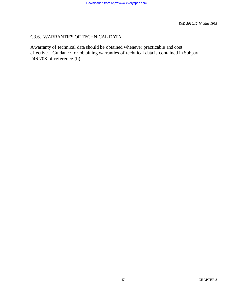# C3.6. WARRANTIES OF TECHNICAL DATA

A warranty of technical data should be obtained whenever practicable and cost effective. Guidance for obtaining warranties of technical data is contained in Subpart 246.708 of reference (b).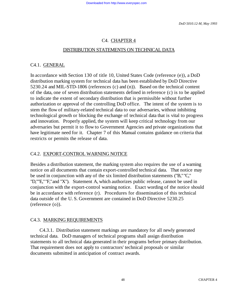## C4. CHAPTER 4

## DISTRIBUTION STATEMENTS ON TECHNICAL DATA

## C4.1. GENERAL

In accordance with Section 130 of title 10, United States Code (reference (e)), a DoD distribution marking system for technical data has been established by DoD Directive 5230.24 and MIL-STD-1806 (references (c) and (n)). Based on the technical content of the data, one of seven distribution statements defined in reference (c) is to be applied to indicate the extent of secondary distribution that is permissible without further authorization or approval of the controlling DoD office. The intent of the system is to stem the flow of military-related technical data to our adversaries, without inhibiting technological growth or blocking the exchange of technical data that is vital to progress and innovation. Properly applied, the system will keep critical technology from our adversaries but permit it to flow to Government Agencies and private organizations that have legitimate need for it. Chapter 7 of this Manual contains guidance on criteria that restricts or permits the release of data.

## C4.2. EXPORT-CONTROL WARNING NOTICE

Besides a distribution statement, the marking system also requires the use of a warning notice on all documents that contain export-controlled technical data. That notice may be used in conjunction with any of the six limited distribution statements ("B," "C," "D,""E," "F," and "X"). Statement A, which authorizes public release, cannot be used in conjunction with the export-control warning notice. Exact wording of the notice should be in accordance with reference (r). Procedures for dissemination of this technical data outside of the U. S. Government are contained in DoD Directive 5230.25 (reference (o)).

## C4.3. MARKING REQUIREMENTS

C4.3.1. Distribution statement markings are mandatory for all newly generated technical data. DoD managers of technical programs shall assign distribution statements to all technical data generated in their programs before primary distribution. That requirement does not apply to contractors' technical proposals or similar documents submitted in anticipation of contract awards.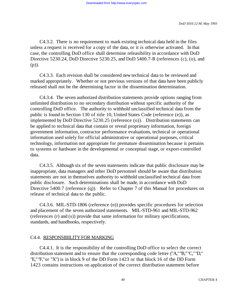C4.3.2. There is no requirement to mark existing technical data held in the files unless a request is received for a copy of the data, or it is otherwise activated. In that case, the controlling DoD office shall determine releasibility in accordance with DoD Directive 5230.24, DoD Directive 5230.25, and DoD 5400.7-R (references (c), (o), and (p)).

C4.3.3. Each revision shall be considered new technical data to be reviewed and marked appropriately. Whether or not previous versions of that data have been publicly released shall not be the determining factor in the dissemination determination.

C4.3.4. The seven authorized distribution statements provide options ranging from unlimited distribution to no secondary distribution without specific authority of the controlling DoD office. The authority to withhold unclassified technical data from the public is found in Section 130 of title 10, United States Code (reference (e)), as implemented by DoD Directive 5230.25 (reference (o)). Distribution statements can be applied to technical data that contain or reveal proprietary information, foreign government information, contractor performance evaluations, technical or operational information used solely for official administrative or operational purposes, critical technology, information not appropriate for premature dissemination because it pertains to systems or hardware in the developmental or conceptual stage, or export-controlled data.

C4.3.5. Although six of the seven statements indicate that public disclosure may be inappropriate, data managers and other DoD personnel should be aware that distribution statements are not in themselves authority to withhold unclassified technical data from public disclosure. Such determinations shall be made, in accordance with DoD Directive 5400.7 (reference (q)). Refer to Chapter 7 of this Manual for procedures on release of technical data to the public.

C4.3.6. MIL-STD-1806 (reference (n)) provides specific procedures for selection and placement of the seven authorized statements. MIL-STD-961 and MIL-STD-962 (references (r) and (s)) provide that same information for military specifications, standards, and handbooks, respectively.

#### C4.4. RESPONSIBILITY FOR MARKING

C4.4.1. It is the responsibility of the controlling DoD office to select the correct distribution statement and to ensure that the corresponding code letter ("A," "B," "C," "D," "E," "F," or "X") is in block 9 of the DD Form 1423 or that block 16 of the DD Form 1423 contains instructions on application of the correct distribution statement before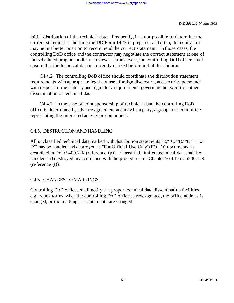initial distribution of the technical data. Frequently, it is not possible to determine the correct statement at the time the DD Form 1423 is prepared, and often, the contractor may be in a better position to recommend the correct statement. In those cases, the controlling DoD office and the contractor may negotiate the correct statement at one of the scheduled program audits or reviews. In any event, the controlling DoD office shall ensure that the technical data is correctly marked before initial distribution.

C4.4.2. The controlling DoD office should coordinate the distribution statement requirements with appropriate legal counsel, foreign disclosure, and security personnel with respect to the statuary and regulatory requirements governing the export or other dissemination of technical data.

C4.4.3. In the case of joint sponsorship of technical data, the controlling DoD office is determined by advance agreement and may be a party, a group, or a committee representing the interested activity or component.

## C4.5. DESTRUCTION AND HANDLING

All unclassified technical data marked with distribution statements "B," "C," "D," "E," "F," or "X" may be handled and destroyed as "For Official Use Only" (FOUO) documents, as described in DoD 5400.7-R (reference (p)). Classified, limited technical data shall be handled and destroyed in accordance with the procedures of Chapter 9 of DoD 5200.1-R (reference (t)).

## C4.6. CHANGES TO MARKINGS

Controlling DoD offices shall notify the proper technical data dissemination facilities; e.g., repositories, when the controlling DoD office is redesignated, the office address is changed, or the markings or statements are changed.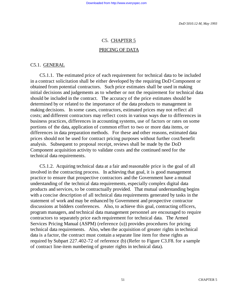#### C5. CHAPTER 5

#### PRICING OF DATA

#### C5.1. GENERAL

C5.1.1. The estimated price of each requirement for technical data to be included in a contract solicitation shall be either developed by the requiring DoD Component or obtained from potential contractors. Such price estimates shall be used in making initial decisions and judgements as to whether or not the requirement for technical data should be included in the contract. The accuracy of the price estimates should be determined by or related to the importance of the data products to management in making decisions. In some cases, contractors, estimated prices may not reflect all costs; and different contractors may reflect costs in various ways due to differences in business practices, differences in accounting systems, use of factors or rates on some portions of the data, application of common effort to two or more data items, or differences in data preparation methods. For these and other reasons, estimated data prices should not be used for contract pricing purposes without further cost/benefit analysis. Subsequent to proposal receipt, reviews shall be made by the DoD Component acquisition activity to validate costs and the continued need for the technical data requirements.

C5.1.2. Acquiring technical data at a fair and reasonable price is the goal of all involved in the contracting process. In achieving that goal, it is good management practice to ensure that prospective contractors and the Government have a mutual understanding of the technical data requirements, especially complex digital data products and services, to be contractually provided. That mutual understanding begins with a concise description of all technical data requirements generated by tasks in the statement of work and may be enhanced by Government and prospective contractor discussions at bidders conferences. Also, to achieve this goal, contracting officers, program managers, and technical data management personnel are encouraged to require contractors to separately price each requirement for technical data. The Armed Services Pricing Manual (ASPM) (reference (u)) provides procedures for pricing technical data requirements. Also, when the acquisition of greater rights in technical data is a factor, the contract must contain a separate line item for these rights as required by Subpart 227.402-72 of reference (b) (Refer to Figure C3.F8. for a sample of contract line-item numbering of greater rights in technical data).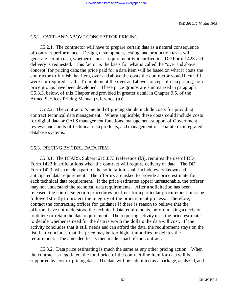#### C5.2. OVER-AND-ABOVE CONCEPT FOR PRICING

C5.2.1. The contractor will have to prepare certain data as a natural consequence of contract performance. Design, development, testing, and production tasks will generate certain data, whether or not a requirement is identified in a DD Form 1423 and delivery is requested. This factor is the basis for what is called the "over and above concept" for pricing data; the price paid for a data item will be based on what it costs the contractor to furnish that item, over and above the costs the contractor would incur if it were not required at all. To implement the over and above concept of data pricing, four price groups have been developed. These price groups are summarized in paragraph C5.3.3. below, of this Chapter and provided in greater detail in Chapter 9.5. of the Armed Services Pricing Manual (reference (u)).

C5.2.2. The contractor's method of pricing should include costs for providing contract technical data management. Where applicable, these costs could include costs for digital data or CALS management functions, management support of Government reviews and audits of technical data products, and management of separate or integrated database systems.

#### C5.3. PRICING BY CDRL DATA ITEM

C5.3.1. The DFARS, Subpart 215.873 (reference (b)), requires the use of DD Form 1423 in solicitations when the contract will require delivery of data. The DD Form 1423, when made a part of the solicitation, shall include every known and anticipated data requirement. The offerors are asked to provide a price estimate for each technical data requirement. If the price estimates appear unreasonable, the offerer may not understand the technical data requirements. After a solicitation has been released, the source selection procedures in effect for a particular procurement must be followed strictly to protect the integrity of the procurement process. Therefore, contact the contracting officer for guidance if there is reason to believe that the offerors have not understood the technical data requirements, before making a decision to delete or retain the data requirement. The requiring activity uses the price estimates to decide whether is need for the data is worth the dollars the data will cost. If the activity concludes that it still needs and can afford the data, the requirement stays on the list; if it concludes that the price may be too high, it modifies or deletes the requirement. The amended list is then made a part of the contract.

C5.3.2. Data price estimating is much the same as any other pricing action. When the contract is negotiated, the total price of the contract line item for data will be supported by cost or pricing data. The data will be submitted as a package, analyzed, and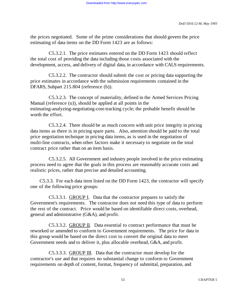the prices negotiated. Some of the prime considerations that should govern the price estimating of data items on the DD Form 1423 are as follows:

C5.3.2.1. The price estimates entered on the DD Form 1423 should reflect the total cost of providing the data including those costs associated with the development, access, and delivery of digital data, in accordance with CALS requirements.

C5.3.2.2. The contractor should submit the cost or pricing data supporting the price estimates in accordance with the submission requirements contained in the DFARS, Subpart 215.804 (reference (b)).

C5.3.2.3. The concept of materiality, defined in the Armed Services Pricing Manual (reference (u)), should be applied at all points in the estimating-analyzing-negotiating-cost-tracking cycle; the probable benefit should be worth the effort.

C5.3.2.4. There should be as much concern with unit price integrity in pricing data items as there is in pricing spare parts. Also, attention should be paid to the total price negotiation technique in pricing data items, as is used in the negotiation of multi-line contracts, when other factors make it necessary to negotiate on the total contract price rather than on an item basis.

C5.3.2.5. All Government and industry people involved in the price estimating process need to agree that the goals in this process are reasonably accurate costs and realistic prices, rather than precise and detailed accounting.

C5.3.3. For each data item listed on the DD Form 1423, the contractor will specify one of the following price groups:

C5.3.3.1. GROUP I. Data that the contractor prepares to satisfy the Government's requirements. The contractor does not need this type of data to perform the rest of the contract. Price would be based on identifiable direct costs, overhead, general and administrative (G&A), and profit.

C5.3.3.2. GROUP II. Data essential to contract performance that must be reworked or amended to conform to Government requirements. The price for data in this group would be based on the direct cost to convert the original data to meet Government needs and to deliver it, plus allocable overhead, G&A, and profit.

C5.3.3.3. GROUP III. Data that the contractor must develop for the contractor's use and that requires no substantial change to conform to Government requirements on depth of content, format, frequency of submittal, preparation, and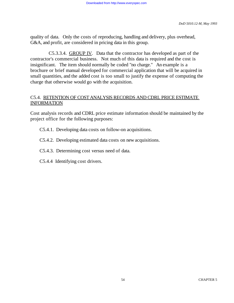quality of data. Only the costs of reproducing, handling and delivery, plus overhead, G&A, and profit, are considered in pricing data in this group.

C5.3.3.4. GROUP IV. Data that the contractor has developed as part of the contractor's commercial business. Not much of this data is required and the cost is insignificant. The item should normally be coded "no charge." An example is a brochure or brief manual developed for commercial application that will be acquired in small quantities, and the added cost is too small to justify the expense of computing the charge that otherwise would go with the acquisition.

## C5.4. RETENTION OF COST ANALYSIS RECORDS AND CDRL PRICE ESTIMATE **INFORMATION**

Cost analysis records and CDRL price estimate information should be maintained by the project office for the following purposes:

- C5.4.1. Developing data costs on follow-on acquisitions.
- C5.4.2. Developing estimated data costs on new acquisitions.
- C5.4.3. Determining cost versus need of data.
- C5.4.4 Identifying cost drivers.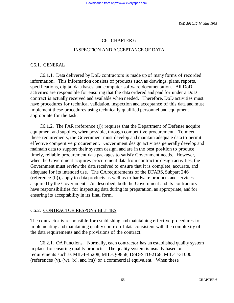## C6. CHAPTER 6

#### INSPECTION AND ACCEPTANCE OF DATA

#### C6.1. GENERAL

C6.1.1. Data delivered by DoD contractors is made up of many forms of recorded information. This information consists of products such as drawings, plans, reports, specifications, digital data bases, and computer software documentation. All DoD activities are responsible for ensuring that the data ordered and paid for under a DoD contract is actually received and available when needed. Therefore, DoD activities must have procedures for technical validation, inspection and acceptance of this data and must implement these procedures using technically qualified personnel and equipment appropriate for the task.

C6.1.2. The FAR (reference (j)) requires that the Department of Defense acquire equipment and supplies, when possible, through competitive procurement. To meet these requirements, the Government must develop and maintain adequate data to permit effective competitive procurement. Government design activities generally develop and maintain data to support their system design, and are in the best position to produce timely, reliable procurement data packages to satisfy Government needs. However, when the Government acquires procurement data from contractor design activities, the Government must review the data received to ensure that it is complete, accurate, and adequate for its intended use. The QA requirements of the DFARS, Subpart 246 (reference (b)), apply to data products as well as to hardware products and services acquired by the Government. As described, both the Government and its contractors have responsibilities for inspecting data during its preparation, as appropriate, and for ensuring its acceptability in its final form.

### C6.2. CONTRACTOR RESPONSIBILITIES

The contractor is responsible for establishing and maintaining effective procedures for implementing and maintaining quality control of data consistent with the complexity of the data requirements and the provisions of the contract.

C6.2.1. OA Functions. Normally, each contractor has an established quality system in place for ensuring quality products. The quality system is usually based on requirements such as MIL-I-45208, MIL-Q-9858, DoD-STD-2168, MIL-T-31000 (references  $(v)$ ,  $(w)$ ,  $(x)$ , and  $(m)$ ) or a commercial equivalent. When these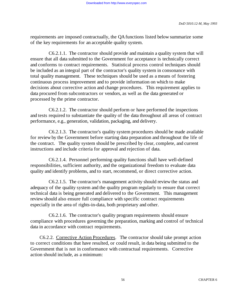requirements are imposed contractually, the QA functions listed below summarize some of the key requirements for an acceptable quality system.

C6.2.1.1. The contractor should provide and maintain a quality system that will ensure that all data submitted to the Government for acceptance is technically correct and conforms to contract requirements. Statistical process control techniques should be included as an integral part of the contractor's quality system in consonance with total quality management. These techniques should be used as a means of fostering continuous process improvement and to provide information on which to make decisions about corrective action and change procedures. This requirement applies to data procured from subcontractors or vendors, as well as the data generated or processed by the prime contractor.

C6.2.1.2. The contractor should perform or have performed the inspections and tests required to substantiate the quality of the data throughout all areas of contract performance, e.g., generation, validation, packaging, and delivery.

C6.2.1.3. The contractor's quality system procedures should be made available for review by the Government before starting data preparation and throughout the life of the contract. The quality system should be prescribed by clear, complete, and current instructions and include criteria for approval and rejection of data.

C6.2.1.4. Personnel performing quality functions shall have well-defined responsibilities, sufficient authority, and the organizational freedom to evaluate data quality and identify problems, and to start, recommend, or direct corrective action.

C6.2.1.5. The contractor's management activity should review the status and adequacy of the quality system and the quality program regularly to ensure that correct technical data is being generated and delivered to the Government. This management review should also ensure full compliance with specific contract requirements especially in the area of rights-in-data, both proprietary and other.

C6.2.1.6. The contractor's quality program requirements should ensure compliance with procedures governing the preparation, marking and control of technical data in accordance with contract requirements.

C6.2.2. Corrective Action Procedures. The contractor should take prompt action to correct conditions that have resulted, or could result, in data being submitted to the Government that is not in conformance with contractual requirements. Corrective action should include, as a minimum: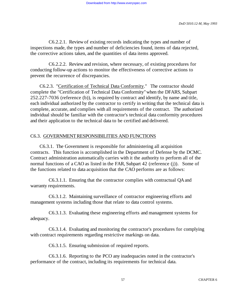C6.2.2.1. Review of existing records indicating the types and number of inspections made, the types and number of deficiencies found, items of data rejected, the corrective actions taken, and the quantities of data items approved.

C6.2.2.2. Review and revision, where necessary, of existing procedures for conducting follow-up actions to monitor the effectiveness of corrective actions to prevent the recurrence of discrepancies.

C6.2.3. "Certification of Technical Data Conformity." The contractor should complete the "Certification of Technical Data Conformity" when the DFARS, Subpart 252.227-7036 (reference (b)), is required by contract and identify, by name and title, each individual authorized by the contractor to certify in writing that the technical data is complete, accurate, and complies with all requirements of the contract. The authorized individual should be familiar with the contractor's technical data conformity procedures and their application to the technical data to be certified and delivered.

## C6.3. GOVERNMENT RESPONSIBILITIES AND FUNCTIONS

C6.3.1. The Government is responsible for administering all acquisition contracts. This function is accomplished in the Department of Defense by the DCMC. Contract administration automatically carries with it the authority to perform all of the normal functions of a CAO as listed in the FAR, Subpart 42 (reference (j)). Some of the functions related to data acquisition that the CAO performs are as follows:

C6.3.1.1. Ensuring that the contractor complies with contractual QA and warranty requirements.

C6.3.1.2. Maintaining surveillance of contractor engineering efforts and management systems including those that relate to data control systems.

C6.3.1.3. Evaluating these engineering efforts and management systems for adequacy.

C6.3.1.4. Evaluating and monitoring the contractor's procedures for complying with contract requirements regarding restrictive markings on data.

C6.3.1.5. Ensuring submission of required reports.

C6.3.1.6. Reporting to the PCO any inadequacies noted in the contractor's performance of the contract, including its requirements for technical data.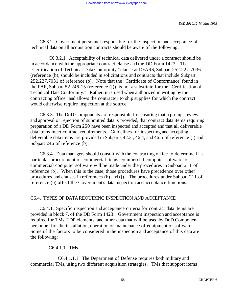C6.3.2. Government personnel responsible for the inspection and acceptance of technical data on all acquisition contracts should be aware of the following:

C6.3.2.1. Acceptability of technical data delivered under a contract should be in accordance with the appropriate contract clause and the DD Form 1423. The "Certification of Technical Data Conformity," clause at DFARS, Subpart 252.227-7036 (reference (b), should be included in solicitations and contracts that include Subpart 252.227.7031 of reference (b). Note that the "Certificate of Conformance" found in the FAR, Subpart 52.246-15 (reference (j)), is not a substitute for the "Certification of Technical Data Conformity." Rather, it is used when authorized in writing by the contracting officer and allows the contractor to ship supplies for which the contract would otherwise require inspection at the source.

C6.3.3. The DoD Components are responsible for ensuring that a prompt review and approval or rejection of submitted data is provided, that contract data items requiring preparation of a DD Form 250 have been inspected and accepted and that all deliverable data items meet contract requirements. Guidelines for inspecting and accepting deliverable data items are provided in Subparts 42.3., 46.4, and 46.5 of reference (j) and Subpart 246 of reference (b).

C6.3.4. Data managers should consult with the contracting office to determine if a particular procurement of commercial items, commercial computer software, or commercial computer software will be made under the procedures in Subpart 211 of reference (b). When this is the case, those procedures have precedence over other procedures and clauses in references (b) and (j). The procedures under Subpart 211 of reference (b) affect the Government's data inspection and acceptance functions.

## C6.4. TYPES OF DATA REQUIRING INSPECTION AND ACCEPTANCE

C6.4.1. Specific inspection and acceptance criteria for contract data items are provided in block 7. of the DD Form 1423. Government inspection and acceptance is required for TMs, TDP elements, and other data that will be used by DoD Component personnel for the installation, operation or maintenance of equipment or software. Some of the factors to be considered in the inspection and acceptance of this data are the following:

## C6.4.1.1. TMs

C6.4.1.1.1. The Department of Defense requires both military and commercial TMs, using two different acquisition strategies. TMs that support items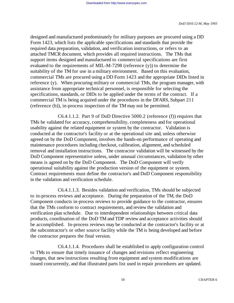designed and manufactured predominately for military purposes are procured using a DD Form 1423, which lists the applicable specifications and standards that provide the required data preparation, validation, and verification instructions, or refers to an attached TMCR document, which provides all required instructions. The TMs that support items designed and manufactured to commercial specifications are first evaluated to the requirements of MIL-M-7298 (reference (y)) to determine the suitability of the TM for use in a military environment. Based on this evaluation, commercial TMs are procured using a DD Form 1423 and the appropriate DIDs listed in reference (y). When procuring military or commercial TMs, the program manager, with assistance from appropriate technical personnel, is responsible for selecting the specifications, standards, or DIDs to be applied under the terms of the contract. If a commercial TM is being acquired under the procedures in the DFARS, Subpart 211 (reference (b)), in-process inspection of the TM may not be permitted.

C6.4.1.1.2. Part 9 of DoD Directive 5000.2 (reference (f)) requires that TMs be validated for accuracy, comprehensibility, completeness and for operational usability against the related equipment or system by the contractor. Validation is conducted at the contractor's facility or at the operational site and, unless otherwise agreed on by the DoD Component, involves the hands-on performance of operating and maintenance procedures including checkout, calibration, alignment, and scheduled removal and installation instructions. The contractor validation will be witnessed by the DoD Component representative unless, under unusual circumstances, validation by other means is agreed on by the DoD Component. The DoD Component will verify operational suitability against the production version of the equipment or system. Contract requirements must define the contractor's and DoD Component responsibility in the validation and verification schedule.

C6.4.1.1.3. Besides validation and verification, TMs should be subjected to in-process reviews and acceptance. During the preparation of the TM, the DoD Component conducts in-process reviews to provide guidance to the contractor, ensures that the TMs conform to contract requirements, and review the validation and verification plan schedule. Due to interdependent relationships between critical data products, coordination of the DoD TM and TDP review and acceptance activities should be accomplished. In-process reviews may be conducted at the contractor's facility or at the subcontractor's or other source facility while the TM is being developed and before the contractor prepares the final version.

C6.4.1.1.4. Procedures shall be established to apply configuration control to TMs to ensure that timely issuance of changes and revisions reflect engineering changes, that new instructions resulting from equipment and system modifications are issued concurrently, and that illustrated parts list used in repair procedures are updated.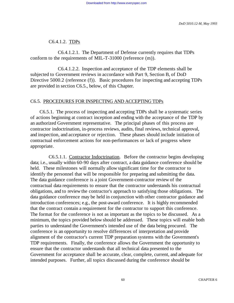### C6.4.1.2. TDPs

C6.4.1.2.1. The Department of Defense currently requires that TDPs conform to the requirements of MIL-T-31000 (reference (m)).

C6.4.1.2.2. Inspection and acceptance of the TDP elements shall be subjected to Government reviews in accordance with Part 9, Section B, of DoD Directive 5000.2 (reference (f)). Basic procedures for inspecting and accepting TDPs are provided in section C6.5., below, of this Chapter.

### C6.5. PROCEDURES FOR INSPECTING AND ACCEPTING TDPs

C6.5.1. The process of inspecting and accepting TDPs shall be a systematic series of actions beginning at contract inception and ending with the acceptance of the TDP by an authorized Government representative. The principal phases of this process are contractor indoctrination, in-process reviews, audits, final reviews, technical approval, and inspection, and acceptance or rejection. These phases should include initiation of contractual enforcement actions for non-performances or lack of progress where appropriate.

C6.5.1.1. Contractor Indoctrination. Before the contractor begins developing data; i.e., usually within 60-90 days after contract, a data guidance conference should be held. These milestones will normally allow significant time for the contractor to identify the personnel that will be responsible for preparing and submitting the data. The data guidance conference is a joint Government-contractor review of the contractual data requirements to ensure that the contractor understands his contractual obligations, and to review the contractor's approach to satisfying those obligations. The data guidance conference may be held in conjunction with other contractor guidance and introduction conferences; e.g., the post-award conference. It is highly recommended that the contract contain a requirement for the contractor to support this conference. The format for the conference is not as important as the topics to be discussed. As a minimum, the topics provided below should be addressed. These topics will enable both parties to understand the Government's intended use of the data being procured. The conference is an opportunity to resolve differences of interpretation and provide alignment of the contractor's current TDP preparation systems with the Government's TDP requirements. Finally, the conference allows the Government the opportunity to ensure that the contractor understands that all technical data presented to the Government for acceptance shall be accurate, clear, complete, current, and adequate for intended purposes. Further, all topics discussed during the conference should be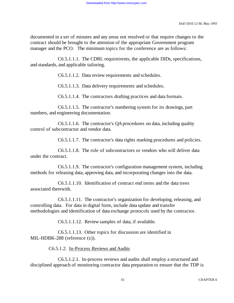documented in a set of minutes and any areas not resolved or that require changes to the contract should be brought to the attention of the appropriate Government program manager and the PCO. The minimum topics for the conference are as follows:

C6.5.1.1.1. The CDRL requireirents, the applicable DIDs, specifications, and standards, and applicable tailoring.

C6.5.1.1.2. Data review requirements and schedules.

C6.5.1.1.3. Data delivery requirements and schedules.

C6.5.1.1.4. The contractors drafting practices and data formats.

C6.5.1.1.5. The contractor's numbering system for its drawings, part numbers, and engineering documentation.

C6.5.1.1.6. The contractor's QA procedures on data, including quality control of subcontractor and vendor data.

C6.5.1.1.7. The contractor's data rights marking procedures and policies.

C6.5.1.1.8. The role of subcontractors or vendors who will deliver data under the contract.

C6.5.1.1.9. The contractor's configuration management system, including methods for releasing data, approving data, and incorporating changes into the data.

C6.5.1.1.10. Identification of contract end items and the data trees associated therewith.

C6.5.1.1.11. The contractor's organization for developing, releasing, and controlling data. For data in digital form, include data update and transfer methodologies and identification of data exchange protocols used by the contractor.

C6.5.1.1.12. Review samples of data, if available.

C6.5.1.1.13. Other topics for discussion are identified in MIL-HDBK-288 (reference (z)).

C6.5.1.2. In-Process Reviews and Audits

C6.5.1.2.1. In-process reviews and audits shall employ a structured and disciplined approach of monitoring contractor data preparation to ensure that the TDP is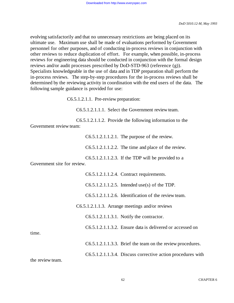evolving satisfactorily and that no unnecessary restrictions are being placed on its ultimate use. Maximum use shall be made of evaluations performed by Government personnel for other purposes, and of conducting in-process reviews in conjunction with other reviews to reduce duplication of effort. For example, when possible, in-process reviews for engineering data should be conducted in conjunction with the formal design reviews and/or audit processes prescribed by DoD-STD-963 (reference (g)). Specialists knowledgeable in the use of data and in TDP preparation shall perform the in-process reviews. The step-by-step procedures for the in-process reviews shall be determined by the reviewing activity in coordination with the end users of the data. The following sample guidance is provided for use:

C6.5.1.2.1.1. Pre-review preparation:

C6.5.1.2.1.1.1. Select the Government review team.

C6.5.1.2.1.1.2. Provide the following information to the Government review team:

C6.5.1.2.1.1.2.1. The purpose of the review.

C6.5.1.2.1.1.2.2. The time and place of the review.

C6.5.1.2.1.1.2.3. If the TDP will be provided to a Government site for review.

C6.5.1.2.1.1.2.4. Contract requirements.

C6.5.1.2.1.1.2.5. Intended use(s) of the TDP.

C6.5.1.2.1.1.2.6. Identification of the review team.

C6.5.1.2.1.1.3. Arrange meetings and/or reviews

C6.5.1.2.1.1.3.1. Notify the contractor.

C6.5.1.2.1.1.3.2. Ensure data is delivered or accessed on

time.

C6.5.1.2.1.1.3.3. Brief the team on the review procedures.

C6.5.1.2.1.1.3.4. Discuss corrective action procedures with

the review team.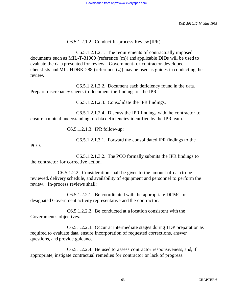C6.5.1.2.1.2. Conduct In-process Review (IPR)

C6.5.1.2.1.2.1. The requirements of contractually imposed documents such as MIL-T-31000 (reference (m)) and applicable DIDs will be used to evaluate the data presented for review. Government- or contractor-developed checklists and MIL-HDBK-288 (reference (z)) may be used as guides in conducting the review.

C6.5.1.2.1.2.2. Document each deficiency found in the data. Prepare discrepancy sheets to document the findings of the IPR.

C6.5.1.2.1.2.3. Consolidate the IPR findings.

C6.5.1.2.1.2.4. Discuss the IPR findings with the contractor to ensure a mutual understanding of data deficiencies identified by the IPR team.

C6.5.1.2.1.3. IPR follow-up:

C6.5.1.2.1.3.1. Forward the consolidated IPR findings to the

PCO.

C6.5.1.2.1.3.2. The PCO formally submits the IPR findings to the contractor for corrective action.

C6.5.1.2.2. Consideration shall be given to the amount of data to be reviewed, delivery schedule, and availability of equipment and personnel to perform the review. In-process reviews shall:

C6.5.1.2.2.1. Be coordinated with the appropriate DCMC or designated Government activity representative and the contractor.

C6.5.1.2.2.2. Be conducted at a location consistent with the Government's objectives.

C6.5.1.2.2.3. Occur at intermediate stages during TDP preparation as required to evaluate data, ensure incorporation of requested corrections, answer questions, and provide guidance.

C6.5.1.2.2.4. Be used to assess contractor responsiveness, and, if appropriate, instigate contractual remedies for contractor or lack of progress.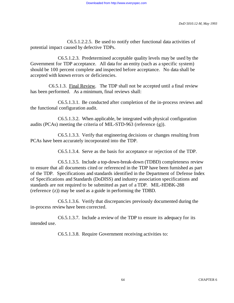C6.5.1.2.2.5. Be used to notify other functional data activities of potential impact caused by defective TDPs.

C6.5.1.2.3. Predetermined acceptable quality levels may be used by the Government for TDP acceptance. All data for an entity (such as a specific system) should be 100 percent complete and inspected before acceptance. No data shall be accepted with known errors or deficiencies.

C6.5.1.3. Final Review. The TDP shall not be accepted until a final review has been performed. As a minimum, final reviews shall:

C6.5.1.3.1. Be conducted after completion of the in-process reviews and the functional configuration audit.

C6.5.1.3.2. When applicable, be integrated with physical configuration audits (PCAs) meeting the criteria of MIL-STD-963 (reference (g)).

C6.5.1.3.3. Verify that engineering decisions or changes resulting from PCAs have been accurately incorporated into the TDP.

C6.5.1.3.4. Serve as the basis for acceptance or rejection of the TDP.

C6.5.1.3.5. Include a top-down-break-down (TDBD) completeness review to ensure that all documents cited or referenced in the TDP have been furnished as part of the TDP. Specifications and standards identified in the Department of Defense Index of Specifications and Standards (DoDISS) and industry association specifications and standards are not required to be submitted as part of a TDP. MIL-HDBK-288 (reference (z)) may be used as a guide in performing the TDBD.

C6.5.1.3.6. Verify that discrepancies previously documented during the in-process review have been corrected.

C6.5.1.3.7. Include a review of the TDP to ensure its adequacy for its intended use.

C6.5.1.3.8. Require Government receiving activities to: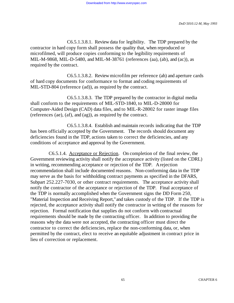C6.5.1.3.8.1. Review data for legibility. The TDP prepared by the contractor in hard copy form shall possess the quality that, when reproduced or microfilmed, will produce copies conforming to the legibility requirements of MIL-M-9868, MIL-D-5480, and MIL-M-38761 (references (aa), (ab), and (ac)), as required by the contract.

C6.5.1.3.8.2. Review microfilm per reference (ah) and aperture cards of hard copy documents for conformance to format and coding requirements of MIL-STD-804 (reference (ad)), as required by the contract.

C6.5.1.3.8.3. The TDP prepared by the contractor in digital media shall conform to the requirements of MIL-STD-1840, to MIL-D-28000 for Computer-Aided Design (CAD) data files, and to MIL-R-28002 for raster image files (references (ae), (af), and (ag)), as required by the contract.

C6.5.1.3.8.4. Establish and maintain records indicating that the TDP has been officially accepted by the Government. The records should document any deficiencies found in the TDP, actions taken to correct the deficiencies, and any conditions of acceptance and approval by the Government.

C6.5.1.4. Acceptance or Rejection. On completion of the final review, the Government reviewing activity shall notify the acceptance activity (listed on the CDRL) in writing, recommending acceptance or rejection of the TDP. A rejection recommendation shall include documented reasons. Non-conforming data in the TDP may serve as the basis for withholding contract payments as specified in the DFARS, Subpart 252.227-7030, or other contract requirements. The acceptance activity shall notify the contractor of the acceptance or rejection of the TDP. Final acceptance of the TDP is normally accomplished when the Government signs the DD Form 250, "Material Inspection and Receiving Report," and takes custody of the TDP. If the TDP is rejected, the acceptance activity shall notify the contractor in writing of the reasons for rejection. Formal notification that supplies do not conform with contractual requirements should be made by the contracting officer. In addition to providing the reasons why the data were not accepted, the contracting officer must direct the contractor to correct the deficiencies, replace the non-conforming data, or, when permitted by the contract, elect to receive an equitable adjustment in contract price in lieu of correction or replacement.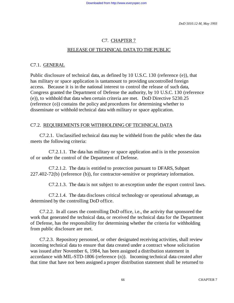## C7. CHAPTER 7

## RELEASE OF TECHNICAL DATA TO THE PUBLIC

### C7.1. GENERAL

Public disclosure of technical data, as defined by 10 U.S.C. 130 (reference (e)), that has military or space application is tantamount to providing uncontrolled foreign access. Because it is in the national interest to control the release of such data, Congress granted the Department of Defense the authority, by 10 U.S.C. 130 (reference (e)), to withhold that data when certain criteria are met. DoD Directive 5230.25 (reference (o)) contains the policy and procedures for determining whether to disseminate or withhold technical data with military or space application.

## C7.2. REQUIREMENTS FOR WITHHOLDING OF TECHNICAL DATA

C7.2.1. Unclassified technical data may be withheld from the public when the data meets the following criteria:

C7.2.1.1. The data has military or space application and is in tthe possession of or under the control of the Department of Defense.

C7.2.1.2. The data is entitled to protection pursuant to DFARS, Subpart 227.402-72(b) (reference (b)), for contractor-sensitive or proprietary information.

C7.2.1.3. The data is not subject to an exception under the export control laws.

C7.2.1.4. The data discloses critical technology or operational advantage, as determined by the controlling DoD office.

C7.2.2. In all cases the controlling DoD office, i.e., the activity that sponsored the work that generated the technical data, or received the technical data for the Department of Defense, has the responsibility for determining whether the criteria for withholding from public disclosure are met.

C7.2.3. Repository personnel, or other designated receiving activities, shall review incoming technical data to ensure that data created under a contract whose solicitation was issued after November 6, 1984, has been assigned a distribution statement in accordance with MIL-STD-1806 (reference (n)). Incoming technical data created after that time that have not been assigned a proper distribution statement shall be returned to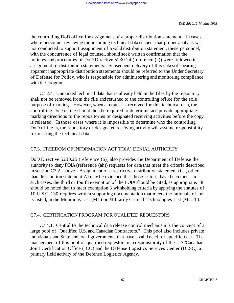the controlling DoD office for assignment of a proper distribution statement. In cases where personnel reviewing the incoming technical data suspect that proper analysis was not conducted to support assignment of a valid distribution statement, these personnel, with the concurrence of legal counsel, should seek written confirmation that the policies and procedures of DoD Directive 5230.24 (reference (c)) were followed in assignment of distribution statements. Subsequent delivery of this data still bearing apparent inappropriate distribution statements should be referred to the Under Secretary of Defense for Policy, who is responsible for administering and monitoring compliance with the program.

C7.2.4. Unmarked technical data that is already held in the files by the repository shall not be removed from the file and returned to the controlling office for the sole purpose of marking. However, when a request is received for this technical data, the controlling DoD office should then be required to determine and provide appropriate marking directions to the repositories or designated receiving activities before the copy is released. In those cases where it is impossible to determine who the controlling DoD office is, the repository or designated receiving activity will assume responsibility for marking the technical data.

## C7.3. FREEDOM OF INFORMATION ACT (FOIA) DENIAL AUTHORITY

DoD Directive 5230.25 (reference (o)) also provides the Department of Defense the authority to deny FOIA (reference (ah)) requests for data that meet the criteria described in section C7.2., above. Assignment of a restrictive distribution statement (i.e., other than distribution statement A) may be evidence that those criteria have been met. In such cases, the third or fourth exemption of the FOIA should be cited, as appropriate. It should be noted that to meet exemption 3 withholding criteria by applying the statutes of 10 U.S.C. 130 requires written supporting documentation that meets the rationale of, or is listed, in the Munitions List (ML) or Militarily Critical Technologies List (MCTL).

## C7.4. CERTIFICATION PROGRAM FOR QUALIFIED REQUESTORS

C7.4.1. Central to the technical data release control mechanism is the concept of a large pool of "Qualified U.S. and Canadian Contractors." This pool also includes private individuals and State and local governments that have a valid need for specific data. The management of this pool of qualified requestors is a responsibility of the U.S./Canadian Joint Certification Office (JCO) and the Defense Logistics Services Center (DLSC), a primary field activity of the Defense Logistics Agency.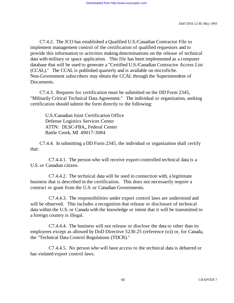C7.4.2. The JCO has established a Qualified U.S./Canadian Contractor File to implement management control of the certification of qualified requestors and to provide this information to activities making determinations on the release of technical data with military or space application. This file has been implemented as a computer database that will be used to generate a "Certified U.S./Canadian Contractor Access List (CCAL)." The CCAL is published quarterly and is available on microfiche. Non-Government subscribers may obtain the CCAL through the Superintendent of Documents.

C7.4.3. Requests for certification must be submitted on the DD Form 2345, "Militarily Critical Technical Data Agreement." The individual or organization, seeking certification should submit the form directly to the following:

 U.S./Canadian Joint Certification Office Defense Logistics Services Center ATTN: DLSC-FBA., Federal Center Battle Creek, MI 49017-3084

C7.4.4. In submitting a DD Form 2345, the individual or organization shall certify that:

C7.4.4.1. The person who will receive export-controlled technical data is a U.S. or Canadian citizen.

C7.4.4.2. The technical data will be used in connection with, a legitimate business that is described in the certification. This does not necessarily require a contract or grant from the U.S. or Canadian Governments.

C7.4.4.3. The responsibilities under export control laws are understood and will be observed. This includes a recognition that release or disclosure of technical data within the U.S. or Canada with the knowledge or intent that it will be transmitted to a foreign country is illegal.

C7.4.4.4. The business will not release or disclose the data to other than its employees except as allowed by DoD Directive 5230.25 (reference (o)) or, for Canada, the "Technical Data Control Regulations (TDCR)."

C7.4.4.5. No person who will have access to the technical data is debarred or has violated export control laws.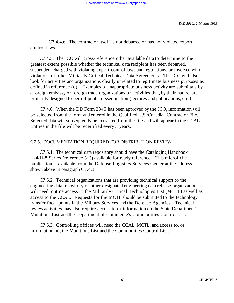C7.4.4.6. The contractor itself is not debarred or has not violated export control laws.

C7.4.5. The JCO will cross-reference other available data to determine to the greatest extent possible whether the technical data recipient has been debarred, suspended, charged with violating export-control laws and regulations, or involved with violations of other Militarily Critical Technical Data Agreements. The JCO will also look for activities and organizations clearly unrelated to legitimate business purposes as defined in reference (o). Examples of inappropriate business activity are submittals by a foreign embassy or foreign trade organizations or activities that, by their nature, are primarily designed to permit public dissemination (lectures and publications, etc.).

C7.4.6. When the DD Form 2345 has been approved by the JCO, information will be selected from the form and entered in the Qualified U.S./Canadian Contractor File. Selected data will subsequently be extracted from the file and will appear in the CCAL. Entries in the file will be recertified every 5 years.

### C7.5. DOCUMENTATION REQUIRED FOR DISTRIBUTION REVIEW

C7.5.1. The technical data repository should have the Cataloging Handbook H-4/H-8 Series (reference (ai)) available for ready reference. This microfiche publication is available from the Defense Logistics Services Center at the address shown above in paragraph C7.4.3.

C7.5.2. Technical organizations that are providing technical support to the engineering data repository or other designated engineering data release organization will need routine access to the Militarily Critical Technologies List (MCTL) as well as access to the CCAL. Requests for the MCTL should be submitted to the technology transfer focal points in the Military Services and the Defense Agencies. Technical review activities may also require access to or information on the State Department's Munitions List and the Department of Commerce's Commodities Control List.

C7.5.3. Controlling offices will need the CCAL, MCTL, and access to, or information on, the Munitions List and the Commodities Control List.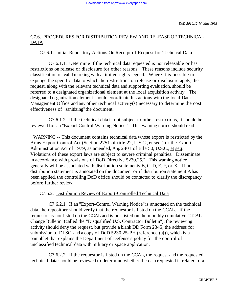# C7.6. PROCEDURES FOR DISTRIBUTION REVIEW AND RELEASE OF TECHNICAL DATA

## C7.6.1. Initial Repository Actions On Receipt of Request for Technical Data

C7.6.1.1. Determine if the technical data requested is not releasable or has restrictions on release or disclosure for other reasons. These reasons include security classification or valid marking with a limited rights legend. Where it is possible to expunge the specific data to which the restrictions on release or disclosure apply, the request, along with the relevant technical data and supporting evaluation, should be referred to a designated organizational element at the local acquisition activity. The designated organization element should coordinate his actions with the local Data Management Office and any other technical activity(s) necessary to determine the cost effectiveness of "sanitizing" the document.

C7.6.1.2. If the technical data is not subject to other restrictions, it should be reviewed for an "Export-Control Warning Notice." This warning notice should read:

"WARNING -- This document contains technical data whose export is restricted by the Arms Export Control Act (Section 2751 of title 22, U.S.C., et seq.) or the Export Administration Act of 1979, as amended, App 2401 of title 50, U.S.C., et seq. Violations of these export laws are subject to severe criminal penalties. Disseminate in accordance with provisions of DoD Directive 5230.25." This warning notice generally will be associated with distribution statements B, C, D, E, F, or X. If no distribution statement is annotated on the document or if distribution statement A has been applied, the controlling DoD office should be contacted to clarify the discrepancy before further review.

# C7.6.2. Distribution Review of Export-Controlled Technical Data

C7.6.2.1. If an "Export-Control Warning Notice" is annotated on the technical data, the repository should verify that the requestor is listed on the CCAL. If the requestor is not listed on the CCAL and is not listed on the monthly cumulative "CCAL Change Bulletin" (called the "Disqualified U.S. Contractor Bulletin"), the reviewing activity should deny the request, but provide a blank DD Form 2345, the address for submission to DLSC, and a copy of DoD 5230.25-PH (reference (aj)), which is a pamphlet that explains the Department of Defense's policy for the control of unclassified technical data with military or space application.

C7.6.2.2. If the requestor is listed on the CCAL, the request and the requested technical data should be reviewed to determine whether the data requested is related to a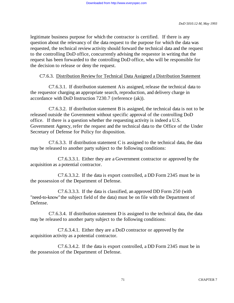legitimate business purpose for which the contractor is certified. If there is any question about the relevancy of the data request to the purpose for which the data was requested, the technical review activity should forward the technical data and the request to the controlling DoD office, concurrently advising the requestor in writing that the request has been forwarded to the controlling DoD office, who will be responsible for the decision to release or deny the request.

### C7.6.3. Distribution Review for Technical Data Assigned a Distribution Statement

C7.6.3.1. If distribution statement A is assigned, release the technical data to the requestor charging an appropriate search, reproduction, and delivery charge in accordance with DoD Instruction 7230.7 (reference (ak)).

C7.6.3.2. If distribution statement B is assigned, the technical data is not to be released outside the Government without specific approval of the controlling DoD office. If there is a question whether the requesting activity is indeed a U.S. Government Agency, refer the request and the technical data to the Office of the Under Secretary of Defense for Policy for disposition.

C7.6.3.3. If distribution statement C is assigned to the technical data, the data may be released to another party subject to the following conditions:

C7.6.3.3.1. Either they are a Government contractor or approved by the acquisition as a potential contractor.

C7.6.3.3.2. If the data is export controlled, a DD Form 2345 must be in the possession of the Department of Defense.

C7.6.3.3.3. If the data is classified, an approved DD Form 250 (with "need-to-know" the subject field of the data) must be on file with the Department of Defense.

C7.6.3.4. If distribution statement D is assigned to the technical data, the data may be released to another party subject to the following conditions:

C7.6.3.4.1. Either they are a DoD contractor or approved by the acquisition activity as a potential contractor.

C7.6.3.4.2. If the data is export controlled, a DD Form 2345 must be in the possession of the Department of Defense.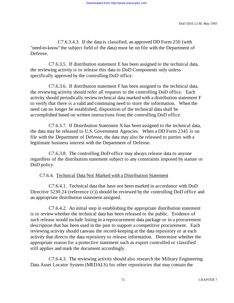C7.6.3.4.3. If the data is classified, an approved DD Form 250 (with "need-to-know" the subject field of the data) must be on file with the Department of Defense.

C7.6.3.5. If distribution statement E has been assigned to the technical data, the reviewing activity is to release this data to DoD Components only unless specifically approved by the controlling DoD office.

C7.6.3.6. If distribution statement F has been assigned to the technical data, the reviewing activity should refer all requests to the controlling DoD office. Each activity should periodically review technical data marked with a distribution statement F to verify that there is a valid and continuing need to store the information. When the need can no longer be established, disposition of the technical data shall be accomplished based on written instructions from the controlling DoD office.

C7.6.3.7. If Distribution Statement X has been assigned to the technical data, the data may be released to U.S. Government Agencies. When a DD Form 2345 is on file with the Department of Defense, the data may also be released to parties with a legitimate business interest with the Department of Defense.

C7.6.3.8. The controlling DoD office may always release data to anyone regardless of the distribution statement subject to any constraints imposed by statute or DoD policy.

## C7.6.4. Technical Data Not Marked with a Distribution Statement

C7.6.4.1. Technical data that have not been marked in accordance with DoD Directive 5230.24 (reference (c)) should be reviewed by the controlling DoD office and an appropriate distribution statement assigned.

C7.6.4.2. An initial step in establishing the appropriate distribution statement is to review whether the technical data has been released to the public. Evidence of such release would include listing in a reprocurement data package or in a procurement description that has been used in the past to support a competitive procurement. Each reviewing activity should canvass the record-keeping at the data repository or at each activity that directs the data repository to release information. Determine whether the appropriate reason for a protective statement such as export controlled or classified still applies and mark the document accordingly.

C7.6.4.3. The reviewing activity should also research the Military Engineering Data Asset Locator System (MEDALS) for other repositories that may contain the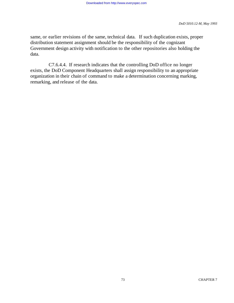same, or earlier revisions of the same, technical data. If such duplication exists, proper distribution statement assignment should be the responsibility of the cognizant Government design activity with notification to the other repositories also holding the data.

C7.6.4.4. If research indicates that the controlling DoD office no longer exists, the DoD Component Headquarters shall assign responsibility to an appropriate organization in their chain of command to make a determination concerning marking, remarking, and release of the data.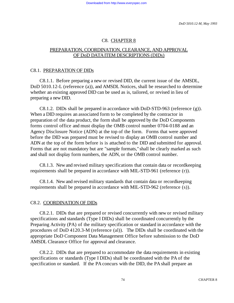*DoD 5010.12-M, May 1993*

### C8. CHAPTER 8

# PREPARATION, COORDINATION, CLEARANCE, AND APPROVAL OF DoD DATA ITEM DESCRIPTIONS (DIDs)

### C8.1. PREPARATION OF DIDs

C8.1.1. Before preparing a new or revised DID, the current issue of the AMSDL, DoD 5010.12-L (reference (a)), and AMSDL Notices, shall be researched to determine whether an existing approved DID can be used as is, tailored, or revised in lieu of preparing a new DID.

C8.1.2. DIDs shall be prepared in accordance with DoD-STD-963 (reference (g)). When a DID requires an associated form to be completed by the contractor in preparation of the data product, the form shall be approved by the DoD Components forms control office and must display the OMB control number 0704-0188 and an Agency Disclosure Notice (ADN) at the top of the form. Forms that were approved before the DID was prepared must be revised to display an OMB control number and ADN at the top of the form before is is attached to the DID and submitted for approval. Forms that are not mandatory but are "sample formats," shall be clearly marked as such and shall not display form numbers, the ADN, or the OMB control number.

C8.1.3. New and revised military specifications that contain data or recordkeeping requirements shall be prepared in accordance with MIL-STD-961 (reference (r)).

C8.1.4. New and revised military standards that contain data or recordkeeping requirements shall be prepared in accordance with MIL-STD-962 (reference (s)).

### C8.2. COORDINATION OF DIDs

C8.2.1. DIDs that are prepared or revised concurrently with new or revised military specifications and standards (Type I DIDs) shall be coordinated concurrently by the Preparing Activity (PA) of the military specification or standard in accordance with the procedures of DoD 4120.3-M (reference (al)). The DIDs shall be coordinated with the appropriate DoD Component Data Management Office before submission to the DoD AMSDL Clearance Office for approval and clearance.

C8.2.2. DIDs that are prepared to accommodate the data requirements in existing specifications or standards (Type I DIDs) shall be coordinated with the PA of the specification or standard. If the PA concurs with the DID, the PA shall prepare an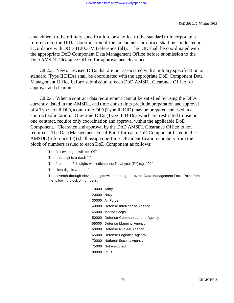*DoD 5010.12-M, May 1993*

amendment to the military specification, or a notice to the standard to incorporate a reference to the DID. Coordination of the amendment or notice shall be conducted in accordance with DOD 4120.3-M (reference (al)). The DID shall be coordinated with the appropriate DoD Component Data Management Office before submission to the DoD AMSDL Clearance Office for approval and clearance.

C8.2.3. New or revised DIDs that are not associated with a military specification or standard (Type II DIDs) shall be coordinated with the appropriate DoD Component Data Management Office before submission to each DoD AMSDL Clearance Office for approval and clearance.

C8.2.4. When a contract data requirement cannot be satisfied by using the DIDs currently listed in the AMSDL, and time constraints preclude preparation and approval of a Type I or II DID, a one-time DID (Type III DID) may be prepared and used in a contract solicitation. One-time DIDs (Type III DIDs), which are restricted to use on one contract, require only coordination and approval within the applicable DoD Component. Clearance and approval by the DoD AMSDL Clearance Office is not required. The Data Management Focal Point for each DoD Component listed in the AMSDL (reference (a)) shall assign one-time DID identification numbers from the block of numbers issued to each DoD Component as follows:

> The first two digits will be "OT" The third digit is a dash "-" The fourth and fifth digits will indicate the fiscal year (FY);e.g., "92" The sixth digit is a dash "-" The seventh through eleventh digits will be assigned by the Data Management Focal Point from

the following block of numbers:

10000 Army 20000 Navy 30000 Air Force 40000 Defense Intelligence Agency 45000 Marine Corps 50000 Defense Communications Agency 55000 Defense Mapping Agency 60000 Defense Nuclear Agency 65000 Defense Logistics Agency 70000 National Security Agency 75000 Not Assigned 80000 OSD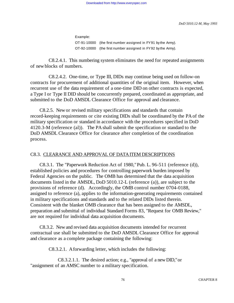*DoD 5010.12-M, May 1993*

Example: OT-91-10000 (the first number assigned in FY 91 by the Army). OT-92-10000 (the first number assigned in FY 92 by the Army).

C8.2.4.1. This numbering system eliminates the need for repeated assignments of new blocks of numbers.

C8.2.4.2. One-time, or Type III, DIDs may continue being used on follow-on contracts for procurement of additional quantities of the original item. However, when recurrent use of the data requirement of a one-time DID on other contracts is expected, a Type I or Type II DID should be concurrently prepared, coordinated as appropriate, and submitted to the DoD AMSDL Clearance Office for approval and clearance.

C8.2.5. New or revised military specifications and standards that contain record-keeping requirements or cite existing DIDs shall be coordinated by the PA of the military specification or standard in accordance with the procedures specified in DoD 4120.3-M (reference (al)). The PA shall submit the specification or standard to the DoD AMSDL Clearance Office for clearance after completion of the coordination process.

# C8.3. CLEARANCE AND APPROVAL OF DATA ITEM DESCRIPTIONS

C8.3.1. The "Paperwork Reduction Act of 1980," Pub. L. 96-511 (reference (d)), established policies and procedures for controlling paperwork burden imposed by Federal Agencies on the public. The OMB has determined that the data acquisition documents listed in the AMSDL, DoD 5010.12-L (reference (a)), are subject to the provisions of reference (d). Accordingly, the OMB control number 0704-0188, assigned to reference (a), applies to the information-generating requirements contained in military specifications and standards and to the related DIDs listed therein. Consistent with the blanket OMB clearance that has been assigned to the AMSDL, preparation and submittal of individual Standard Forms 83, "Request for OMB Review," are not required for individual data acquisition documents.

C8.3.2. New and revised data acquisition documents intended for recurrent contractual use shall be submitted to the DoD AMSDL Clearance Office for approval and clearance as a complete package containing the following:

C8.3.2.1. A forwarding letter, which includes the following:

C8.3.2.1.1. The desired action; e.g., "approval of a new DID," or "assignment of an AMSC number to a military specification.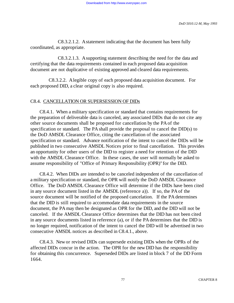C8.3.2.1.2. A statement indicating that the document has been fully coordinated, as appropriate.

C8.3.2.1.3. A supporting statement describing the need for the data and certifying that the data requirements contained in each proposed data acquisition document are not duplicative of existing approved and cleared data requirements.

C8.3.2.2. A legible copy of each proposed data acquisition document. For each proposed DID, a clear original copy is also required.

#### C8.4. CANCELLATION OR SUPERSESSION OF DIDs

C8.4.1. When a military specification or standard that contains requirements for the preparation of deliverable data is canceled, any associated DIDs that do not cite any other source documents shall be proposed for cancellation by the PA of the specification or standard. The PA shall provide the proposal to cancel the DID(s) to the DoD AMSDL Clearance Office, citing the cancellation of the associated specification or standard. Advance notification of the intent to cancel the DIDs will be published in two consecutive AMSDL Notices prior to final cancellation. This provides an opportunity for other users of the DID to register a need for retention of the DID with the AMSDL Clearance Office. In these cases, the user will normally be asked to assume responsibility of "Office of Primary Responsibility (OPR)" for the DID.

C8.4.2. When DIDs are intended to be canceled independent of the cancellation of a military specification or standard, the OPR will notify the DoD AMSDL Clearance Office. The DoD AMSDL Clearance Office will determine if the DIDs have been cited in any source document listed in the AMSDL (reference a)). If so, the PA of the source document will be notified of the proposed cancelation. If the PA determines that the DID is still required to accommodate data requirements in the source document, the PA may then be designated as OPR for the DID, and the DID will not be canceled. If the AMSDL Clearance Office determines that the DID has not been cited in any source documents listed in reference (a), or if the PA determines that the DID is no longer required, notification of the intent to cancel the DID will be advertised in two consecutive AMSDL notices as described in C8.4.1., above.

C8.4.3. New or revised DIDs can supersede existing DIDs when the OPRs of the affected DIDs concur in the action. The OPR for the new DID has the responsibility for obtaining this concurrence. Superseded DIDs are listed in block 7 of the DD Form 1664.